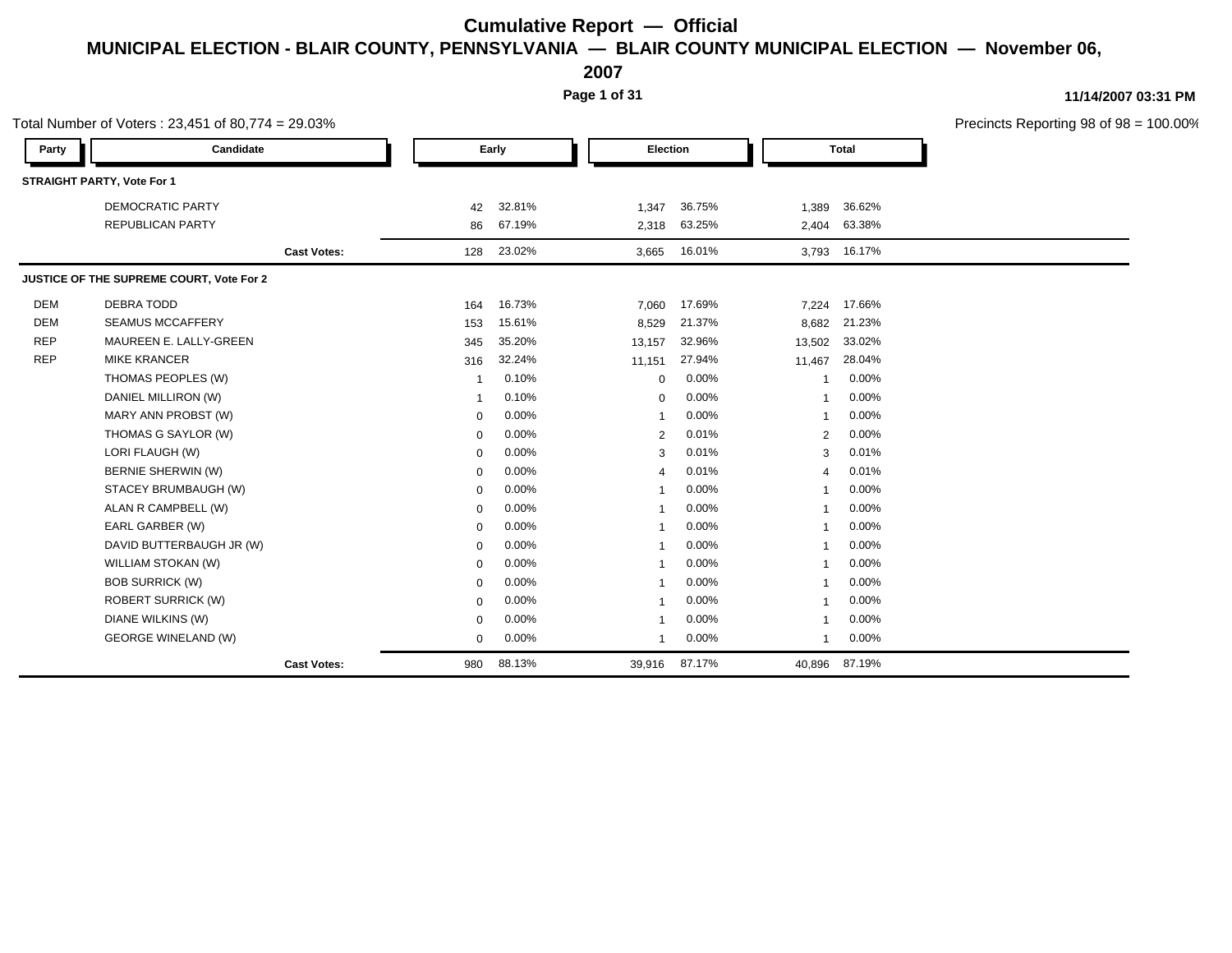**2007**

**Page 1 of 31**

**11/14/2007 03:31 PM**

Total Number of Voters : 23,451 of 80,774 = 29.03% Precincts Reporting 98 of 98 = 100.00% **Party Candidate Early Election Total STRAIGHT PARTY, Vote For 1** DEMOCRATIC PARTY 42 32.81% 1,347 36.75% 1,389 36.62% REPUBLICAN PARTY 86 67.19% 2,318 63.25% 2,404 63.38% **Cast Votes:** 128 23.02% 3,665 16.01% 3,793 16.17% **JUSTICE OF THE SUPREME COURT, Vote For 2** DEM DEBRA TODD 164 16.73% 7,060 17.69% 7,224 17.66% DEM SEAMUS MCCAFFERY 153 15.61% 8,529 21.37% 8,682 21.23% REP MAUREEN E. LALLY-GREEN 2002 2003 1345 35.20% 13,157 32.96% 13,502 33.02% REP MIKE KRANCER 316 32.24% 11,151 27.94% 11,467 28.04% THOMAS PEOPLES (W)  $\begin{array}{ccccccccc}\n 1 & 0.10\% & & & & 0 & 0.00\% & & & & 1 & 0.00\% & & & & & 1\n\end{array}$ DANIEL MILLIRON (W) 1 0.10% 1 0.10% 0 0.00% 1 0.00% 1 0.00% MARY ANN PROBST (W)  $0.00\%$  1 0.00% 1 0.00% 1 0.00% THOMAS G SAYLOR (W)  $0.00\%$   $0.00\%$   $2.001\%$   $2.000\%$ LORI FLAUGH (W) 0 0.00% 3 0.01% 3 0.01% BERNIE SHERWIN (W) 0 0.00% 4 0.01% 4 0.01% STACEY BRUMBAUGH (W) 0 0.00% 1 0.00% 1 0.00% ALAN R CAMPBELL (W) 0 0.00% 1 0.00% 1 0.00% EARL GARBER (W) 0 0.00% 1 0.00% 1 0.00% DAVID BUTTERBAUGH JR (W) 0 0.00% 1 0.00% 1 0.00% WILLIAM STOKAN (W)  $0.00\%$  1 0.00% 1 0.00% 1 0.00% BOB SURRICK (W) 0 0.00% 1 0.00% 1 0.00% ROBERT SURRICK (W) 0 0.00% 1 0.00% 1 0.00% DIANE WILKINS (W) 0 0.00% 1 0.00% 1 0.00% GEORGE WINELAND (W) 0 0.00% 1 0.00% 1 0.00% **Cast Votes:** 980 88.13% 39,916 87.17% 40,896 87.19%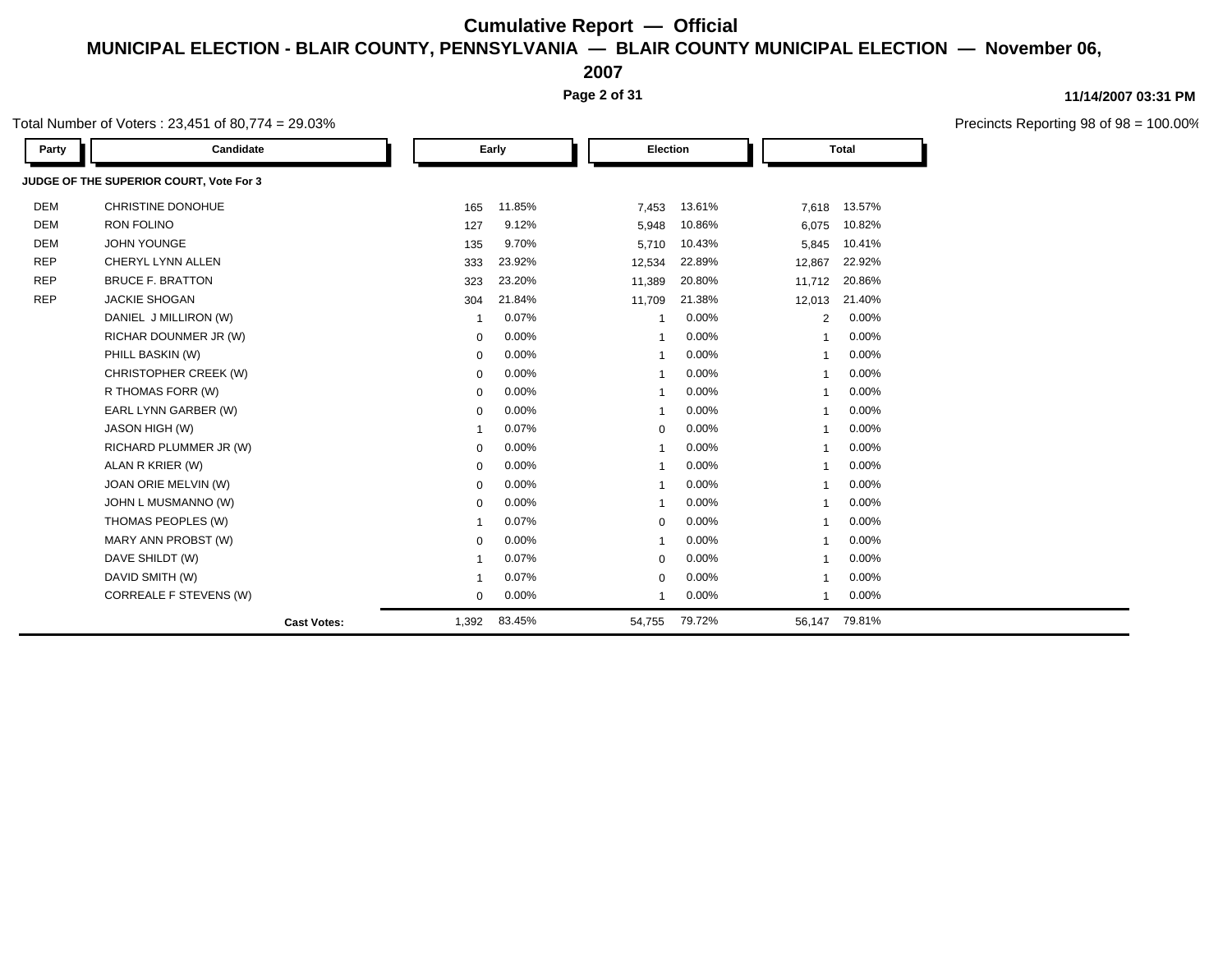**2007**

**Page 2 of 31**

### **11/14/2007 03:31 PM**

Precincts Reporting 98 of 98 = 100.00%

| Total Number of Voters : 23,451 of 80,774 = 29.03% |  |
|----------------------------------------------------|--|
|----------------------------------------------------|--|

| Party      | Candidate                               |                    |             | Early  |                         | Election |                         | <b>Total</b> |  |
|------------|-----------------------------------------|--------------------|-------------|--------|-------------------------|----------|-------------------------|--------------|--|
|            | JUDGE OF THE SUPERIOR COURT, Vote For 3 |                    |             |        |                         |          |                         |              |  |
| <b>DEM</b> | <b>CHRISTINE DONOHUE</b>                |                    | 165         | 11.85% | 7,453                   | 13.61%   | 7,618                   | 13.57%       |  |
| <b>DEM</b> | <b>RON FOLINO</b>                       |                    | 127         | 9.12%  | 5,948                   | 10.86%   | 6,075                   | 10.82%       |  |
| <b>DEM</b> | <b>JOHN YOUNGE</b>                      |                    | 135         | 9.70%  | 5,710                   | 10.43%   | 5,845                   | 10.41%       |  |
| <b>REP</b> | CHERYL LYNN ALLEN                       |                    | 333         | 23.92% | 12,534                  | 22.89%   | 12,867                  | 22.92%       |  |
| <b>REP</b> | <b>BRUCE F. BRATTON</b>                 |                    | 323         | 23.20% | 11,389                  | 20.80%   | 11,712                  | 20.86%       |  |
| <b>REP</b> | <b>JACKIE SHOGAN</b>                    |                    | 304         | 21.84% | 11,709                  | 21.38%   | 12,013                  | 21.40%       |  |
|            | DANIEL J MILLIRON (W)                   |                    | $\mathbf 1$ | 0.07%  | $\overline{\mathbf{1}}$ | 0.00%    | 2                       | 0.00%        |  |
|            | RICHAR DOUNMER JR (W)                   |                    | $\mathbf 0$ | 0.00%  | $\overline{\mathbf{1}}$ | 0.00%    | $\overline{1}$          | 0.00%        |  |
|            | PHILL BASKIN (W)                        |                    | $\mathbf 0$ | 0.00%  | $\overline{\mathbf{1}}$ | 0.00%    | $\overline{1}$          | 0.00%        |  |
|            | CHRISTOPHER CREEK (W)                   |                    | $\mathbf 0$ | 0.00%  |                         | 0.00%    |                         | 0.00%        |  |
|            | R THOMAS FORR (W)                       |                    | $\mathbf 0$ | 0.00%  | $\overline{\mathbf{1}}$ | 0.00%    | $\overline{1}$          | 0.00%        |  |
|            | EARL LYNN GARBER (W)                    |                    | 0           | 0.00%  | $\overline{\mathbf{1}}$ | 0.00%    | $\overline{\mathbf{1}}$ | 0.00%        |  |
|            | <b>JASON HIGH (W)</b>                   |                    | -1          | 0.07%  | $\mathbf 0$             | 0.00%    | $\overline{\mathbf{1}}$ | 0.00%        |  |
|            | RICHARD PLUMMER JR (W)                  |                    | $\mathbf 0$ | 0.00%  | $\overline{\mathbf{1}}$ | 0.00%    | $\overline{1}$          | 0.00%        |  |
|            | ALAN R KRIER (W)                        |                    | $\mathbf 0$ | 0.00%  | -1                      | 0.00%    |                         | 0.00%        |  |
|            | JOAN ORIE MELVIN (W)                    |                    | 0           | 0.00%  | $\overline{\mathbf{1}}$ | 0.00%    | 1                       | 0.00%        |  |
|            | JOHN L MUSMANNO (W)                     |                    | $\mathbf 0$ | 0.00%  | $\overline{\mathbf{1}}$ | 0.00%    | $\overline{1}$          | 0.00%        |  |
|            | THOMAS PEOPLES (W)                      |                    | -1          | 0.07%  | $\mathbf 0$             | 0.00%    |                         | 0.00%        |  |
|            | MARY ANN PROBST (W)                     |                    | $\mathbf 0$ | 0.00%  | -1                      | 0.00%    |                         | 0.00%        |  |
|            | DAVE SHILDT (W)                         |                    | -1          | 0.07%  | $\mathbf 0$             | 0.00%    | -1                      | 0.00%        |  |
|            | DAVID SMITH (W)                         |                    | $\mathbf 1$ | 0.07%  | $\mathbf 0$             | 0.00%    | $\overline{ }$          | 0.00%        |  |
|            | CORREALE F STEVENS (W)                  |                    | $\mathbf 0$ | 0.00%  | $\overline{\mathbf{1}}$ | 0.00%    | $\overline{1}$          | 0.00%        |  |
|            |                                         | <b>Cast Votes:</b> | 1,392       | 83.45% | 54,755                  | 79.72%   | 56,147                  | 79.81%       |  |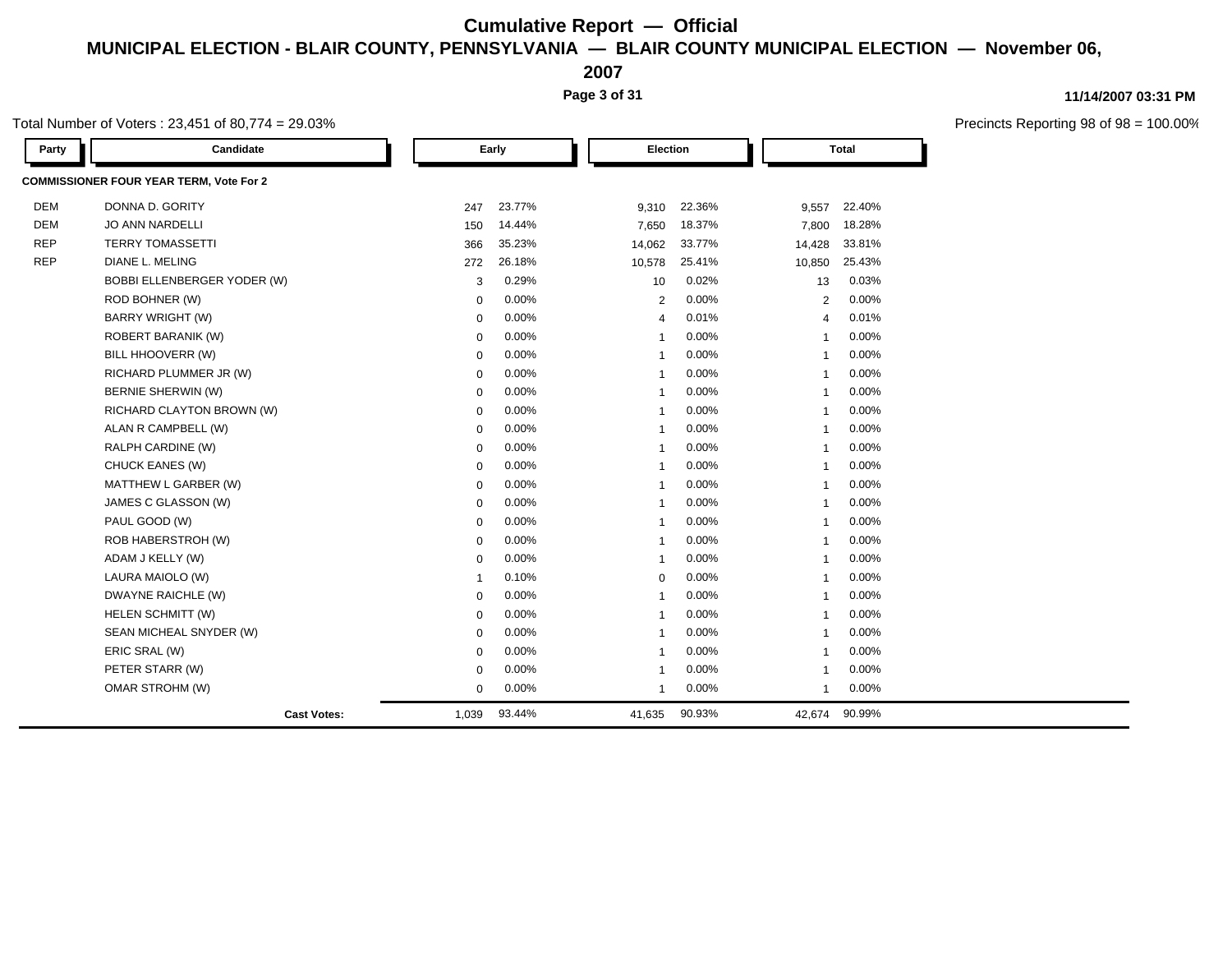**2007**

**Page 3 of 31**

### **11/14/2007 03:31 PM**

| Total Number of Voters : 23,451 of 80,774 = 29.03% |  |
|----------------------------------------------------|--|
|----------------------------------------------------|--|

| Party      | Candidate                                      |             | Early  | Election                |        |                         | Total  |  |
|------------|------------------------------------------------|-------------|--------|-------------------------|--------|-------------------------|--------|--|
|            | <b>COMMISSIONER FOUR YEAR TERM, Vote For 2</b> |             |        |                         |        |                         |        |  |
| <b>DEM</b> | DONNA D. GORITY                                | 247         | 23.77% | 9,310                   | 22.36% | 9,557                   | 22.40% |  |
| <b>DEM</b> | <b>JO ANN NARDELLI</b>                         | 150         | 14.44% | 7,650                   | 18.37% | 7,800                   | 18.28% |  |
| <b>REP</b> | <b>TERRY TOMASSETTI</b>                        | 366         | 35.23% | 14,062                  | 33.77% | 14,428                  | 33.81% |  |
| <b>REP</b> | DIANE L. MELING                                | 272         | 26.18% | 10,578                  | 25.41% | 10,850                  | 25.43% |  |
|            | BOBBI ELLENBERGER YODER (W)                    | 3           | 0.29%  | 10                      | 0.02%  | 13                      | 0.03%  |  |
|            | ROD BOHNER (W)                                 | $\mathbf 0$ | 0.00%  | $\overline{2}$          | 0.00%  | $\overline{2}$          | 0.00%  |  |
|            | <b>BARRY WRIGHT (W)</b>                        | $\mathbf 0$ | 0.00%  | $\overline{4}$          | 0.01%  | $\overline{4}$          | 0.01%  |  |
|            | ROBERT BARANIK (W)                             | $\mathbf 0$ | 0.00%  | -1                      | 0.00%  | $\overline{1}$          | 0.00%  |  |
|            | BILL HHOOVERR (W)                              | $\mathbf 0$ | 0.00%  | $\overline{1}$          | 0.00%  | $\overline{1}$          | 0.00%  |  |
|            | RICHARD PLUMMER JR (W)                         | $\mathbf 0$ | 0.00%  | $\overline{\mathbf{1}}$ | 0.00%  | $\overline{1}$          | 0.00%  |  |
|            | BERNIE SHERWIN (W)                             | $\mathbf 0$ | 0.00%  | $\overline{\mathbf{1}}$ | 0.00%  | $\overline{\mathbf{1}}$ | 0.00%  |  |
|            | RICHARD CLAYTON BROWN (W)                      | $\mathbf 0$ | 0.00%  | $\overline{\mathbf{1}}$ | 0.00%  | $\overline{\mathbf{1}}$ | 0.00%  |  |
|            | ALAN R CAMPBELL (W)                            | $\mathbf 0$ | 0.00%  | $\overline{1}$          | 0.00%  | $\overline{1}$          | 0.00%  |  |
|            | RALPH CARDINE (W)                              | $\mathbf 0$ | 0.00%  | $\overline{\mathbf{1}}$ | 0.00%  | $\overline{1}$          | 0.00%  |  |
|            | CHUCK EANES (W)                                | $\mathbf 0$ | 0.00%  | $\overline{1}$          | 0.00%  | $\overline{1}$          | 0.00%  |  |
|            | MATTHEW L GARBER (W)                           | $\mathbf 0$ | 0.00%  | $\overline{1}$          | 0.00%  | $\overline{1}$          | 0.00%  |  |
|            | JAMES C GLASSON (W)                            | 0           | 0.00%  | -1                      | 0.00%  | $\mathbf{1}$            | 0.00%  |  |
|            | PAUL GOOD (W)                                  | $\mathbf 0$ | 0.00%  | $\overline{1}$          | 0.00%  | $\overline{1}$          | 0.00%  |  |
|            | ROB HABERSTROH (W)                             | $\mathbf 0$ | 0.00%  | $\overline{1}$          | 0.00%  | $\overline{1}$          | 0.00%  |  |
|            | ADAM J KELLY (W)                               | 0           | 0.00%  | $\overline{1}$          | 0.00%  | $\overline{1}$          | 0.00%  |  |
|            | LAURA MAIOLO (W)                               | $\mathbf 1$ | 0.10%  | $\mathbf 0$             | 0.00%  | -1                      | 0.00%  |  |
|            | DWAYNE RAICHLE (W)                             | $\mathbf 0$ | 0.00%  | $\overline{1}$          | 0.00%  | $\overline{1}$          | 0.00%  |  |
|            | HELEN SCHMITT (W)                              | $\mathbf 0$ | 0.00%  | $\overline{1}$          | 0.00%  | 1                       | 0.00%  |  |
|            | SEAN MICHEAL SNYDER (W)                        | $\mathbf 0$ | 0.00%  | $\overline{1}$          | 0.00%  | $\overline{1}$          | 0.00%  |  |
|            | ERIC SRAL (W)                                  | 0           | 0.00%  | $\overline{1}$          | 0.00%  | $\overline{1}$          | 0.00%  |  |
|            | PETER STARR (W)                                | $\mathbf 0$ | 0.00%  | -1                      | 0.00%  | -1                      | 0.00%  |  |
|            | OMAR STROHM (W)                                | $\mathbf 0$ | 0.00%  | $\overline{1}$          | 0.00%  | $\mathbf{1}$            | 0.00%  |  |
|            | <b>Cast Votes:</b>                             | 1,039       | 93.44% | 41,635                  | 90.93% | 42,674                  | 90.99% |  |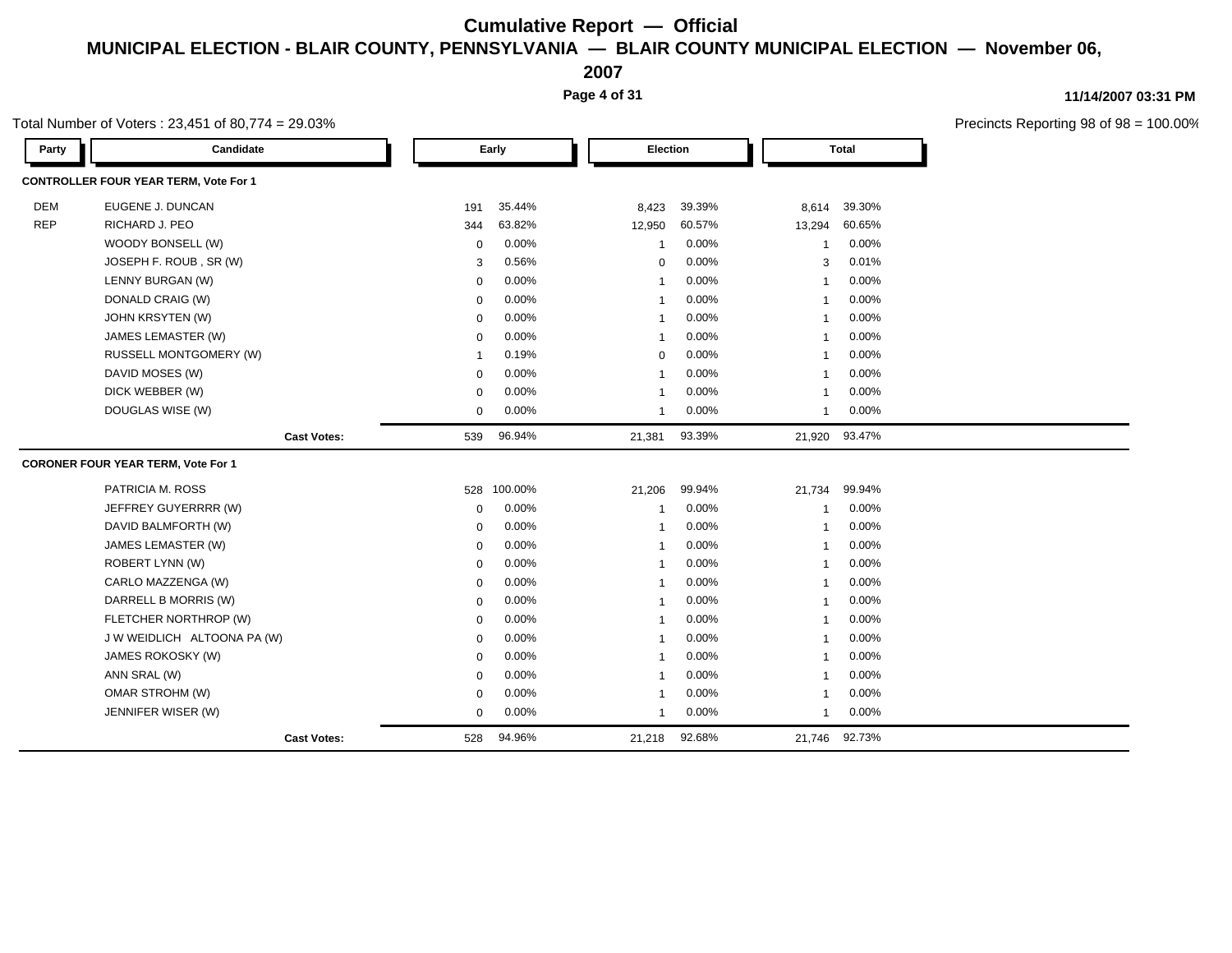**2007**

**Page 4 of 31**

### **11/14/2007 03:31 PM**

Precincts Reporting 98 of 98 = 100.00%

| Party      | Candidate                                    |             | Early   | <b>Election</b> |        |             | <b>Total</b>  |
|------------|----------------------------------------------|-------------|---------|-----------------|--------|-------------|---------------|
|            | <b>CONTROLLER FOUR YEAR TERM, Vote For 1</b> |             |         |                 |        |             |               |
| <b>DEM</b> | EUGENE J. DUNCAN                             | 191         | 35.44%  | 8,423           | 39.39% | 8,614       | 39.30%        |
| <b>REP</b> | RICHARD J. PEO                               | 344         | 63.82%  | 12,950          | 60.57% | 13,294      | 60.65%        |
|            | WOODY BONSELL (W)                            | $\mathbf 0$ | 0.00%   | 1               | 0.00%  | -1          | 0.00%         |
|            | JOSEPH F. ROUB, SR (W)                       | 3           | 0.56%   | 0               | 0.00%  | 3           | 0.01%         |
|            | LENNY BURGAN (W)                             | $\mathbf 0$ | 0.00%   | 1               | 0.00%  |             | 0.00%         |
|            | DONALD CRAIG (W)                             | $\mathbf 0$ | 0.00%   | -1              | 0.00%  | -1          | 0.00%         |
|            | JOHN KRSYTEN (W)                             | $\Omega$    | 0.00%   | -1              | 0.00%  |             | 0.00%         |
|            | JAMES LEMASTER (W)                           | $\Omega$    | 0.00%   | -1              | 0.00%  |             | 0.00%         |
|            | RUSSELL MONTGOMERY (W)                       |             | 0.19%   | $\mathbf 0$     | 0.00%  |             | 0.00%         |
|            | DAVID MOSES (W)                              | $\Omega$    | 0.00%   | -1              | 0.00%  |             | 0.00%         |
|            | DICK WEBBER (W)                              | $\Omega$    | 0.00%   | 1               | 0.00%  |             | 0.00%         |
|            | DOUGLAS WISE (W)                             | $\Omega$    | 0.00%   | $\mathbf{1}$    | 0.00%  | $\mathbf 1$ | 0.00%         |
|            | <b>Cast Votes:</b>                           | 539         | 96.94%  | 21,381          | 93.39% |             | 21,920 93.47% |
|            | <b>CORONER FOUR YEAR TERM, Vote For 1</b>    |             |         |                 |        |             |               |
|            | PATRICIA M. ROSS                             | 528         | 100.00% | 21,206          | 99.94% | 21,734      | 99.94%        |
|            | JEFFREY GUYERRRR (W)                         | $\mathbf 0$ | 0.00%   | 1               | 0.00%  |             | 0.00%         |
|            | DAVID BALMFORTH (W)                          | $\mathbf 0$ | 0.00%   | -1              | 0.00%  |             | 0.00%         |
|            | JAMES LEMASTER (W)                           | $\Omega$    | 0.00%   | $\overline{1}$  | 0.00%  |             | 0.00%         |
|            | ROBERT LYNN (W)                              | $\mathbf 0$ | 0.00%   | -1              | 0.00%  |             | 0.00%         |
|            | CARLO MAZZENGA (W)                           | $\Omega$    | 0.00%   | -1              | 0.00%  |             | 0.00%         |
|            | DARRELL B MORRIS (W)                         | $\Omega$    | 0.00%   | -1              | 0.00%  |             | 0.00%         |
|            | FLETCHER NORTHROP (W)                        | $\Omega$    | 0.00%   | $\overline{1}$  | 0.00%  |             | 0.00%         |
|            | J W WEIDLICH ALTOONA PA (W)                  | $\Omega$    | 0.00%   | -1              | 0.00%  |             | 0.00%         |
|            | JAMES ROKOSKY (W)                            | $\Omega$    | 0.00%   | $\overline{1}$  | 0.00%  |             | 0.00%         |
|            | ANN SRAL (W)                                 | $\mathbf 0$ | 0.00%   | -1              | 0.00%  |             | 0.00%         |
|            | OMAR STROHM (W)                              | $\mathbf 0$ | 0.00%   | $\overline{1}$  | 0.00%  |             | 0.00%         |
|            | JENNIFER WISER (W)                           | 0           | 0.00%   | -1              | 0.00%  | -1          | 0.00%         |
|            | <b>Cast Votes:</b>                           | 528         | 94.96%  | 21,218          | 92.68% | 21,746      | 92.73%        |

Total Number of Voters : 23,451 of 80,774 = 29.03%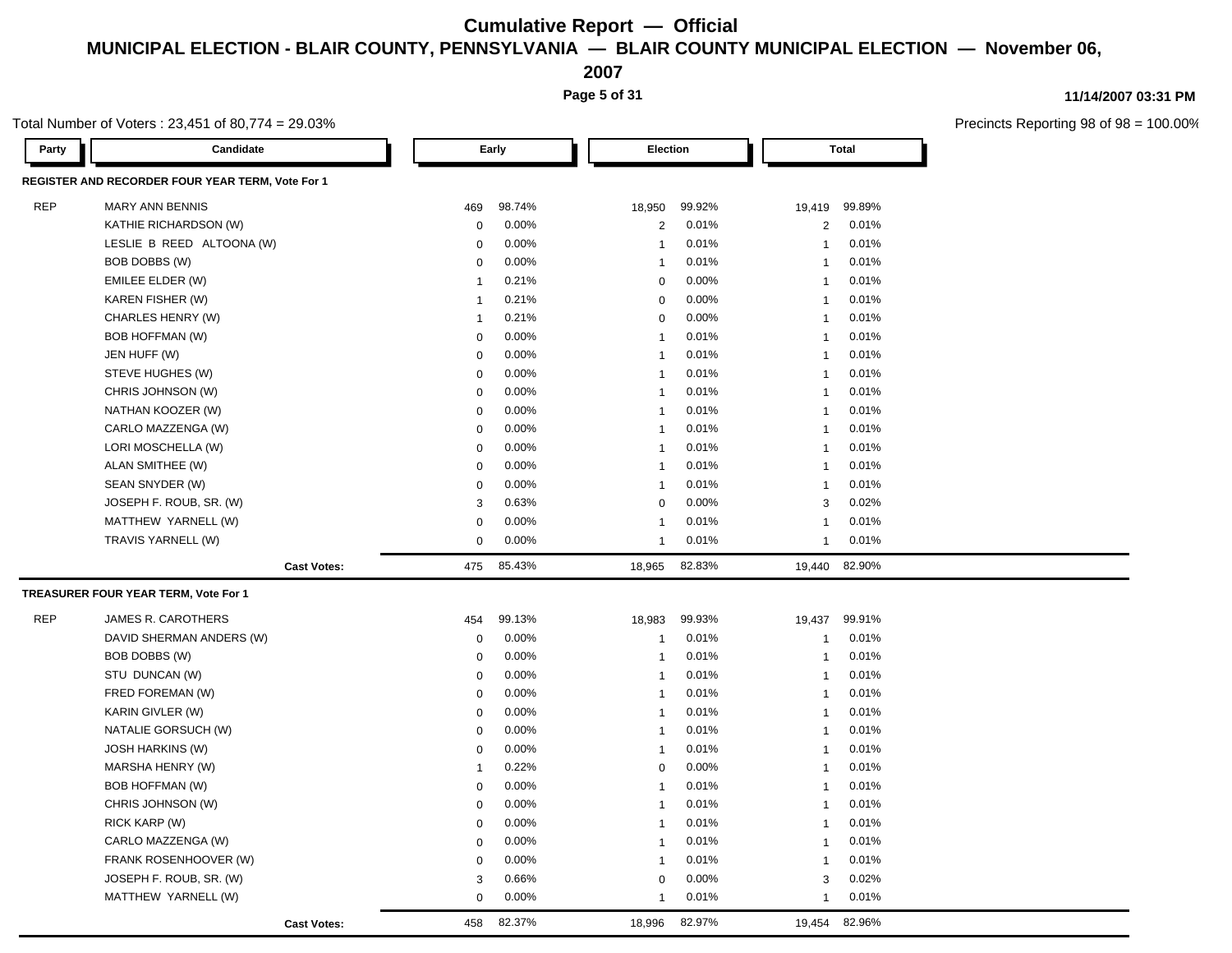**2007**

**Page 5 of 31**

### **11/14/2007 03:31 PM**

 $98 = 100.00\%$ 

|            | Total Number of Voters: $23,451$ of 80,774 = 29.03% |                |        |                 |        |                |              | Precincts Reporting 98 of |
|------------|-----------------------------------------------------|----------------|--------|-----------------|--------|----------------|--------------|---------------------------|
| Party      | Candidate                                           |                | Early  | <b>Election</b> |        |                | <b>Total</b> |                           |
|            | REGISTER AND RECORDER FOUR YEAR TERM, Vote For 1    |                |        |                 |        |                |              |                           |
| <b>REP</b> | <b>MARY ANN BENNIS</b>                              | 469            | 98.74% | 18,950          | 99.92% | 19,419         | 99.89%       |                           |
|            | KATHIE RICHARDSON (W)                               | $\mathbf 0$    | 0.00%  | $\overline{c}$  | 0.01%  | $\overline{2}$ | 0.01%        |                           |
|            | LESLIE B REED ALTOONA (W)                           | 0              | 0.00%  | $\overline{1}$  | 0.01%  | $\mathbf{1}$   | 0.01%        |                           |
|            | BOB DOBBS (W)                                       | $\mathbf 0$    | 0.00%  | $\overline{1}$  | 0.01%  | $\mathbf{1}$   | 0.01%        |                           |
|            | EMILEE ELDER (W)                                    | -1             | 0.21%  | 0               | 0.00%  | 1              | 0.01%        |                           |
|            | KAREN FISHER (W)                                    | -1             | 0.21%  | 0               | 0.00%  | $\mathbf{1}$   | 0.01%        |                           |
|            | CHARLES HENRY (W)                                   | -1             | 0.21%  | $\mathsf 0$     | 0.00%  | $\mathbf{1}$   | 0.01%        |                           |
|            | <b>BOB HOFFMAN (W)</b>                              | $\mathbf 0$    | 0.00%  | $\overline{1}$  | 0.01%  | $\mathbf{1}$   | 0.01%        |                           |
|            | JEN HUFF (W)                                        | $\mathbf 0$    | 0.00%  | $\overline{1}$  | 0.01%  | $\mathbf{1}$   | 0.01%        |                           |
|            | STEVE HUGHES (W)                                    | 0              | 0.00%  | $\overline{1}$  | 0.01%  | $\mathbf{1}$   | 0.01%        |                           |
|            | CHRIS JOHNSON (W)                                   | $\mathbf 0$    | 0.00%  | $\overline{1}$  | 0.01%  | $\mathbf{1}$   | 0.01%        |                           |
|            | NATHAN KOOZER (W)                                   | $\mathbf 0$    | 0.00%  | $\overline{1}$  | 0.01%  | $\mathbf{1}$   | 0.01%        |                           |
|            | CARLO MAZZENGA (W)                                  | $\mathbf 0$    | 0.00%  | $\overline{1}$  | 0.01%  | $\mathbf{1}$   | 0.01%        |                           |
|            | LORI MOSCHELLA (W)                                  | $\mathbf 0$    | 0.00%  | $\overline{1}$  | 0.01%  | $\mathbf{1}$   | 0.01%        |                           |
|            | ALAN SMITHEE (W)                                    | 0              | 0.00%  | $\overline{1}$  | 0.01%  | $\mathbf{1}$   | 0.01%        |                           |
|            | SEAN SNYDER (W)                                     | $\mathbf 0$    | 0.00%  | $\overline{1}$  | 0.01%  | -1             | 0.01%        |                           |
|            | JOSEPH F. ROUB, SR. (W)                             | 3              | 0.63%  | $\mathbf 0$     | 0.00%  | 3              | 0.02%        |                           |
|            | MATTHEW YARNELL (W)                                 | $\mathbf 0$    | 0.00%  | $\overline{1}$  | 0.01%  | $\mathbf{1}$   | 0.01%        |                           |
|            | TRAVIS YARNELL (W)                                  | $\mathbf 0$    | 0.00%  | $\overline{1}$  | 0.01%  | $\mathbf{1}$   | 0.01%        |                           |
|            | <b>Cast Votes:</b>                                  | 475            | 85.43% | 18,965          | 82.83% | 19,440         | 82.90%       |                           |
|            | TREASURER FOUR YEAR TERM, Vote For 1                |                |        |                 |        |                |              |                           |
| <b>REP</b> | JAMES R. CAROTHERS                                  | 454            | 99.13% | 18,983          | 99.93% | 19,437         | 99.91%       |                           |
|            | DAVID SHERMAN ANDERS (W)                            | $\mathbf 0$    | 0.00%  | $\overline{1}$  | 0.01%  | $\mathbf{1}$   | 0.01%        |                           |
|            | BOB DOBBS (W)                                       | $\mathbf 0$    | 0.00%  | $\overline{1}$  | 0.01%  | $\mathbf{1}$   | 0.01%        |                           |
|            | STU DUNCAN (W)                                      | $\mathbf 0$    | 0.00%  | $\overline{1}$  | 0.01%  | $\mathbf{1}$   | 0.01%        |                           |
|            | FRED FOREMAN (W)                                    | 0              | 0.00%  | $\overline{1}$  | 0.01%  | $\mathbf{1}$   | 0.01%        |                           |
|            | KARIN GIVLER (W)                                    | $\mathbf 0$    | 0.00%  | $\overline{1}$  | 0.01%  | $\mathbf{1}$   | 0.01%        |                           |
|            | NATALIE GORSUCH (W)                                 | $\mathbf 0$    | 0.00%  | $\overline{1}$  | 0.01%  | $\mathbf{1}$   | 0.01%        |                           |
|            | <b>JOSH HARKINS (W)</b>                             | $\mathbf 0$    | 0.00%  | $\overline{1}$  | 0.01%  | $\mathbf{1}$   | 0.01%        |                           |
|            | MARSHA HENRY (W)                                    | $\overline{1}$ | 0.22%  | 0               | 0.00%  | $\mathbf{1}$   | 0.01%        |                           |
|            | <b>BOB HOFFMAN (W)</b>                              | 0              | 0.00%  | $\overline{1}$  | 0.01%  | $\mathbf{1}$   | 0.01%        |                           |
|            | CHRIS JOHNSON (W)                                   | $\mathbf 0$    | 0.00%  | $\overline{1}$  | 0.01%  | $\mathbf{1}$   | 0.01%        |                           |
|            | RICK KARP (W)                                       | $\mathbf 0$    | 0.00%  | $\overline{1}$  | 0.01%  | $\mathbf{1}$   | 0.01%        |                           |
|            | CARLO MAZZENGA (W)                                  | $\mathbf 0$    | 0.00%  | $\overline{1}$  | 0.01%  | -1             | 0.01%        |                           |
|            | FRANK ROSENHOOVER (W)                               | $\mathbf 0$    | 0.00%  | $\overline{1}$  | 0.01%  | $\mathbf{1}$   | 0.01%        |                           |
|            | JOSEPH F. ROUB, SR. (W)                             | 3              | 0.66%  | 0               | 0.00%  | 3              | 0.02%        |                           |
|            | MATTHEW YARNELL (W)                                 | $\Omega$       | 0.00%  | $\overline{1}$  | 0.01%  | -1             | 0.01%        |                           |
|            | <b>Cast Votes:</b>                                  | 458            | 82.37% | 18,996          | 82.97% | 19,454         | 82.96%       |                           |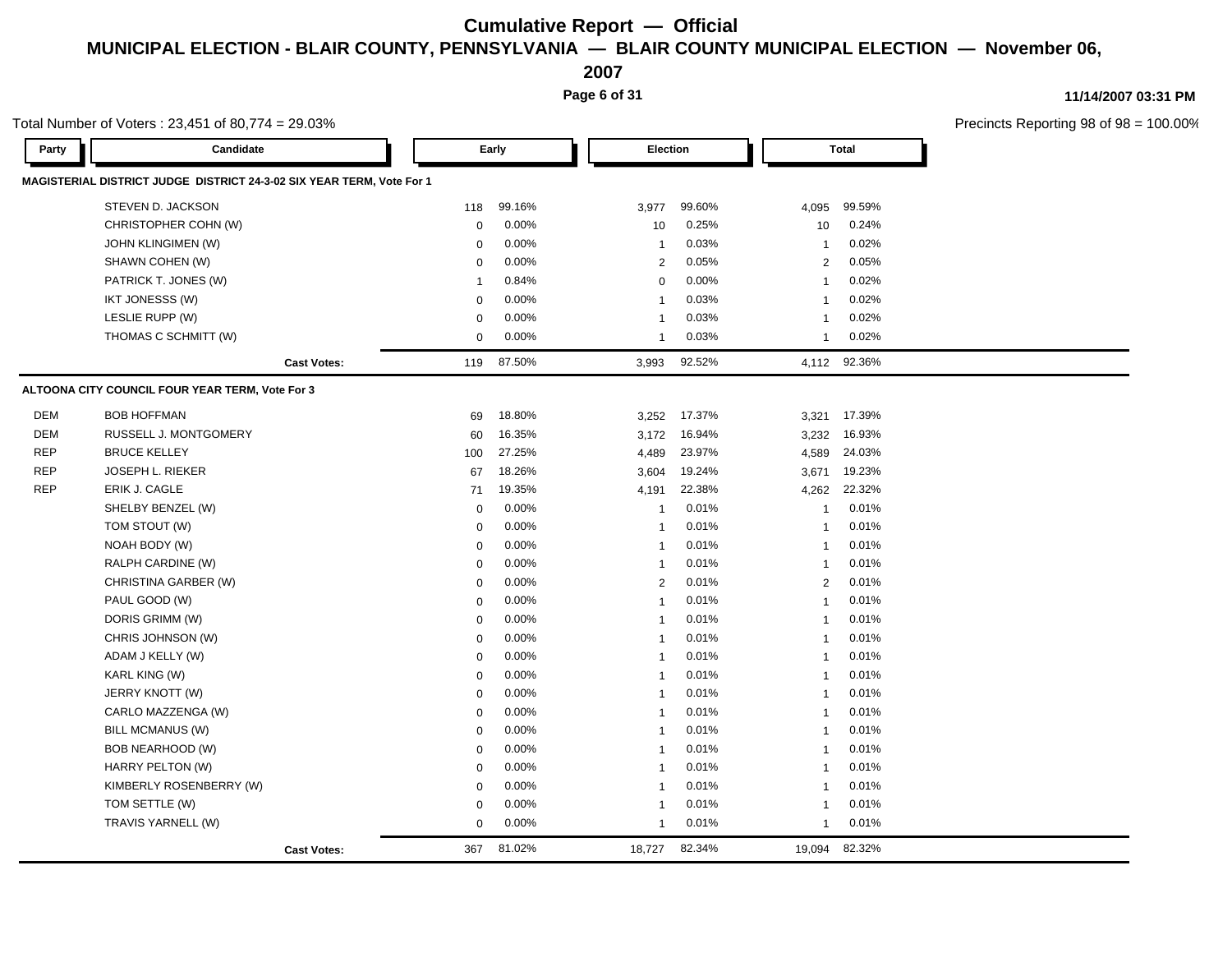**2007**

**Page 6 of 31**

#### **11/14/2007 03:31 PM**

|            | Total Number of Voters: 23,451 of 80,774 = 29.03%                     |                |        |                         |        |              |              | Precincts Reporting 98 of 98 = |
|------------|-----------------------------------------------------------------------|----------------|--------|-------------------------|--------|--------------|--------------|--------------------------------|
| Party      | Candidate                                                             |                | Early  | Election                |        |              | <b>Total</b> |                                |
|            | MAGISTERIAL DISTRICT JUDGE DISTRICT 24-3-02 SIX YEAR TERM, Vote For 1 |                |        |                         |        |              |              |                                |
|            | STEVEN D. JACKSON                                                     | 118            | 99.16% | 3,977                   | 99.60% | 4,095        | 99.59%       |                                |
|            | CHRISTOPHER COHN (W)                                                  | $\mathbf 0$    | 0.00%  | 10                      | 0.25%  | 10           | 0.24%        |                                |
|            | JOHN KLINGIMEN (W)                                                    | $\mathbf 0$    | 0.00%  | $\overline{1}$          | 0.03%  | -1           | 0.02%        |                                |
|            | SHAWN COHEN (W)                                                       | 0              | 0.00%  | 2                       | 0.05%  | 2            | 0.05%        |                                |
|            | PATRICK T. JONES (W)                                                  | $\overline{1}$ | 0.84%  | 0                       | 0.00%  | $\mathbf{1}$ | 0.02%        |                                |
|            | IKT JONESSS (W)                                                       | 0              | 0.00%  | $\overline{\mathbf{1}}$ | 0.03%  | -1           | 0.02%        |                                |
|            | LESLIE RUPP (W)                                                       | $\mathbf 0$    | 0.00%  | $\overline{\mathbf{1}}$ | 0.03%  | -1           | 0.02%        |                                |
|            | THOMAS C SCHMITT (W)                                                  | $\mathbf 0$    | 0.00%  | $\overline{1}$          | 0.03%  | $\mathbf{1}$ | 0.02%        |                                |
|            | <b>Cast Votes:</b>                                                    | 119            | 87.50% | 3,993                   | 92.52% | 4,112 92.36% |              |                                |
|            | ALTOONA CITY COUNCIL FOUR YEAR TERM, Vote For 3                       |                |        |                         |        |              |              |                                |
| <b>DEM</b> | <b>BOB HOFFMAN</b>                                                    | 69             | 18.80% | 3,252                   | 17.37% | 3,321 17.39% |              |                                |
| <b>DEM</b> | RUSSELL J. MONTGOMERY                                                 | 60             | 16.35% | 3,172                   | 16.94% | 3,232        | 16.93%       |                                |
| <b>REP</b> | <b>BRUCE KELLEY</b>                                                   | 100            | 27.25% | 4,489                   | 23.97% | 4,589        | 24.03%       |                                |
| <b>REP</b> | JOSEPH L. RIEKER                                                      | 67             | 18.26% | 3,604                   | 19.24% | 3,671        | 19.23%       |                                |
| <b>REP</b> | ERIK J. CAGLE                                                         | 71             | 19.35% | 4,191                   | 22.38% | 4,262        | 22.32%       |                                |
|            | SHELBY BENZEL (W)                                                     | 0              | 0.00%  | $\overline{1}$          | 0.01%  | $\mathbf{1}$ | 0.01%        |                                |
|            | TOM STOUT (W)                                                         | $\mathbf 0$    | 0.00%  | $\overline{\mathbf{1}}$ | 0.01%  | $\mathbf{1}$ | 0.01%        |                                |
|            | NOAH BODY (W)                                                         | $\mathbf 0$    | 0.00%  | $\overline{1}$          | 0.01%  | $\mathbf{1}$ | 0.01%        |                                |
|            | RALPH CARDINE (W)                                                     | $\mathbf 0$    | 0.00%  | $\overline{1}$          | 0.01%  | $\mathbf{1}$ | 0.01%        |                                |
|            | CHRISTINA GARBER (W)                                                  | $\mathbf 0$    | 0.00%  | 2                       | 0.01%  | 2            | 0.01%        |                                |
|            | PAUL GOOD (W)                                                         | $\mathbf 0$    | 0.00%  | $\overline{1}$          | 0.01%  | $\mathbf{1}$ | 0.01%        |                                |
|            | DORIS GRIMM (W)                                                       | $\mathbf 0$    | 0.00%  | $\overline{1}$          | 0.01%  | -1           | 0.01%        |                                |
|            | CHRIS JOHNSON (W)                                                     | $\mathbf 0$    | 0.00%  | $\overline{\mathbf{1}}$ | 0.01%  | -1           | 0.01%        |                                |
|            | ADAM J KELLY (W)                                                      | $\mathbf 0$    | 0.00%  | $\overline{1}$          | 0.01%  | $\mathbf{1}$ | 0.01%        |                                |
|            | KARL KING (W)                                                         | $\mathbf 0$    | 0.00%  | -1                      | 0.01%  | 1            | 0.01%        |                                |
|            | JERRY KNOTT (W)                                                       | $\mathbf 0$    | 0.00%  | -1                      | 0.01%  | $\mathbf{1}$ | 0.01%        |                                |
|            | CARLO MAZZENGA (W)                                                    | $\mathbf 0$    | 0.00%  | $\overline{\mathbf{1}}$ | 0.01%  | -1           | 0.01%        |                                |
|            | BILL MCMANUS (W)                                                      | $\mathbf 0$    | 0.00%  | $\overline{1}$          | 0.01%  | $\mathbf{1}$ | 0.01%        |                                |
|            | BOB NEARHOOD (W)                                                      | $\mathbf 0$    | 0.00%  | $\overline{\mathbf{1}}$ | 0.01%  | -1           | 0.01%        |                                |
|            | HARRY PELTON (W)                                                      | $\mathbf 0$    | 0.00%  | $\overline{1}$          | 0.01%  | $\mathbf{1}$ | 0.01%        |                                |
|            | KIMBERLY ROSENBERRY (W)                                               | $\mathbf 0$    | 0.00%  | $\overline{\mathbf{1}}$ | 0.01%  | 1            | 0.01%        |                                |
|            | TOM SETTLE (W)                                                        | $\mathbf 0$    | 0.00%  | -1                      | 0.01%  | 1            | 0.01%        |                                |
|            | TRAVIS YARNELL (W)                                                    | $\mathbf 0$    | 0.00%  | $\overline{1}$          | 0.01%  | -1           | 0.01%        |                                |
|            | <b>Cast Votes:</b>                                                    | 367            | 81.02% | 18,727                  | 82.34% | 19,094       | 82.32%       |                                |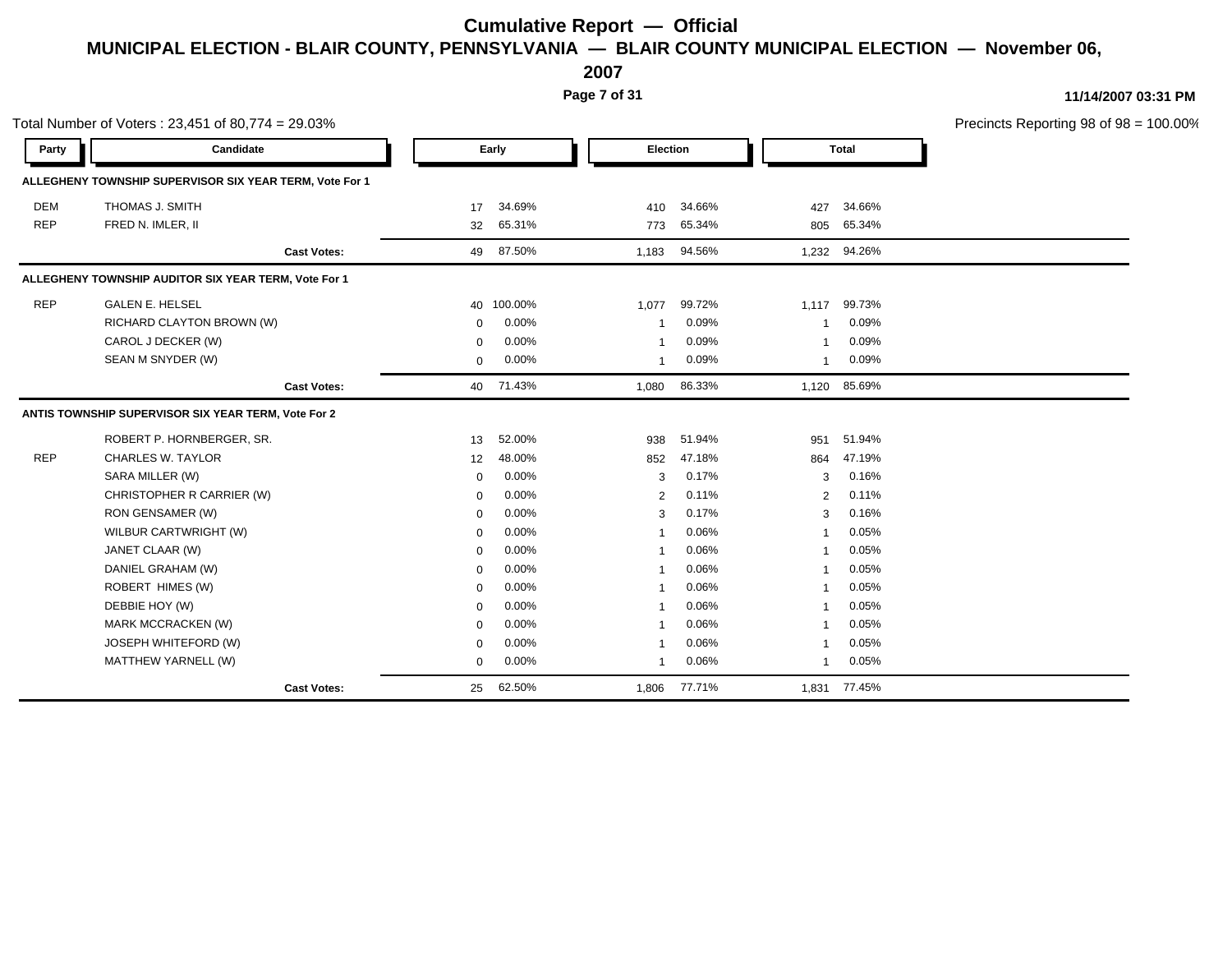**2007**

**Page 7 of 31**

|            | Total Number of Voters: 23,451 of 80,774 = 29.03%       |                    |              |            |          |        |                |              | Precincts Reporting 98 of 98 = 100.00% |
|------------|---------------------------------------------------------|--------------------|--------------|------------|----------|--------|----------------|--------------|----------------------------------------|
| Party      | Candidate                                               |                    |              | Early      | Election |        |                | <b>Total</b> |                                        |
|            | ALLEGHENY TOWNSHIP SUPERVISOR SIX YEAR TERM, Vote For 1 |                    |              |            |          |        |                |              |                                        |
| <b>DEM</b> | THOMAS J. SMITH                                         |                    | 17           | 34.69%     | 410      | 34.66% | 427            | 34.66%       |                                        |
| <b>REP</b> | FRED N. IMLER, II                                       |                    | 32           | 65.31%     | 773      | 65.34% | 805            | 65.34%       |                                        |
|            |                                                         | <b>Cast Votes:</b> | 49           | 87.50%     | 1,183    | 94.56% | 1,232          | 94.26%       |                                        |
|            | ALLEGHENY TOWNSHIP AUDITOR SIX YEAR TERM, Vote For 1    |                    |              |            |          |        |                |              |                                        |
| <b>REP</b> | <b>GALEN E. HELSEL</b>                                  |                    |              | 40 100.00% | 1,077    | 99.72% | 1,117          | 99.73%       |                                        |
|            | RICHARD CLAYTON BROWN (W)                               |                    | $\mathbf 0$  | 0.00%      | 1        | 0.09%  | $\mathbf{1}$   | 0.09%        |                                        |
|            | CAROL J DECKER (W)                                      |                    | $\mathbf 0$  | 0.00%      | -1       | 0.09%  | -1             | 0.09%        |                                        |
|            | SEAN M SNYDER (W)                                       |                    | $\mathbf{0}$ | 0.00%      | -1       | 0.09%  | $\mathbf{1}$   | 0.09%        |                                        |
|            |                                                         | <b>Cast Votes:</b> | 40           | 71.43%     | 1,080    | 86.33% | 1,120          | 85.69%       |                                        |
|            | ANTIS TOWNSHIP SUPERVISOR SIX YEAR TERM, Vote For 2     |                    |              |            |          |        |                |              |                                        |
|            | ROBERT P. HORNBERGER, SR.                               |                    | 13           | 52.00%     | 938      | 51.94% | 951            | 51.94%       |                                        |
| <b>REP</b> | <b>CHARLES W. TAYLOR</b>                                |                    | 12           | 48.00%     | 852      | 47.18% | 864            | 47.19%       |                                        |
|            | SARA MILLER (W)                                         |                    | $\mathbf{0}$ | 0.00%      | 3        | 0.17%  | 3              | 0.16%        |                                        |
|            | CHRISTOPHER R CARRIER (W)                               |                    | $\mathbf 0$  | 0.00%      | 2        | 0.11%  | 2              | 0.11%        |                                        |
|            | RON GENSAMER (W)                                        |                    | $\Omega$     | 0.00%      | 3        | 0.17%  | 3              | 0.16%        |                                        |
|            | WILBUR CARTWRIGHT (W)                                   |                    | $\Omega$     | 0.00%      |          | 0.06%  |                | 0.05%        |                                        |
|            | JANET CLAAR (W)                                         |                    | $\mathbf{0}$ | 0.00%      | -1       | 0.06%  | $\mathbf{1}$   | 0.05%        |                                        |
|            | DANIEL GRAHAM (W)                                       |                    | $\mathbf 0$  | 0.00%      | -1       | 0.06%  | $\mathbf{1}$   | 0.05%        |                                        |
|            | ROBERT HIMES (W)                                        |                    | $\mathbf 0$  | 0.00%      | -1       | 0.06%  | $\mathbf{1}$   | 0.05%        |                                        |
|            | DEBBIE HOY (W)                                          |                    | $\mathbf{0}$ | 0.00%      | -1       | 0.06%  | $\overline{1}$ | 0.05%        |                                        |
|            | MARK MCCRACKEN (W)                                      |                    | $\Omega$     | 0.00%      |          | 0.06%  | $\mathbf 1$    | 0.05%        |                                        |
|            | JOSEPH WHITEFORD (W)                                    |                    | $\mathbf 0$  | 0.00%      | -1       | 0.06%  | $\mathbf{1}$   | 0.05%        |                                        |
|            | MATTHEW YARNELL (W)                                     |                    | $\mathbf 0$  | 0.00%      | 1        | 0.06%  | $\mathbf{1}$   | 0.05%        |                                        |
|            |                                                         | <b>Cast Votes:</b> | 25           | 62.50%     | 1,806    | 77.71% |                | 1,831 77.45% |                                        |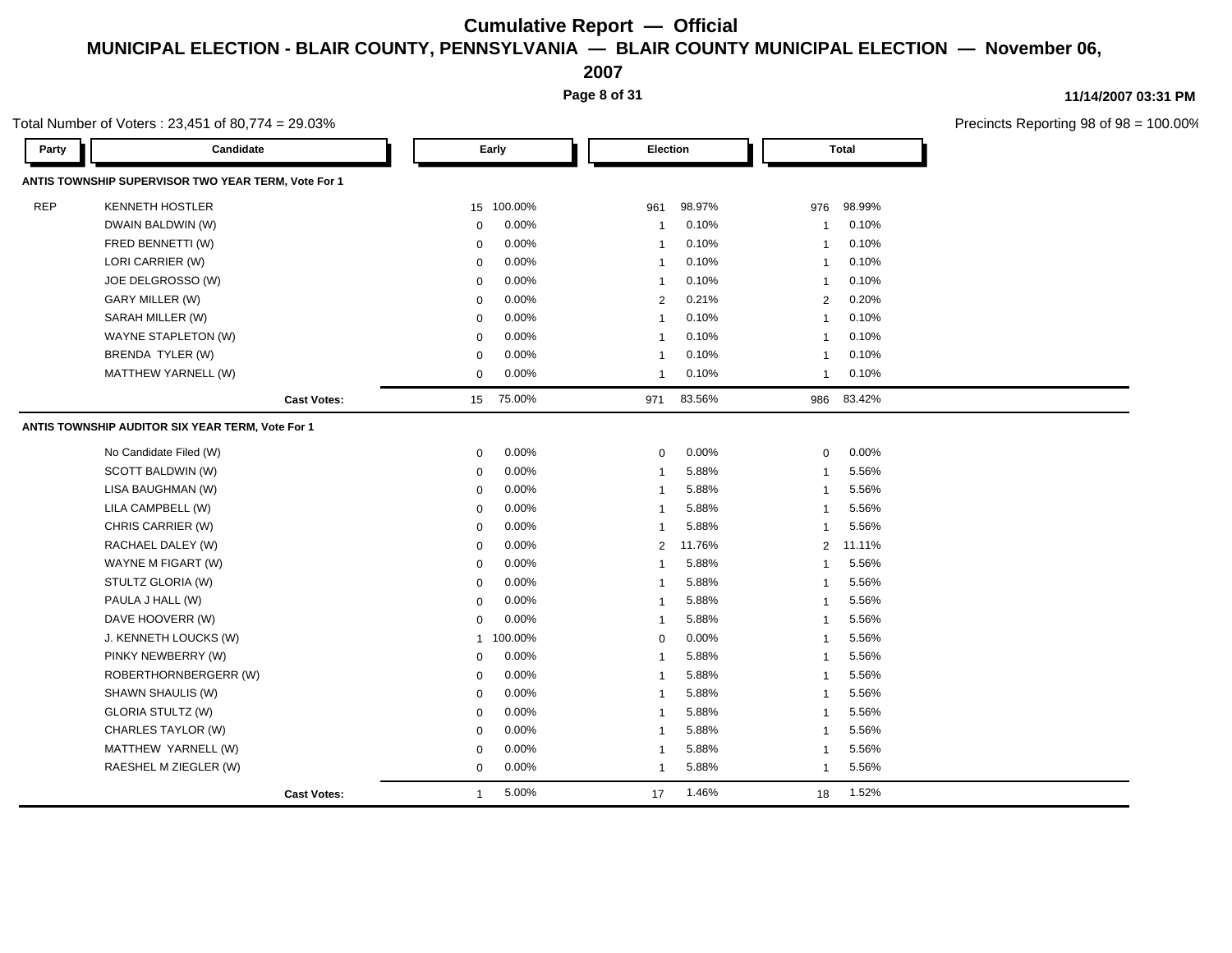**2007**

**Page 8 of 31**

### **11/14/2007 03:31 PM**

|            | Total Number of Voters: 23,451 of 80,774 = 29.03%   |              |            |                 |        |                         |              | Precincts Reporting 98 of 98 |
|------------|-----------------------------------------------------|--------------|------------|-----------------|--------|-------------------------|--------------|------------------------------|
| Party      | Candidate                                           |              | Early      | <b>Election</b> |        |                         | <b>Total</b> |                              |
|            | ANTIS TOWNSHIP SUPERVISOR TWO YEAR TERM, Vote For 1 |              |            |                 |        |                         |              |                              |
| <b>REP</b> | <b>KENNETH HOSTLER</b>                              |              | 15 100.00% | 961             | 98.97% | 976                     | 98.99%       |                              |
|            | DWAIN BALDWIN (W)                                   | $\mathbf 0$  | 0.00%      | $\mathbf{1}$    | 0.10%  | $\mathbf{1}$            | 0.10%        |                              |
|            | FRED BENNETTI (W)                                   | 0            | 0.00%      | $\mathbf{1}$    | 0.10%  | $\mathbf{1}$            | 0.10%        |                              |
|            | LORI CARRIER (W)                                    | 0            | 0.00%      | $\mathbf{1}$    | 0.10%  | $\mathbf{1}$            | 0.10%        |                              |
|            | JOE DELGROSSO (W)                                   | $\mathbf 0$  | 0.00%      | $\mathbf{1}$    | 0.10%  | $\overline{1}$          | 0.10%        |                              |
|            | GARY MILLER (W)                                     | 0            | 0.00%      | $\overline{2}$  | 0.21%  | $\overline{2}$          | 0.20%        |                              |
|            | SARAH MILLER (W)                                    | 0            | 0.00%      | $\mathbf{1}$    | 0.10%  | $\mathbf{1}$            | 0.10%        |                              |
|            | WAYNE STAPLETON (W)                                 | $\mathbf 0$  | 0.00%      | $\overline{1}$  | 0.10%  | $\overline{1}$          | 0.10%        |                              |
|            | BRENDA TYLER (W)                                    | 0            | 0.00%      | $\mathbf 1$     | 0.10%  | $\mathbf{1}$            | 0.10%        |                              |
|            | MATTHEW YARNELL (W)                                 | $\mathbf 0$  | 0.00%      | $\mathbf 1$     | 0.10%  | $\mathbf{1}$            | 0.10%        |                              |
|            | <b>Cast Votes:</b>                                  | 15           | 75.00%     | 971             | 83.56% | 986                     | 83.42%       |                              |
|            | ANTIS TOWNSHIP AUDITOR SIX YEAR TERM, Vote For 1    |              |            |                 |        |                         |              |                              |
|            | No Candidate Filed (W)                              | $\mathbf 0$  | 0.00%      | $\mathbf 0$     | 0.00%  | $\mathbf 0$             | 0.00%        |                              |
|            | SCOTT BALDWIN (W)                                   | $\mathbf 0$  | 0.00%      | $\mathbf{1}$    | 5.88%  | $\overline{1}$          | 5.56%        |                              |
|            | LISA BAUGHMAN (W)                                   | 0            | $0.00\%$   | $\overline{1}$  | 5.88%  | $\overline{1}$          | 5.56%        |                              |
|            | LILA CAMPBELL (W)                                   | $\mathbf 0$  | 0.00%      | $\mathbf{1}$    | 5.88%  | $\overline{1}$          | 5.56%        |                              |
|            | CHRIS CARRIER (W)                                   | $\mathbf 0$  | 0.00%      | $\mathbf{1}$    | 5.88%  | $\overline{1}$          | 5.56%        |                              |
|            | RACHAEL DALEY (W)                                   | $\mathbf 0$  | 0.00%      | 2               | 11.76% | 2                       | 11.11%       |                              |
|            | WAYNE M FIGART (W)                                  | $\mathbf 0$  | 0.00%      | $\mathbf{1}$    | 5.88%  | $\overline{1}$          | 5.56%        |                              |
|            | STULTZ GLORIA (W)                                   | $\mathbf 0$  | 0.00%      | $\mathbf{1}$    | 5.88%  | $\overline{1}$          | 5.56%        |                              |
|            | PAULA J HALL (W)                                    | $\mathbf 0$  | 0.00%      | $\overline{1}$  | 5.88%  | $\overline{\mathbf{1}}$ | 5.56%        |                              |
|            | DAVE HOOVERR (W)                                    | $\mathbf 0$  | 0.00%      | $\mathbf{1}$    | 5.88%  | $\overline{1}$          | 5.56%        |                              |
|            | J. KENNETH LOUCKS (W)                               | $\mathbf{1}$ | 100.00%    | $\mathbf 0$     | 0.00%  | $\overline{1}$          | 5.56%        |                              |
|            | PINKY NEWBERRY (W)                                  | $\mathbf 0$  | 0.00%      | $\overline{1}$  | 5.88%  | $\overline{1}$          | 5.56%        |                              |
|            | ROBERTHORNBERGERR (W)                               | $\mathbf 0$  | 0.00%      | $\mathbf{1}$    | 5.88%  | $\overline{1}$          | 5.56%        |                              |
|            | SHAWN SHAULIS (W)                                   | 0            | 0.00%      | $\mathbf{1}$    | 5.88%  | $\overline{1}$          | 5.56%        |                              |
|            | <b>GLORIA STULTZ (W)</b>                            | $\mathbf 0$  | 0.00%      | $\mathbf{1}$    | 5.88%  | $\overline{1}$          | 5.56%        |                              |
|            | CHARLES TAYLOR (W)                                  | $\mathbf 0$  | 0.00%      | $\mathbf{1}$    | 5.88%  | $\overline{1}$          | 5.56%        |                              |
|            | MATTHEW YARNELL (W)                                 | $\mathbf 0$  | 0.00%      | $\overline{1}$  | 5.88%  | $\overline{1}$          | 5.56%        |                              |
|            | RAESHEL M ZIEGLER (W)                               | $\mathbf 0$  | 0.00%      | $\mathbf{1}$    | 5.88%  | $\mathbf{1}$            | 5.56%        |                              |
|            | <b>Cast Votes:</b>                                  | 1            | 5.00%      | 17              | 1.46%  | 18                      | 1.52%        |                              |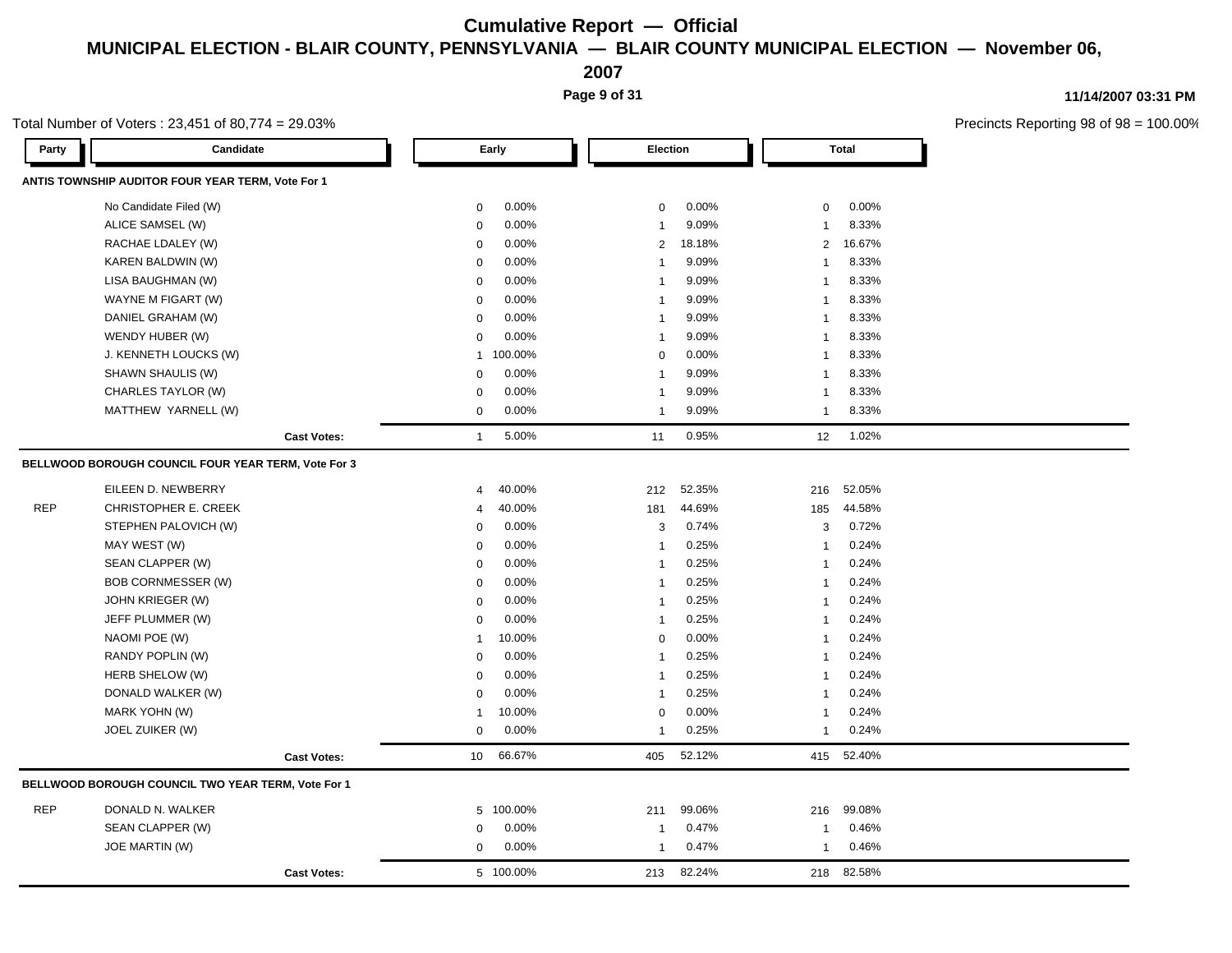**2007**

**Page 9 of 31**

**11/14/2007 03:31 PM**

|            | Total Number of Voters: 23,451 of 80,774 = 29.03%   |                    |                 |           |                |        |                |              | Precincts Reporting 98 of 98 = |
|------------|-----------------------------------------------------|--------------------|-----------------|-----------|----------------|--------|----------------|--------------|--------------------------------|
| Party      | Candidate                                           |                    |                 | Early     | Election       |        |                | <b>Total</b> |                                |
|            | ANTIS TOWNSHIP AUDITOR FOUR YEAR TERM, Vote For 1   |                    |                 |           |                |        |                |              |                                |
|            | No Candidate Filed (W)                              |                    | $\mathbf 0$     | 0.00%     | $\mathbf 0$    | 0.00%  | 0              | 0.00%        |                                |
|            | ALICE SAMSEL (W)                                    |                    | $\mathbf 0$     | 0.00%     | $\mathbf{1}$   | 9.09%  | 1              | 8.33%        |                                |
|            | RACHAE LDALEY (W)                                   |                    | $\mathbf 0$     | 0.00%     | $\overline{2}$ | 18.18% | $\overline{2}$ | 16.67%       |                                |
|            | KAREN BALDWIN (W)                                   |                    | $\mathbf 0$     | 0.00%     | $\mathbf{1}$   | 9.09%  | $\mathbf{1}$   | 8.33%        |                                |
|            | LISA BAUGHMAN (W)                                   |                    | $\mathbf 0$     | 0.00%     | $\mathbf{1}$   | 9.09%  | $\mathbf{1}$   | 8.33%        |                                |
|            | WAYNE M FIGART (W)                                  |                    | $\mathbf 0$     | 0.00%     | $\mathbf{1}$   | 9.09%  | 1              | 8.33%        |                                |
|            | DANIEL GRAHAM (W)                                   |                    | 0               | 0.00%     | $\mathbf{1}$   | 9.09%  | 1              | 8.33%        |                                |
|            | WENDY HUBER (W)                                     |                    | $\mathbf 0$     | 0.00%     | $\mathbf{1}$   | 9.09%  | $\mathbf{1}$   | 8.33%        |                                |
|            | J. KENNETH LOUCKS (W)                               |                    | 1               | 100.00%   | $\mathbf 0$    | 0.00%  | $\mathbf{1}$   | 8.33%        |                                |
|            | SHAWN SHAULIS (W)                                   |                    | 0               | 0.00%     | 1              | 9.09%  | $\mathbf{1}$   | 8.33%        |                                |
|            | CHARLES TAYLOR (W)                                  |                    | $\mathbf 0$     | 0.00%     | $\mathbf{1}$   | 9.09%  | $\mathbf{1}$   | 8.33%        |                                |
|            | MATTHEW YARNELL (W)                                 |                    | $\mathbf 0$     | 0.00%     | $\mathbf{1}$   | 9.09%  | $\mathbf{1}$   | 8.33%        |                                |
|            |                                                     | <b>Cast Votes:</b> | $\mathbf{1}$    | 5.00%     | 11             | 0.95%  | 12             | 1.02%        |                                |
|            | BELLWOOD BOROUGH COUNCIL FOUR YEAR TERM, Vote For 3 |                    |                 |           |                |        |                |              |                                |
|            | EILEEN D. NEWBERRY                                  |                    | 4               | 40.00%    | 212            | 52.35% | 216            | 52.05%       |                                |
| <b>REP</b> | CHRISTOPHER E. CREEK                                |                    | 4               | 40.00%    | 181            | 44.69% | 185            | 44.58%       |                                |
|            | STEPHEN PALOVICH (W)                                |                    | $\mathbf 0$     | 0.00%     | 3              | 0.74%  | 3              | 0.72%        |                                |
|            | MAY WEST (W)                                        |                    | $\mathbf 0$     | 0.00%     | $\mathbf{1}$   | 0.25%  | $\mathbf{1}$   | 0.24%        |                                |
|            | SEAN CLAPPER (W)                                    |                    | 0               | 0.00%     | $\mathbf{1}$   | 0.25%  | $\mathbf{1}$   | 0.24%        |                                |
|            | <b>BOB CORNMESSER (W)</b>                           |                    | $\mathbf 0$     | 0.00%     | $\mathbf{1}$   | 0.25%  | $\mathbf{1}$   | 0.24%        |                                |
|            | JOHN KRIEGER (W)                                    |                    | $\mathbf 0$     | 0.00%     | $\mathbf{1}$   | 0.25%  | 1              | 0.24%        |                                |
|            | JEFF PLUMMER (W)                                    |                    | 0               | 0.00%     | $\mathbf{1}$   | 0.25%  | $\mathbf{1}$   | 0.24%        |                                |
|            | NAOMI POE (W)                                       |                    | $\mathbf 1$     | 10.00%    | $\mathbf 0$    | 0.00%  | $\mathbf{1}$   | 0.24%        |                                |
|            | RANDY POPLIN (W)                                    |                    | 0               | 0.00%     | $\mathbf{1}$   | 0.25%  | $\mathbf{1}$   | 0.24%        |                                |
|            | HERB SHELOW (W)                                     |                    | $\mathbf 0$     | 0.00%     | $\mathbf{1}$   | 0.25%  | 1              | 0.24%        |                                |
|            | DONALD WALKER (W)                                   |                    | $\Omega$        | 0.00%     | $\mathbf{1}$   | 0.25%  | $\mathbf{1}$   | 0.24%        |                                |
|            | MARK YOHN (W)                                       |                    | 1               | 10.00%    | 0              | 0.00%  | $\mathbf{1}$   | 0.24%        |                                |
|            | JOEL ZUIKER (W)                                     |                    | $\mathbf 0$     | 0.00%     | 1              | 0.25%  | 1              | 0.24%        |                                |
|            |                                                     | <b>Cast Votes:</b> | 10 <sup>1</sup> | 66.67%    | 405            | 52.12% |                | 415 52.40%   |                                |
|            | BELLWOOD BOROUGH COUNCIL TWO YEAR TERM, Vote For 1  |                    |                 |           |                |        |                |              |                                |
| <b>REP</b> | DONALD N. WALKER                                    |                    |                 | 5 100.00% | 211            | 99.06% | 216            | 99.08%       |                                |
|            | SEAN CLAPPER (W)                                    |                    | $\mathbf 0$     | 0.00%     | 1              | 0.47%  | 1              | 0.46%        |                                |
|            | <b>JOE MARTIN (W)</b>                               |                    | 0               | 0.00%     | $\mathbf{1}$   | 0.47%  | 1              | 0.46%        |                                |
|            |                                                     | <b>Cast Votes:</b> |                 | 5 100.00% | 213            | 82.24% | 218            | 82.58%       |                                |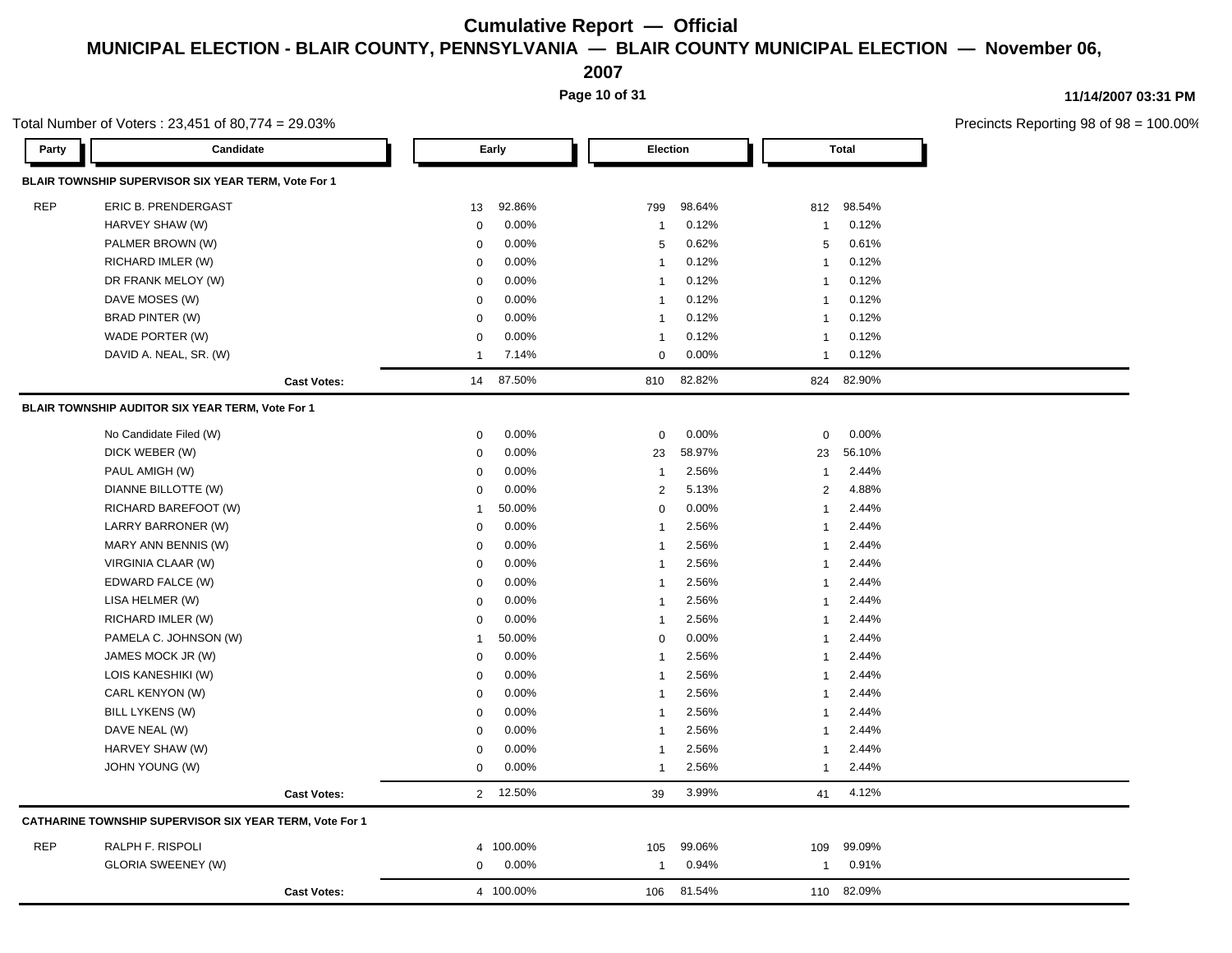**2007**

**Page 10 of 31**

**11/14/2007 03:31 PM**

|            | Total Number of Voters: 23,451 of 80,774 = 29.03%       |                    |                |           |                         |        |                |              | Precincts Reporting 98 of 98 = |
|------------|---------------------------------------------------------|--------------------|----------------|-----------|-------------------------|--------|----------------|--------------|--------------------------------|
| Party      | Candidate                                               |                    |                | Early     | Election                |        |                | <b>Total</b> |                                |
|            | BLAIR TOWNSHIP SUPERVISOR SIX YEAR TERM, Vote For 1     |                    |                |           |                         |        |                |              |                                |
| <b>REP</b> | ERIC B. PRENDERGAST                                     |                    | 13             | 92.86%    | 799                     | 98.64% | 812            | 98.54%       |                                |
|            | HARVEY SHAW (W)                                         |                    | $\mathbf 0$    | 0.00%     | $\overline{1}$          | 0.12%  | $\mathbf{1}$   | 0.12%        |                                |
|            | PALMER BROWN (W)                                        |                    | $\mathbf 0$    | 0.00%     | 5                       | 0.62%  | 5              | 0.61%        |                                |
|            | RICHARD IMLER (W)                                       |                    | 0              | 0.00%     | $\overline{\mathbf{1}}$ | 0.12%  | 1              | 0.12%        |                                |
|            | DR FRANK MELOY (W)                                      |                    | $\mathbf 0$    | 0.00%     | $\overline{1}$          | 0.12%  | $\mathbf{1}$   | 0.12%        |                                |
|            | DAVE MOSES (W)                                          |                    | $\mathbf 0$    | 0.00%     | $\overline{1}$          | 0.12%  | 1              | 0.12%        |                                |
|            | <b>BRAD PINTER (W)</b>                                  |                    | $\mathbf 0$    | 0.00%     | $\overline{1}$          | 0.12%  | $\mathbf{1}$   | 0.12%        |                                |
|            | WADE PORTER (W)                                         |                    | $\mathbf 0$    | 0.00%     | $\overline{\mathbf{1}}$ | 0.12%  | $\mathbf{1}$   | 0.12%        |                                |
|            | DAVID A. NEAL, SR. (W)                                  |                    | $\overline{1}$ | 7.14%     | 0                       | 0.00%  | $\mathbf{1}$   | 0.12%        |                                |
|            |                                                         | <b>Cast Votes:</b> | 14             | 87.50%    | 810                     | 82.82% | 824            | 82.90%       |                                |
|            | BLAIR TOWNSHIP AUDITOR SIX YEAR TERM, Vote For 1        |                    |                |           |                         |        |                |              |                                |
|            | No Candidate Filed (W)                                  |                    | $\mathbf 0$    | 0.00%     | 0                       | 0.00%  | $\pmb{0}$      | 0.00%        |                                |
|            | DICK WEBER (W)                                          |                    | 0              | 0.00%     | 23                      | 58.97% | 23             | 56.10%       |                                |
|            | PAUL AMIGH (W)                                          |                    | $\mathbf 0$    | 0.00%     | $\overline{1}$          | 2.56%  | $\mathbf{1}$   | 2.44%        |                                |
|            | DIANNE BILLOTTE (W)                                     |                    | $\mathbf 0$    | 0.00%     | 2                       | 5.13%  | $\overline{2}$ | 4.88%        |                                |
|            | RICHARD BAREFOOT (W)                                    |                    | $\mathbf{1}$   | 50.00%    | $\mathbf 0$             | 0.00%  | $\mathbf{1}$   | 2.44%        |                                |
|            | LARRY BARRONER (W)                                      |                    | $\mathbf 0$    | 0.00%     | $\overline{1}$          | 2.56%  | $\mathbf{1}$   | 2.44%        |                                |
|            | MARY ANN BENNIS (W)                                     |                    | 0              | 0.00%     | $\overline{1}$          | 2.56%  | $\mathbf{1}$   | 2.44%        |                                |
|            | VIRGINIA CLAAR (W)                                      |                    | $\mathbf 0$    | 0.00%     | $\overline{\mathbf{1}}$ | 2.56%  | $\mathbf 1$    | 2.44%        |                                |
|            | EDWARD FALCE (W)                                        |                    | $\mathbf 0$    | 0.00%     | $\mathbf{1}$            | 2.56%  | $\mathbf{1}$   | 2.44%        |                                |
|            | LISA HELMER (W)                                         |                    | $\mathbf 0$    | 0.00%     | $\overline{1}$          | 2.56%  | $\mathbf{1}$   | 2.44%        |                                |
|            | RICHARD IMLER (W)                                       |                    | $\mathbf 0$    | 0.00%     | $\overline{1}$          | 2.56%  | 1              | 2.44%        |                                |
|            | PAMELA C. JOHNSON (W)                                   |                    | $\mathbf{1}$   | 50.00%    | $\mathbf 0$             | 0.00%  | $\mathbf 1$    | 2.44%        |                                |
|            | JAMES MOCK JR (W)                                       |                    | $\mathbf 0$    | 0.00%     | $\overline{1}$          | 2.56%  | $\mathbf{1}$   | 2.44%        |                                |
|            | LOIS KANESHIKI (W)                                      |                    | 0              | 0.00%     | $\overline{1}$          | 2.56%  | $\mathbf{1}$   | 2.44%        |                                |
|            | CARL KENYON (W)                                         |                    | $\mathbf 0$    | 0.00%     | $\overline{1}$          | 2.56%  | 1              | 2.44%        |                                |
|            | <b>BILL LYKENS (W)</b>                                  |                    | $\mathbf 0$    | 0.00%     | $\overline{\mathbf{1}}$ | 2.56%  | $\mathbf{1}$   | 2.44%        |                                |
|            | DAVE NEAL (W)                                           |                    | $\mathbf 0$    | 0.00%     | $\overline{1}$          | 2.56%  | $\mathbf{1}$   | 2.44%        |                                |
|            | HARVEY SHAW (W)                                         |                    | 0              | 0.00%     | $\overline{1}$          | 2.56%  | 1              | 2.44%        |                                |
|            | JOHN YOUNG (W)                                          |                    | $\mathbf 0$    | 0.00%     | $\overline{1}$          | 2.56%  | $\mathbf{1}$   | 2.44%        |                                |
|            |                                                         | <b>Cast Votes:</b> |                | 2 12.50%  | 39                      | 3.99%  | 41             | 4.12%        |                                |
|            | CATHARINE TOWNSHIP SUPERVISOR SIX YEAR TERM, Vote For 1 |                    |                |           |                         |        |                |              |                                |
| <b>REP</b> | RALPH F. RISPOLI                                        |                    |                | 4 100.00% | 105                     | 99.06% | 109            | 99.09%       |                                |
|            | <b>GLORIA SWEENEY (W)</b>                               |                    | 0              | 0.00%     | $\overline{\mathbf{1}}$ | 0.94%  | $\mathbf{1}$   | 0.91%        |                                |
|            |                                                         | <b>Cast Votes:</b> |                | 4 100.00% | 106                     | 81.54% |                | 110 82.09%   |                                |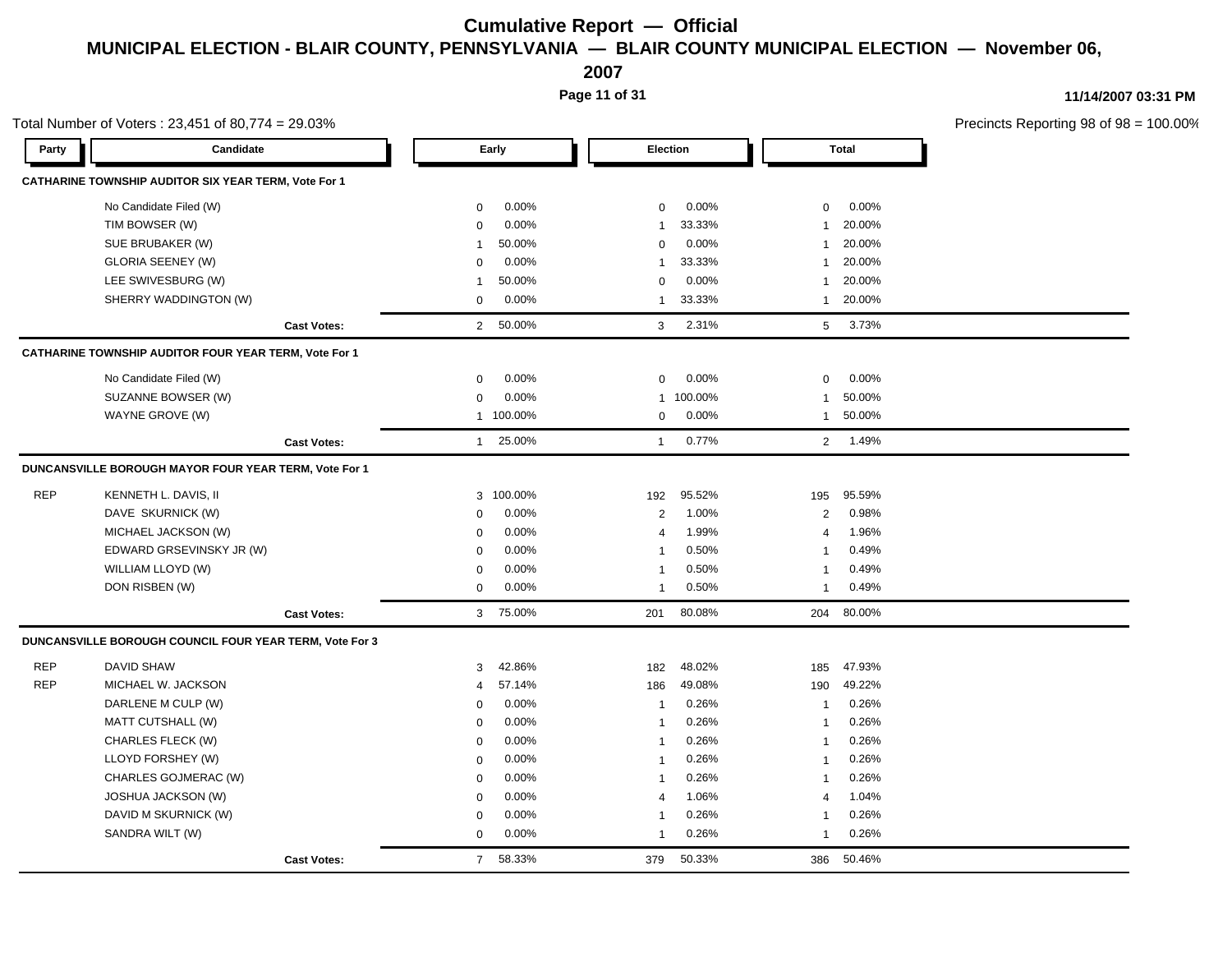**2007**

**Page 11 of 31**

| Total Number of Voters: 23,451 of 80,774 = 29.03% |                                                              |                    |                  |           |                                  |         |                                  | Precincts Reporting 98 of 98 = 100.00% |  |
|---------------------------------------------------|--------------------------------------------------------------|--------------------|------------------|-----------|----------------------------------|---------|----------------------------------|----------------------------------------|--|
| Party                                             | Candidate                                                    |                    |                  | Early     | <b>Election</b>                  |         |                                  | <b>Total</b>                           |  |
|                                                   | CATHARINE TOWNSHIP AUDITOR SIX YEAR TERM, Vote For 1         |                    |                  |           |                                  |         |                                  |                                        |  |
|                                                   | No Candidate Filed (W)                                       |                    | $\mathbf 0$      | 0.00%     | 0                                | 0.00%   | $\mathbf 0$                      | 0.00%                                  |  |
|                                                   | TIM BOWSER (W)<br>SUE BRUBAKER (W)                           |                    | $\mathbf 0$      | 0.00%     | $\mathbf{1}$                     | 33.33%  | $\mathbf{1}$                     | 20.00%                                 |  |
|                                                   |                                                              |                    | -1               | 50.00%    | $\mathbf 0$                      | 0.00%   | $\mathbf{1}$                     | 20.00%                                 |  |
|                                                   | <b>GLORIA SEENEY (W)</b>                                     |                    | $\Omega$         | 0.00%     | 1                                | 33.33%  | $\mathbf{1}$                     | 20.00%                                 |  |
|                                                   | LEE SWIVESBURG (W)                                           |                    | $\mathbf 1$      | 50.00%    | 0                                | 0.00%   | $\mathbf{1}$                     | 20.00%                                 |  |
|                                                   | SHERRY WADDINGTON (W)                                        |                    | $\mathbf 0$      | 0.00%     | $\mathbf{1}$                     | 33.33%  | $\mathbf{1}$                     | 20.00%                                 |  |
|                                                   |                                                              | <b>Cast Votes:</b> |                  | 2 50.00%  | $\mathbf{3}$                     | 2.31%   | 5 <sup>5</sup>                   | 3.73%                                  |  |
|                                                   | <b>CATHARINE TOWNSHIP AUDITOR FOUR YEAR TERM, Vote For 1</b> |                    |                  |           |                                  |         |                                  |                                        |  |
|                                                   | No Candidate Filed (W)                                       |                    | $\Omega$         | 0.00%     | $\mathbf 0$                      | 0.00%   | $\mathbf 0$                      | 0.00%                                  |  |
|                                                   | SUZANNE BOWSER (W)                                           |                    | $\Omega$         | 0.00%     | $\mathbf{1}$                     | 100.00% | $\mathbf{1}$                     | 50.00%                                 |  |
|                                                   | WAYNE GROVE (W)                                              |                    |                  | 1 100.00% | 0                                | 0.00%   | $\mathbf{1}$                     | 50.00%                                 |  |
|                                                   |                                                              | <b>Cast Votes:</b> | 1                | 25.00%    | $\mathbf{1}$                     | 0.77%   | $\overline{2}$                   | 1.49%                                  |  |
|                                                   | DUNCANSVILLE BOROUGH MAYOR FOUR YEAR TERM, Vote For 1        |                    |                  |           |                                  |         |                                  |                                        |  |
| <b>REP</b>                                        | KENNETH L. DAVIS, II                                         |                    |                  | 100.00%   | 192                              | 95.52%  |                                  | 95.59%                                 |  |
|                                                   |                                                              |                    | 3                | 0.00%     |                                  | 1.00%   | 195                              | 0.98%                                  |  |
|                                                   | DAVE SKURNICK (W)<br>MICHAEL JACKSON (W)                     |                    | 0<br>$\mathbf 0$ | 0.00%     | $\overline{2}$<br>$\overline{4}$ | 1.99%   | $\overline{2}$<br>$\overline{4}$ | 1.96%                                  |  |
|                                                   | EDWARD GRSEVINSKY JR (W)                                     |                    | $\mathbf 0$      | 0.00%     | 1                                | 0.50%   | $\mathbf{1}$                     | 0.49%                                  |  |
|                                                   | WILLIAM LLOYD (W)                                            |                    | $\Omega$         | 0.00%     | 1                                | 0.50%   | $\mathbf{1}$                     | 0.49%                                  |  |
|                                                   | DON RISBEN (W)                                               |                    | $\mathbf 0$      | 0.00%     | $\mathbf{1}$                     | 0.50%   | $\mathbf{1}$                     | 0.49%                                  |  |
|                                                   |                                                              | <b>Cast Votes:</b> | 3 <sup>1</sup>   | 75.00%    | 201                              | 80.08%  |                                  | 204 80.00%                             |  |
|                                                   | DUNCANSVILLE BOROUGH COUNCIL FOUR YEAR TERM, Vote For 3      |                    |                  |           |                                  |         |                                  |                                        |  |
| <b>REP</b>                                        | <b>DAVID SHAW</b>                                            |                    | 3                | 42.86%    | 182                              | 48.02%  | 185                              | 47.93%                                 |  |
| <b>REP</b>                                        | MICHAEL W. JACKSON                                           |                    | $\overline{4}$   | 57.14%    | 186                              | 49.08%  | 190                              | 49.22%                                 |  |
|                                                   | DARLENE M CULP (W)                                           |                    | $\Omega$         | 0.00%     | $\overline{1}$                   | 0.26%   | $\mathbf{1}$                     | 0.26%                                  |  |
|                                                   | MATT CUTSHALL (W)                                            |                    | $\mathbf 0$      | 0.00%     | $\overline{1}$                   | 0.26%   | $\mathbf{1}$                     | 0.26%                                  |  |
|                                                   | CHARLES FLECK (W)                                            |                    | $\Omega$         | 0.00%     | 1                                | 0.26%   | $\mathbf{1}$                     | 0.26%                                  |  |
|                                                   | LLOYD FORSHEY (W)                                            |                    | $\mathbf 0$      | 0.00%     | -1                               | 0.26%   | $\mathbf{1}$                     | 0.26%                                  |  |
|                                                   | CHARLES GOJMERAC (W)                                         |                    | $\mathbf 0$      | 0.00%     | 1                                | 0.26%   | $\mathbf{1}$                     | 0.26%                                  |  |
|                                                   | JOSHUA JACKSON (W)                                           |                    | $\mathbf 0$      | 0.00%     | $\overline{4}$                   | 1.06%   | 4                                | 1.04%                                  |  |
|                                                   | DAVID M SKURNICK (W)                                         |                    | $\mathbf 0$      | 0.00%     | 1                                | 0.26%   | $\mathbf{1}$                     | 0.26%                                  |  |
|                                                   | SANDRA WILT (W)                                              |                    | $\mathbf 0$      | 0.00%     | $\mathbf{1}$                     | 0.26%   | $\mathbf{1}$                     | 0.26%                                  |  |
|                                                   |                                                              | <b>Cast Votes:</b> | $\overline{7}$   | 58.33%    | 379                              | 50.33%  | 386                              | 50.46%                                 |  |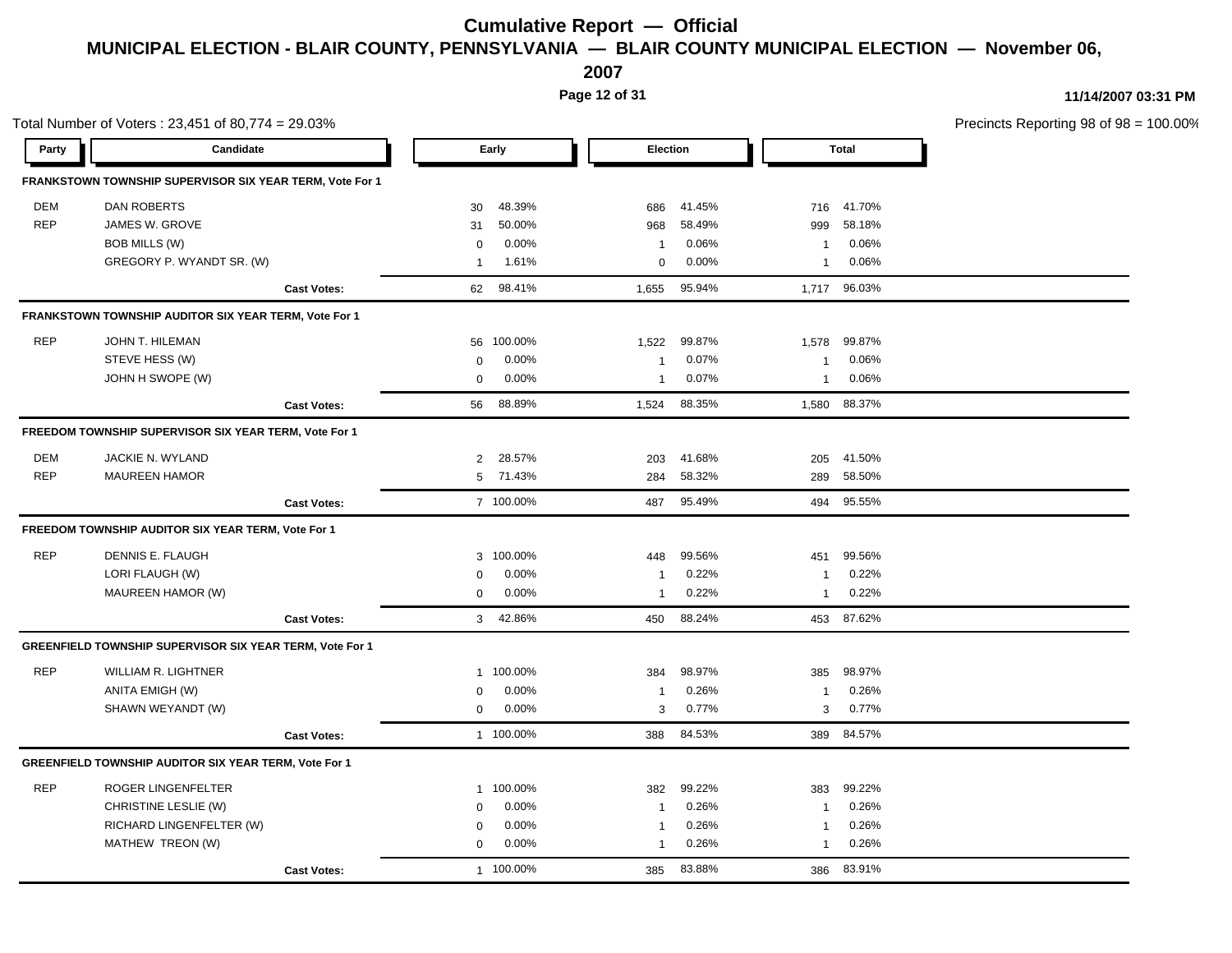**2007**

**Page 12 of 31**

| Candidate<br>Election<br><b>Total</b><br>Party<br>Early<br>FRANKSTOWN TOWNSHIP SUPERVISOR SIX YEAR TERM, Vote For 1<br><b>DEM</b><br><b>DAN ROBERTS</b><br>48.39%<br>41.45%<br>41.70%<br>30<br>686<br>716<br><b>REP</b><br>JAMES W. GROVE<br>50.00%<br>58.49%<br>58.18%<br>31<br>968<br>999<br>0.00%<br>0.06%<br>BOB MILLS (W)<br>0.06%<br>$\mathbf 0$<br>$\overline{1}$<br>$\mathbf{1}$<br>GREGORY P. WYANDT SR. (W)<br>1.61%<br>0.00%<br>0.06%<br>0<br>$\mathbf{1}$<br>1<br>98.41%<br>95.94%<br>96.03%<br>62<br>1,655<br>1,717<br><b>Cast Votes:</b><br>FRANKSTOWN TOWNSHIP AUDITOR SIX YEAR TERM, Vote For 1<br><b>REP</b><br>JOHN T. HILEMAN<br>99.87%<br>99.87%<br>100.00%<br>1,522<br>1,578<br>56<br>STEVE HESS (W)<br>0.07%<br>0.00%<br>0.06%<br>$\mathbf 0$<br>$\mathbf{1}$<br>$\overline{1}$<br>JOHN H SWOPE (W)<br>0.00%<br>0.07%<br>0.06%<br>$\mathsf 0$<br>$\overline{1}$<br>$\mathbf{1}$<br>88.89%<br>88.35%<br>88.37%<br>56<br>1,524<br>1,580<br><b>Cast Votes:</b><br>FREEDOM TOWNSHIP SUPERVISOR SIX YEAR TERM, Vote For 1<br><b>DEM</b><br>JACKIE N. WYLAND<br>28.57%<br>41.68%<br>41.50%<br>$\overline{2}$<br>203<br>205<br><b>REP</b><br><b>MAUREEN HAMOR</b><br>71.43%<br>58.32%<br>58.50%<br>5<br>284<br>289<br>7 100.00%<br>487 95.49%<br>494 95.55%<br><b>Cast Votes:</b><br>FREEDOM TOWNSHIP AUDITOR SIX YEAR TERM, Vote For 1<br><b>REP</b><br>99.56%<br>DENNIS E. FLAUGH<br>100.00%<br>99.56%<br>3<br>448<br>451<br>LORI FLAUGH (W)<br>0.00%<br>0.22%<br>0.22%<br>$\mathbf 0$<br>$\overline{1}$<br>1<br>MAUREEN HAMOR (W)<br>0.00%<br>0.22%<br>0.22%<br>$\mathbf 0$<br>$\mathbf{1}$<br>$\mathbf{1}$<br>42.86%<br>88.24%<br>87.62%<br>3<br>450<br>453<br><b>Cast Votes:</b><br>GREENFIELD TOWNSHIP SUPERVISOR SIX YEAR TERM, Vote For 1<br><b>REP</b><br><b>WILLIAM R. LIGHTNER</b><br>98.97%<br>98.97%<br>100.00%<br>384<br>385<br>$\mathbf{1}$<br>ANITA EMIGH (W)<br>0.26%<br>0.00%<br>0.26%<br>0<br>$\mathbf{1}$<br>$\mathbf{1}$<br>SHAWN WEYANDT (W)<br>0.00%<br>0.77%<br>0.77%<br>$\mathbf 0$<br>3<br>3<br>1 100.00%<br>84.53%<br>389 84.57%<br>388<br><b>Cast Votes:</b><br>GREENFIELD TOWNSHIP AUDITOR SIX YEAR TERM, Vote For 1<br><b>REP</b><br>99.22%<br>ROGER LINGENFELTER<br>100.00%<br>383<br>99.22%<br>382<br>$\mathbf{1}$<br>CHRISTINE LESLIE (W)<br>0.00%<br>0.26%<br>0.26%<br>$\mathbf 0$<br>$\overline{1}$<br>$\mathbf 1$<br>RICHARD LINGENFELTER (W)<br>0.00%<br>0.26%<br>0.26%<br>$\mathbf 0$<br>1<br>$\mathbf 1$<br>MATHEW TREON (W)<br>0.00%<br>0.26%<br>0.26%<br>$\mathbf 0$<br>1<br>$\overline{1}$<br>1 100.00%<br>83.88%<br>83.91%<br>385<br>386 | Total Number of Voters: 23,451 of 80,774 = 29.03% |                    |  |  |  | Precincts Reporting 98 of 98 = 100.00% |
|----------------------------------------------------------------------------------------------------------------------------------------------------------------------------------------------------------------------------------------------------------------------------------------------------------------------------------------------------------------------------------------------------------------------------------------------------------------------------------------------------------------------------------------------------------------------------------------------------------------------------------------------------------------------------------------------------------------------------------------------------------------------------------------------------------------------------------------------------------------------------------------------------------------------------------------------------------------------------------------------------------------------------------------------------------------------------------------------------------------------------------------------------------------------------------------------------------------------------------------------------------------------------------------------------------------------------------------------------------------------------------------------------------------------------------------------------------------------------------------------------------------------------------------------------------------------------------------------------------------------------------------------------------------------------------------------------------------------------------------------------------------------------------------------------------------------------------------------------------------------------------------------------------------------------------------------------------------------------------------------------------------------------------------------------------------------------------------------------------------------------------------------------------------------------------------------------------------------------------------------------------------------------------------------------------------------------------------------------------------------------------------------------------------------------------------------------------------------------------------------------------------------------------------------------------------------------------------------------|---------------------------------------------------|--------------------|--|--|--|----------------------------------------|
|                                                                                                                                                                                                                                                                                                                                                                                                                                                                                                                                                                                                                                                                                                                                                                                                                                                                                                                                                                                                                                                                                                                                                                                                                                                                                                                                                                                                                                                                                                                                                                                                                                                                                                                                                                                                                                                                                                                                                                                                                                                                                                                                                                                                                                                                                                                                                                                                                                                                                                                                                                                                    |                                                   |                    |  |  |  |                                        |
|                                                                                                                                                                                                                                                                                                                                                                                                                                                                                                                                                                                                                                                                                                                                                                                                                                                                                                                                                                                                                                                                                                                                                                                                                                                                                                                                                                                                                                                                                                                                                                                                                                                                                                                                                                                                                                                                                                                                                                                                                                                                                                                                                                                                                                                                                                                                                                                                                                                                                                                                                                                                    |                                                   |                    |  |  |  |                                        |
|                                                                                                                                                                                                                                                                                                                                                                                                                                                                                                                                                                                                                                                                                                                                                                                                                                                                                                                                                                                                                                                                                                                                                                                                                                                                                                                                                                                                                                                                                                                                                                                                                                                                                                                                                                                                                                                                                                                                                                                                                                                                                                                                                                                                                                                                                                                                                                                                                                                                                                                                                                                                    |                                                   |                    |  |  |  |                                        |
|                                                                                                                                                                                                                                                                                                                                                                                                                                                                                                                                                                                                                                                                                                                                                                                                                                                                                                                                                                                                                                                                                                                                                                                                                                                                                                                                                                                                                                                                                                                                                                                                                                                                                                                                                                                                                                                                                                                                                                                                                                                                                                                                                                                                                                                                                                                                                                                                                                                                                                                                                                                                    |                                                   |                    |  |  |  |                                        |
|                                                                                                                                                                                                                                                                                                                                                                                                                                                                                                                                                                                                                                                                                                                                                                                                                                                                                                                                                                                                                                                                                                                                                                                                                                                                                                                                                                                                                                                                                                                                                                                                                                                                                                                                                                                                                                                                                                                                                                                                                                                                                                                                                                                                                                                                                                                                                                                                                                                                                                                                                                                                    |                                                   |                    |  |  |  |                                        |
|                                                                                                                                                                                                                                                                                                                                                                                                                                                                                                                                                                                                                                                                                                                                                                                                                                                                                                                                                                                                                                                                                                                                                                                                                                                                                                                                                                                                                                                                                                                                                                                                                                                                                                                                                                                                                                                                                                                                                                                                                                                                                                                                                                                                                                                                                                                                                                                                                                                                                                                                                                                                    |                                                   |                    |  |  |  |                                        |
|                                                                                                                                                                                                                                                                                                                                                                                                                                                                                                                                                                                                                                                                                                                                                                                                                                                                                                                                                                                                                                                                                                                                                                                                                                                                                                                                                                                                                                                                                                                                                                                                                                                                                                                                                                                                                                                                                                                                                                                                                                                                                                                                                                                                                                                                                                                                                                                                                                                                                                                                                                                                    |                                                   |                    |  |  |  |                                        |
|                                                                                                                                                                                                                                                                                                                                                                                                                                                                                                                                                                                                                                                                                                                                                                                                                                                                                                                                                                                                                                                                                                                                                                                                                                                                                                                                                                                                                                                                                                                                                                                                                                                                                                                                                                                                                                                                                                                                                                                                                                                                                                                                                                                                                                                                                                                                                                                                                                                                                                                                                                                                    |                                                   |                    |  |  |  |                                        |
|                                                                                                                                                                                                                                                                                                                                                                                                                                                                                                                                                                                                                                                                                                                                                                                                                                                                                                                                                                                                                                                                                                                                                                                                                                                                                                                                                                                                                                                                                                                                                                                                                                                                                                                                                                                                                                                                                                                                                                                                                                                                                                                                                                                                                                                                                                                                                                                                                                                                                                                                                                                                    |                                                   |                    |  |  |  |                                        |
|                                                                                                                                                                                                                                                                                                                                                                                                                                                                                                                                                                                                                                                                                                                                                                                                                                                                                                                                                                                                                                                                                                                                                                                                                                                                                                                                                                                                                                                                                                                                                                                                                                                                                                                                                                                                                                                                                                                                                                                                                                                                                                                                                                                                                                                                                                                                                                                                                                                                                                                                                                                                    |                                                   |                    |  |  |  |                                        |
|                                                                                                                                                                                                                                                                                                                                                                                                                                                                                                                                                                                                                                                                                                                                                                                                                                                                                                                                                                                                                                                                                                                                                                                                                                                                                                                                                                                                                                                                                                                                                                                                                                                                                                                                                                                                                                                                                                                                                                                                                                                                                                                                                                                                                                                                                                                                                                                                                                                                                                                                                                                                    |                                                   |                    |  |  |  |                                        |
|                                                                                                                                                                                                                                                                                                                                                                                                                                                                                                                                                                                                                                                                                                                                                                                                                                                                                                                                                                                                                                                                                                                                                                                                                                                                                                                                                                                                                                                                                                                                                                                                                                                                                                                                                                                                                                                                                                                                                                                                                                                                                                                                                                                                                                                                                                                                                                                                                                                                                                                                                                                                    |                                                   |                    |  |  |  |                                        |
|                                                                                                                                                                                                                                                                                                                                                                                                                                                                                                                                                                                                                                                                                                                                                                                                                                                                                                                                                                                                                                                                                                                                                                                                                                                                                                                                                                                                                                                                                                                                                                                                                                                                                                                                                                                                                                                                                                                                                                                                                                                                                                                                                                                                                                                                                                                                                                                                                                                                                                                                                                                                    |                                                   |                    |  |  |  |                                        |
|                                                                                                                                                                                                                                                                                                                                                                                                                                                                                                                                                                                                                                                                                                                                                                                                                                                                                                                                                                                                                                                                                                                                                                                                                                                                                                                                                                                                                                                                                                                                                                                                                                                                                                                                                                                                                                                                                                                                                                                                                                                                                                                                                                                                                                                                                                                                                                                                                                                                                                                                                                                                    |                                                   |                    |  |  |  |                                        |
|                                                                                                                                                                                                                                                                                                                                                                                                                                                                                                                                                                                                                                                                                                                                                                                                                                                                                                                                                                                                                                                                                                                                                                                                                                                                                                                                                                                                                                                                                                                                                                                                                                                                                                                                                                                                                                                                                                                                                                                                                                                                                                                                                                                                                                                                                                                                                                                                                                                                                                                                                                                                    |                                                   |                    |  |  |  |                                        |
|                                                                                                                                                                                                                                                                                                                                                                                                                                                                                                                                                                                                                                                                                                                                                                                                                                                                                                                                                                                                                                                                                                                                                                                                                                                                                                                                                                                                                                                                                                                                                                                                                                                                                                                                                                                                                                                                                                                                                                                                                                                                                                                                                                                                                                                                                                                                                                                                                                                                                                                                                                                                    |                                                   |                    |  |  |  |                                        |
|                                                                                                                                                                                                                                                                                                                                                                                                                                                                                                                                                                                                                                                                                                                                                                                                                                                                                                                                                                                                                                                                                                                                                                                                                                                                                                                                                                                                                                                                                                                                                                                                                                                                                                                                                                                                                                                                                                                                                                                                                                                                                                                                                                                                                                                                                                                                                                                                                                                                                                                                                                                                    |                                                   |                    |  |  |  |                                        |
|                                                                                                                                                                                                                                                                                                                                                                                                                                                                                                                                                                                                                                                                                                                                                                                                                                                                                                                                                                                                                                                                                                                                                                                                                                                                                                                                                                                                                                                                                                                                                                                                                                                                                                                                                                                                                                                                                                                                                                                                                                                                                                                                                                                                                                                                                                                                                                                                                                                                                                                                                                                                    |                                                   |                    |  |  |  |                                        |
|                                                                                                                                                                                                                                                                                                                                                                                                                                                                                                                                                                                                                                                                                                                                                                                                                                                                                                                                                                                                                                                                                                                                                                                                                                                                                                                                                                                                                                                                                                                                                                                                                                                                                                                                                                                                                                                                                                                                                                                                                                                                                                                                                                                                                                                                                                                                                                                                                                                                                                                                                                                                    |                                                   |                    |  |  |  |                                        |
|                                                                                                                                                                                                                                                                                                                                                                                                                                                                                                                                                                                                                                                                                                                                                                                                                                                                                                                                                                                                                                                                                                                                                                                                                                                                                                                                                                                                                                                                                                                                                                                                                                                                                                                                                                                                                                                                                                                                                                                                                                                                                                                                                                                                                                                                                                                                                                                                                                                                                                                                                                                                    |                                                   |                    |  |  |  |                                        |
|                                                                                                                                                                                                                                                                                                                                                                                                                                                                                                                                                                                                                                                                                                                                                                                                                                                                                                                                                                                                                                                                                                                                                                                                                                                                                                                                                                                                                                                                                                                                                                                                                                                                                                                                                                                                                                                                                                                                                                                                                                                                                                                                                                                                                                                                                                                                                                                                                                                                                                                                                                                                    |                                                   |                    |  |  |  |                                        |
|                                                                                                                                                                                                                                                                                                                                                                                                                                                                                                                                                                                                                                                                                                                                                                                                                                                                                                                                                                                                                                                                                                                                                                                                                                                                                                                                                                                                                                                                                                                                                                                                                                                                                                                                                                                                                                                                                                                                                                                                                                                                                                                                                                                                                                                                                                                                                                                                                                                                                                                                                                                                    |                                                   |                    |  |  |  |                                        |
|                                                                                                                                                                                                                                                                                                                                                                                                                                                                                                                                                                                                                                                                                                                                                                                                                                                                                                                                                                                                                                                                                                                                                                                                                                                                                                                                                                                                                                                                                                                                                                                                                                                                                                                                                                                                                                                                                                                                                                                                                                                                                                                                                                                                                                                                                                                                                                                                                                                                                                                                                                                                    |                                                   |                    |  |  |  |                                        |
|                                                                                                                                                                                                                                                                                                                                                                                                                                                                                                                                                                                                                                                                                                                                                                                                                                                                                                                                                                                                                                                                                                                                                                                                                                                                                                                                                                                                                                                                                                                                                                                                                                                                                                                                                                                                                                                                                                                                                                                                                                                                                                                                                                                                                                                                                                                                                                                                                                                                                                                                                                                                    |                                                   |                    |  |  |  |                                        |
|                                                                                                                                                                                                                                                                                                                                                                                                                                                                                                                                                                                                                                                                                                                                                                                                                                                                                                                                                                                                                                                                                                                                                                                                                                                                                                                                                                                                                                                                                                                                                                                                                                                                                                                                                                                                                                                                                                                                                                                                                                                                                                                                                                                                                                                                                                                                                                                                                                                                                                                                                                                                    |                                                   |                    |  |  |  |                                        |
|                                                                                                                                                                                                                                                                                                                                                                                                                                                                                                                                                                                                                                                                                                                                                                                                                                                                                                                                                                                                                                                                                                                                                                                                                                                                                                                                                                                                                                                                                                                                                                                                                                                                                                                                                                                                                                                                                                                                                                                                                                                                                                                                                                                                                                                                                                                                                                                                                                                                                                                                                                                                    |                                                   |                    |  |  |  |                                        |
|                                                                                                                                                                                                                                                                                                                                                                                                                                                                                                                                                                                                                                                                                                                                                                                                                                                                                                                                                                                                                                                                                                                                                                                                                                                                                                                                                                                                                                                                                                                                                                                                                                                                                                                                                                                                                                                                                                                                                                                                                                                                                                                                                                                                                                                                                                                                                                                                                                                                                                                                                                                                    |                                                   |                    |  |  |  |                                        |
|                                                                                                                                                                                                                                                                                                                                                                                                                                                                                                                                                                                                                                                                                                                                                                                                                                                                                                                                                                                                                                                                                                                                                                                                                                                                                                                                                                                                                                                                                                                                                                                                                                                                                                                                                                                                                                                                                                                                                                                                                                                                                                                                                                                                                                                                                                                                                                                                                                                                                                                                                                                                    |                                                   |                    |  |  |  |                                        |
|                                                                                                                                                                                                                                                                                                                                                                                                                                                                                                                                                                                                                                                                                                                                                                                                                                                                                                                                                                                                                                                                                                                                                                                                                                                                                                                                                                                                                                                                                                                                                                                                                                                                                                                                                                                                                                                                                                                                                                                                                                                                                                                                                                                                                                                                                                                                                                                                                                                                                                                                                                                                    |                                                   |                    |  |  |  |                                        |
|                                                                                                                                                                                                                                                                                                                                                                                                                                                                                                                                                                                                                                                                                                                                                                                                                                                                                                                                                                                                                                                                                                                                                                                                                                                                                                                                                                                                                                                                                                                                                                                                                                                                                                                                                                                                                                                                                                                                                                                                                                                                                                                                                                                                                                                                                                                                                                                                                                                                                                                                                                                                    |                                                   |                    |  |  |  |                                        |
|                                                                                                                                                                                                                                                                                                                                                                                                                                                                                                                                                                                                                                                                                                                                                                                                                                                                                                                                                                                                                                                                                                                                                                                                                                                                                                                                                                                                                                                                                                                                                                                                                                                                                                                                                                                                                                                                                                                                                                                                                                                                                                                                                                                                                                                                                                                                                                                                                                                                                                                                                                                                    |                                                   |                    |  |  |  |                                        |
|                                                                                                                                                                                                                                                                                                                                                                                                                                                                                                                                                                                                                                                                                                                                                                                                                                                                                                                                                                                                                                                                                                                                                                                                                                                                                                                                                                                                                                                                                                                                                                                                                                                                                                                                                                                                                                                                                                                                                                                                                                                                                                                                                                                                                                                                                                                                                                                                                                                                                                                                                                                                    |                                                   | <b>Cast Votes:</b> |  |  |  |                                        |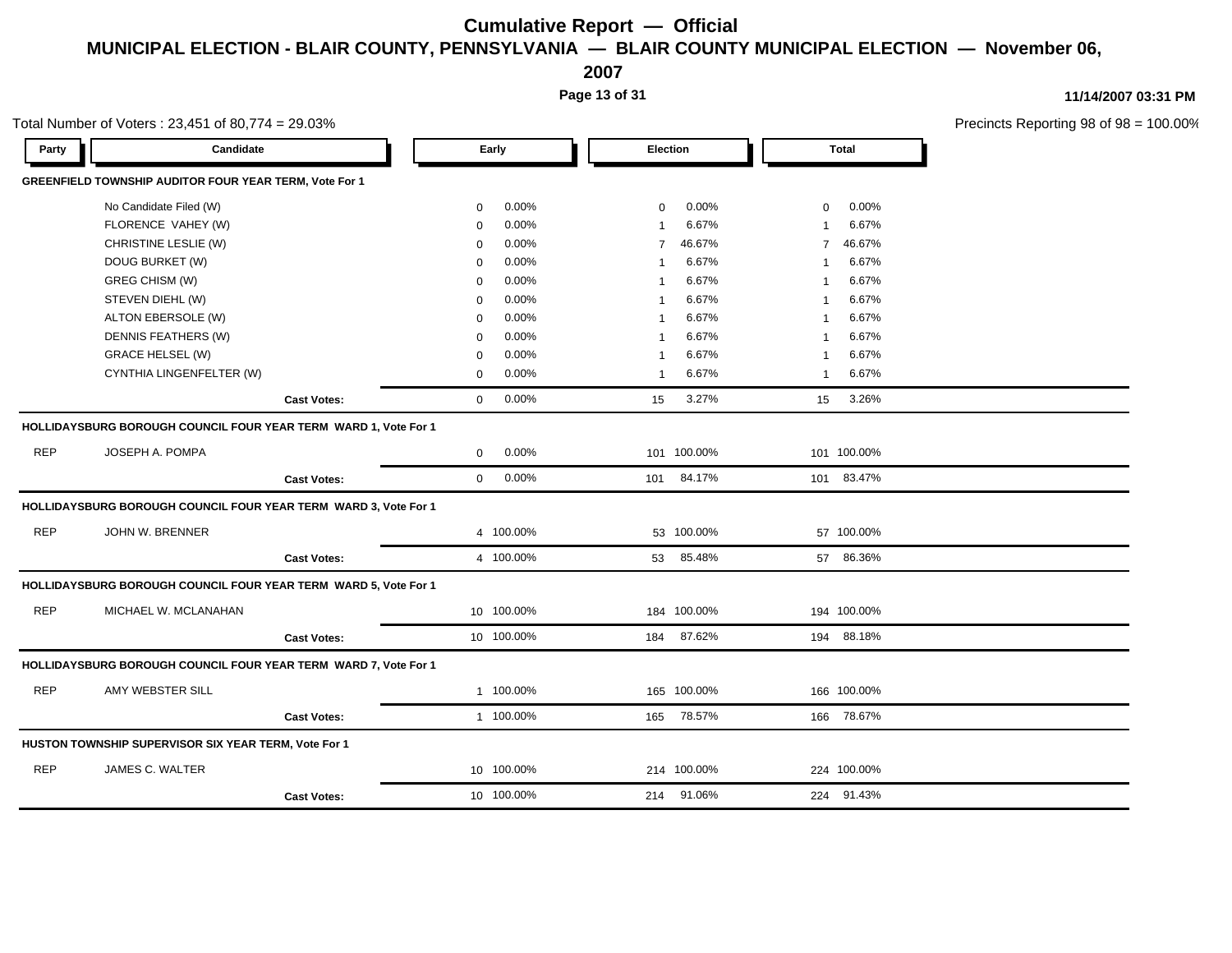**2007**

**Page 13 of 31**

**11/14/2007 03:31 PM**

Precincts Reporting 98 of 98 = 100.00%

| Party      | Candidate                                                       |                    |             | Early      |                | Election    |          | <b>Total</b> |  |
|------------|-----------------------------------------------------------------|--------------------|-------------|------------|----------------|-------------|----------|--------------|--|
|            | <b>GREENFIELD TOWNSHIP AUDITOR FOUR YEAR TERM, Vote For 1</b>   |                    |             |            |                |             |          |              |  |
|            | No Candidate Filed (W)                                          |                    | $\mathbf 0$ | $0.00\%$   | 0              | 0.00%       | $\Omega$ | $0.00\%$     |  |
|            | FLORENCE VAHEY (W)                                              |                    | $\mathbf 0$ | 0.00%      |                | 6.67%       |          | 6.67%        |  |
|            | CHRISTINE LESLIE (W)                                            |                    | $\Omega$    | 0.00%      | $\overline{7}$ | 46.67%      | 7        | 46.67%       |  |
|            | DOUG BURKET (W)                                                 |                    | $\mathbf 0$ | 0.00%      |                | 6.67%       |          | 6.67%        |  |
|            | GREG CHISM (W)                                                  |                    | $\mathbf 0$ | 0.00%      |                | 6.67%       |          | 6.67%        |  |
|            | STEVEN DIEHL (W)                                                |                    | $\mathbf 0$ | 0.00%      |                | 6.67%       |          | 6.67%        |  |
|            | ALTON EBERSOLE (W)                                              |                    | $\mathbf 0$ | 0.00%      |                | 6.67%       |          | 6.67%        |  |
|            | DENNIS FEATHERS (W)                                             |                    | $\mathbf 0$ | $0.00\%$   |                | 6.67%       |          | 6.67%        |  |
|            | <b>GRACE HELSEL (W)</b>                                         |                    | $\Omega$    | 0.00%      |                | 6.67%       |          | 6.67%        |  |
|            | CYNTHIA LINGENFELTER (W)                                        |                    | $\mathbf 0$ | 0.00%      | 1              | 6.67%       | -1       | 6.67%        |  |
|            |                                                                 | <b>Cast Votes:</b> | $\Omega$    | 0.00%      | 15             | 3.27%       | 15       | 3.26%        |  |
|            | HOLLIDAYSBURG BOROUGH COUNCIL FOUR YEAR TERM WARD 1, Vote For 1 |                    |             |            |                |             |          |              |  |
| <b>REP</b> | JOSEPH A. POMPA                                                 |                    | $\Omega$    | $0.00\%$   |                | 101 100.00% |          | 101 100.00%  |  |
|            |                                                                 | <b>Cast Votes:</b> | $\Omega$    | $0.00\%$   | 101            | 84.17%      | 101      | 83.47%       |  |
|            | HOLLIDAYSBURG BOROUGH COUNCIL FOUR YEAR TERM WARD 3, Vote For 1 |                    |             |            |                |             |          |              |  |
| <b>REP</b> | JOHN W. BRENNER                                                 |                    |             | 4 100.00%  |                | 53 100.00%  |          | 57 100.00%   |  |
|            |                                                                 | <b>Cast Votes:</b> |             | 4 100.00%  | 53             | 85.48%      |          | 57 86.36%    |  |
|            | HOLLIDAYSBURG BOROUGH COUNCIL FOUR YEAR TERM WARD 5, Vote For 1 |                    |             |            |                |             |          |              |  |
| <b>REP</b> | MICHAEL W. MCLANAHAN                                            |                    |             | 10 100.00% |                | 184 100.00% |          | 194 100.00%  |  |
|            |                                                                 | <b>Cast Votes:</b> |             | 10 100.00% | 184            | 87.62%      | 194      | 88.18%       |  |
|            | HOLLIDAYSBURG BOROUGH COUNCIL FOUR YEAR TERM WARD 7, Vote For 1 |                    |             |            |                |             |          |              |  |
| <b>REP</b> | AMY WEBSTER SILL                                                |                    |             | 1 100.00%  |                | 165 100.00% |          | 166 100.00%  |  |
|            |                                                                 | <b>Cast Votes:</b> |             | 1 100.00%  | 165            | 78.57%      |          | 166 78.67%   |  |

REP JAMES C. WALTER 10 100.00% 214 100.00% 224 100.00%

**Cast Votes:** 10 100.00% 214 91.06% 224 91.43%

### Total Number of Voters : 23,451 of 80,774 = 29.03%

**HUSTON TOWNSHIP SUPERVISOR SIX YEAR TERM, Vote For 1**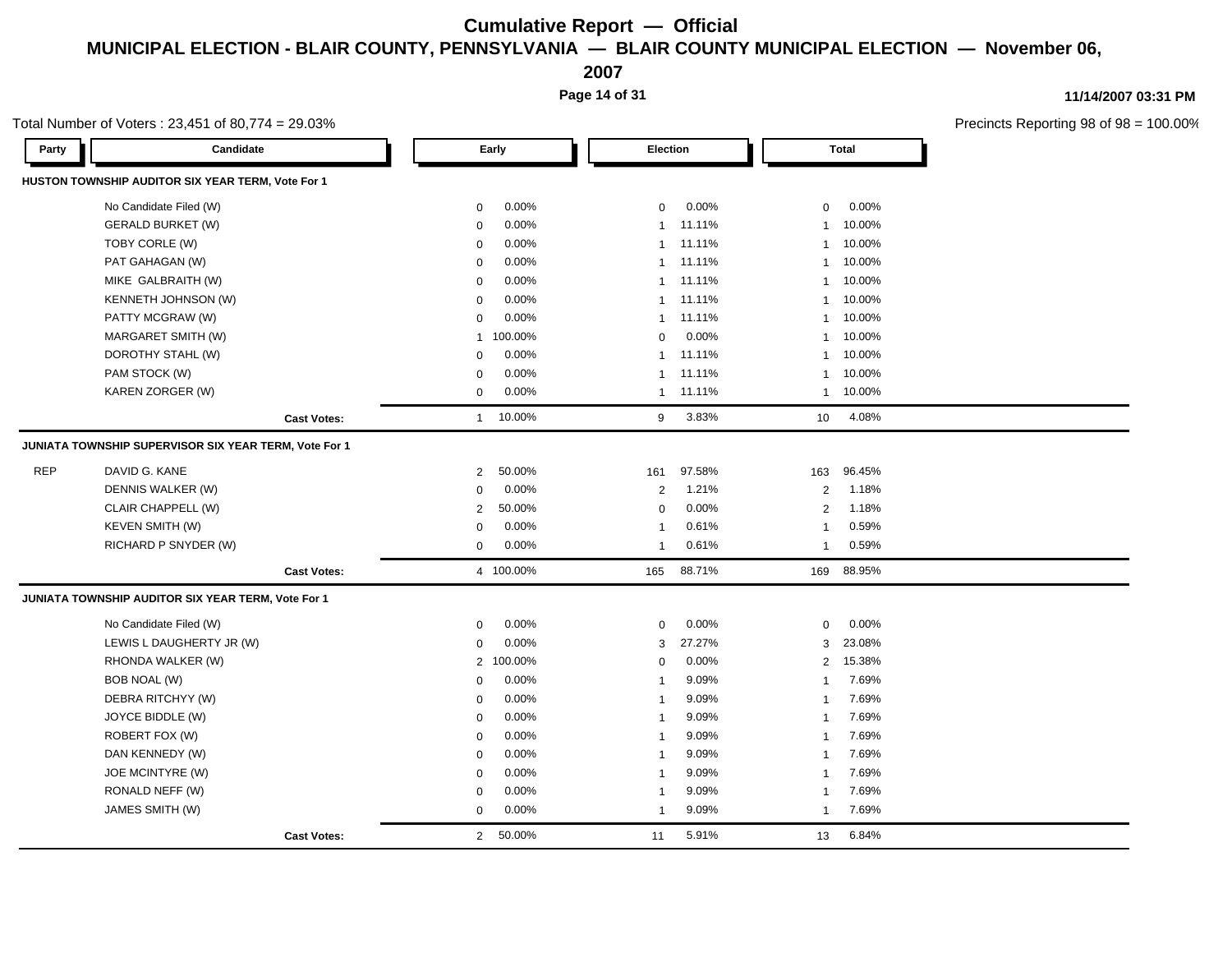**2007**

**Page 14 of 31**

**11/14/2007 03:31 PM**

|            | Total Number of Voters: 23,451 of 80,774 = 29.03%     |                |           |                 |        |                 |              | Precincts Reporting 98 of 98 |
|------------|-------------------------------------------------------|----------------|-----------|-----------------|--------|-----------------|--------------|------------------------------|
| Party      | Candidate                                             |                | Early     | <b>Election</b> |        |                 | <b>Total</b> |                              |
|            | HUSTON TOWNSHIP AUDITOR SIX YEAR TERM, Vote For 1     |                |           |                 |        |                 |              |                              |
|            | No Candidate Filed (W)                                | $\mathsf 0$    | 0.00%     | $\mathbf 0$     | 0.00%  | $\mathbf 0$     | 0.00%        |                              |
|            | <b>GERALD BURKET (W)</b>                              | $\mathbf 0$    | 0.00%     | $\mathbf{1}$    | 11.11% | 1               | 10.00%       |                              |
|            | TOBY CORLE (W)                                        | $\mathbf 0$    | 0.00%     | $\mathbf{1}$    | 11.11% | $\mathbf{1}$    | 10.00%       |                              |
|            | PAT GAHAGAN (W)                                       | 0              | 0.00%     | $\mathbf 1$     | 11.11% | $\mathbf{1}$    | 10.00%       |                              |
|            | MIKE GALBRAITH (W)                                    | $\mathbf 0$    | 0.00%     | $\mathbf{1}$    | 11.11% | $\overline{1}$  | 10.00%       |                              |
|            | KENNETH JOHNSON (W)                                   | $\mathbf 0$    | 0.00%     | 1               | 11.11% | $\overline{1}$  | 10.00%       |                              |
|            | PATTY MCGRAW (W)                                      | $\mathbf 0$    | 0.00%     | $\mathbf{1}$    | 11.11% | $\overline{1}$  | 10.00%       |                              |
|            | MARGARET SMITH (W)                                    | $\mathbf{1}$   | 100.00%   | $\Omega$        | 0.00%  | $\overline{1}$  | 10.00%       |                              |
|            | DOROTHY STAHL (W)                                     | $\mathbf 0$    | 0.00%     | $\mathbf{1}$    | 11.11% | $\mathbf{1}$    | 10.00%       |                              |
|            | PAM STOCK (W)                                         | $\mathbf 0$    | 0.00%     | $\mathbf{1}$    | 11.11% | $\mathbf{1}$    | 10.00%       |                              |
|            | KAREN ZORGER (W)                                      | $\mathbf 0$    | 0.00%     | $\mathbf{1}$    | 11.11% | $\mathbf{1}$    | 10.00%       |                              |
|            | <b>Cast Votes:</b>                                    | $\mathbf{1}$   | 10.00%    | 9               | 3.83%  | 10 <sup>1</sup> | 4.08%        |                              |
|            | JUNIATA TOWNSHIP SUPERVISOR SIX YEAR TERM, Vote For 1 |                |           |                 |        |                 |              |                              |
| <b>REP</b> | DAVID G. KANE                                         | $\overline{2}$ | 50.00%    | 161             | 97.58% | 163             | 96.45%       |                              |
|            | DENNIS WALKER (W)                                     | $\mathbf 0$    | 0.00%     | $\overline{2}$  | 1.21%  | $\overline{2}$  | 1.18%        |                              |
|            | CLAIR CHAPPELL (W)                                    | $\overline{2}$ | 50.00%    | $\mathbf 0$     | 0.00%  | 2               | 1.18%        |                              |
|            | <b>KEVEN SMITH (W)</b>                                | $\mathbf 0$    | 0.00%     | $\mathbf 1$     | 0.61%  | $\mathbf{1}$    | 0.59%        |                              |
|            | RICHARD P SNYDER (W)                                  | $\mathsf 0$    | 0.00%     | $\overline{1}$  | 0.61%  | $\overline{1}$  | 0.59%        |                              |
|            | <b>Cast Votes:</b>                                    |                | 4 100.00% | 165             | 88.71% | 169             | 88.95%       |                              |
|            | JUNIATA TOWNSHIP AUDITOR SIX YEAR TERM, Vote For 1    |                |           |                 |        |                 |              |                              |
|            | No Candidate Filed (W)                                | 0              | 0.00%     | $\mathbf 0$     | 0.00%  | 0               | 0.00%        |                              |
|            | LEWIS L DAUGHERTY JR (W)                              | $\mathbf 0$    | 0.00%     | 3               | 27.27% | 3               | 23.08%       |                              |
|            | RHONDA WALKER (W)                                     |                | 2 100.00% | $\mathbf 0$     | 0.00%  | $\overline{2}$  | 15.38%       |                              |
|            | BOB NOAL (W)                                          | $\mathbf 0$    | 0.00%     | $\overline{1}$  | 9.09%  | $\overline{1}$  | 7.69%        |                              |
|            | DEBRA RITCHYY (W)                                     | $\mathbf 0$    | 0.00%     | $\overline{1}$  | 9.09%  | $\overline{1}$  | 7.69%        |                              |
|            | JOYCE BIDDLE (W)                                      | $\mathbf 0$    | 0.00%     | $\overline{1}$  | 9.09%  | -1              | 7.69%        |                              |
|            | ROBERT FOX (W)                                        | $\mathbf 0$    | 0.00%     | $\mathbf{1}$    | 9.09%  | $\overline{1}$  | 7.69%        |                              |
|            | DAN KENNEDY (W)                                       | $\mathbf 0$    | 0.00%     | $\overline{1}$  | 9.09%  | -1              | 7.69%        |                              |
|            | JOE MCINTYRE (W)                                      | $\mathbf 0$    | 0.00%     | $\mathbf{1}$    | 9.09%  | -1              | 7.69%        |                              |
|            | RONALD NEFF (W)                                       | 0              | 0.00%     | $\mathbf 1$     | 9.09%  | $\mathbf{1}$    | 7.69%        |                              |
|            | JAMES SMITH (W)                                       | $\mathbf 0$    | 0.00%     | $\mathbf{1}$    | 9.09%  | $\overline{1}$  | 7.69%        |                              |
|            | <b>Cast Votes:</b>                                    | $2^{\circ}$    | 50.00%    | 11              | 5.91%  | 13              | 6.84%        |                              |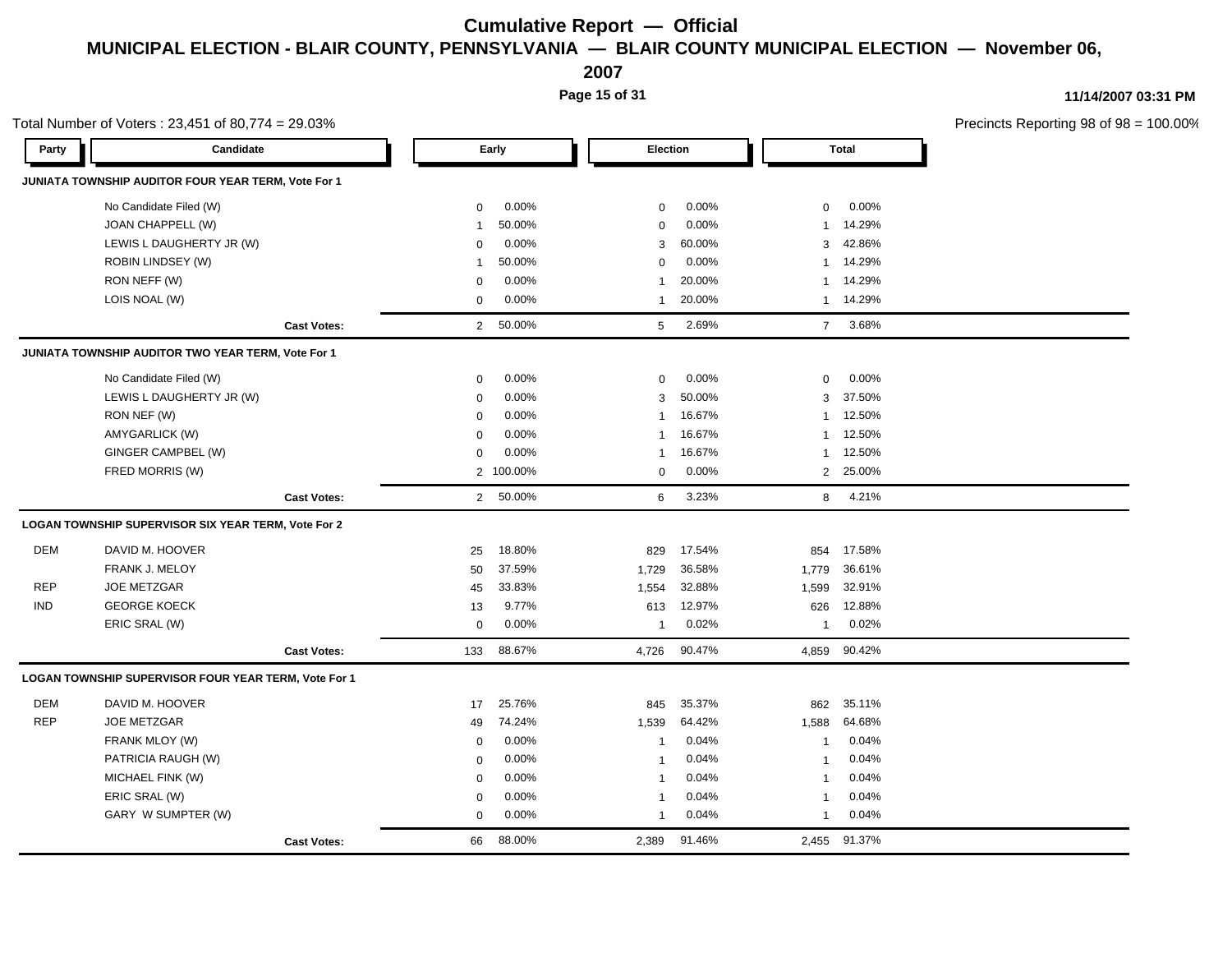**2007**

**Page 15 of 31**

|            | Total Number of Voters: 23,451 of 80,774 = 29.03%    |                    |                |          |              |        |                |              | Precincts Reporting 98 of 98 = 100.00% |
|------------|------------------------------------------------------|--------------------|----------------|----------|--------------|--------|----------------|--------------|----------------------------------------|
| Party      | Candidate                                            |                    |                | Early    | Election     |        |                | <b>Total</b> |                                        |
|            | JUNIATA TOWNSHIP AUDITOR FOUR YEAR TERM, Vote For 1  |                    |                |          |              |        |                |              |                                        |
|            | No Candidate Filed (W)                               |                    | $\mathbf 0$    | 0.00%    | $\mathbf 0$  | 0.00%  | 0              | 0.00%        |                                        |
|            | JOAN CHAPPELL (W)                                    |                    | -1             | 50.00%   | $\mathbf 0$  | 0.00%  | 1              | 14.29%       |                                        |
|            | LEWIS L DAUGHERTY JR (W)                             |                    | $\mathbf 0$    | 0.00%    | 3            | 60.00% | 3              | 42.86%       |                                        |
|            | ROBIN LINDSEY (W)                                    |                    | -1             | 50.00%   | $\Omega$     | 0.00%  | -1             | 14.29%       |                                        |
|            | RON NEFF (W)                                         |                    | $\mathbf 0$    | 0.00%    | 1            | 20.00% | $\mathbf{1}$   | 14.29%       |                                        |
|            | LOIS NOAL (W)                                        |                    | $\mathbf 0$    | 0.00%    | $\mathbf{1}$ | 20.00% | $\mathbf{1}$   | 14.29%       |                                        |
|            |                                                      | <b>Cast Votes:</b> | $\overline{2}$ | 50.00%   | 5            | 2.69%  | $\overline{7}$ | 3.68%        |                                        |
|            | JUNIATA TOWNSHIP AUDITOR TWO YEAR TERM, Vote For 1   |                    |                |          |              |        |                |              |                                        |
|            | No Candidate Filed (W)                               |                    | $\mathbf 0$    | 0.00%    | $\mathbf 0$  | 0.00%  | $\mathbf 0$    | 0.00%        |                                        |
|            | LEWIS L DAUGHERTY JR (W)                             |                    | $\Omega$       | 0.00%    | 3            | 50.00% | 3              | 37.50%       |                                        |
|            | RON NEF (W)                                          |                    | $\Omega$       | 0.00%    | $\mathbf{1}$ | 16.67% | $\mathbf{1}$   | 12.50%       |                                        |
|            | AMYGARLICK (W)                                       |                    | $\mathbf 0$    | 0.00%    | $\mathbf{1}$ | 16.67% | 1              | 12.50%       |                                        |
|            | GINGER CAMPBEL (W)                                   |                    | $\mathbf 0$    | 0.00%    | 1            | 16.67% | 1              | 12.50%       |                                        |
|            | FRED MORRIS (W)                                      |                    | $\overline{2}$ | 100.00%  | $\mathbf 0$  | 0.00%  | 2              | 25.00%       |                                        |
|            |                                                      | <b>Cast Votes:</b> |                | 2 50.00% | 6            | 3.23%  | 8              | 4.21%        |                                        |
|            | LOGAN TOWNSHIP SUPERVISOR SIX YEAR TERM, Vote For 2  |                    |                |          |              |        |                |              |                                        |
| <b>DEM</b> | DAVID M. HOOVER                                      |                    | 25             | 18.80%   | 829          | 17.54% | 854            | 17.58%       |                                        |
|            | FRANK J. MELOY                                       |                    | 50             | 37.59%   | 1,729        | 36.58% | 1,779          | 36.61%       |                                        |
| <b>REP</b> | <b>JOE METZGAR</b>                                   |                    | 45             | 33.83%   | 1,554        | 32.88% | 1,599          | 32.91%       |                                        |
| <b>IND</b> | <b>GEORGE KOECK</b>                                  |                    | 13             | 9.77%    | 613          | 12.97% | 626            | 12.88%       |                                        |
|            | ERIC SRAL (W)                                        |                    | $\mathbf 0$    | 0.00%    | $\mathbf{1}$ | 0.02%  | $\mathbf{1}$   | 0.02%        |                                        |
|            |                                                      | <b>Cast Votes:</b> | 133            | 88.67%   | 4,726        | 90.47% |                | 4,859 90.42% |                                        |
|            | LOGAN TOWNSHIP SUPERVISOR FOUR YEAR TERM, Vote For 1 |                    |                |          |              |        |                |              |                                        |
| <b>DEM</b> | DAVID M. HOOVER                                      |                    | 17             | 25.76%   | 845          | 35.37% | 862            | 35.11%       |                                        |
| <b>REP</b> | <b>JOE METZGAR</b>                                   |                    | 49             | 74.24%   | 1,539        | 64.42% | 1,588          | 64.68%       |                                        |
|            | FRANK MLOY (W)                                       |                    | 0              | 0.00%    | $\mathbf{1}$ | 0.04%  | $\overline{1}$ | 0.04%        |                                        |
|            | PATRICIA RAUGH (W)                                   |                    | $\mathbf 0$    | 0.00%    | $\mathbf{1}$ | 0.04%  | $\mathbf{1}$   | 0.04%        |                                        |
|            | MICHAEL FINK (W)                                     |                    | $\mathbf 0$    | 0.00%    | $\mathbf{1}$ | 0.04%  | -1             | 0.04%        |                                        |
|            | ERIC SRAL (W)                                        |                    | $\Omega$       | 0.00%    | $\mathbf{1}$ | 0.04%  | $\overline{1}$ | 0.04%        |                                        |
|            | GARY W SUMPTER (W)                                   |                    | $\mathbf 0$    | 0.00%    | 1            | 0.04%  | $\mathbf{1}$   | 0.04%        |                                        |
|            |                                                      | <b>Cast Votes:</b> | 66             | 88.00%   | 2.389        | 91.46% | 2.455          | 91.37%       |                                        |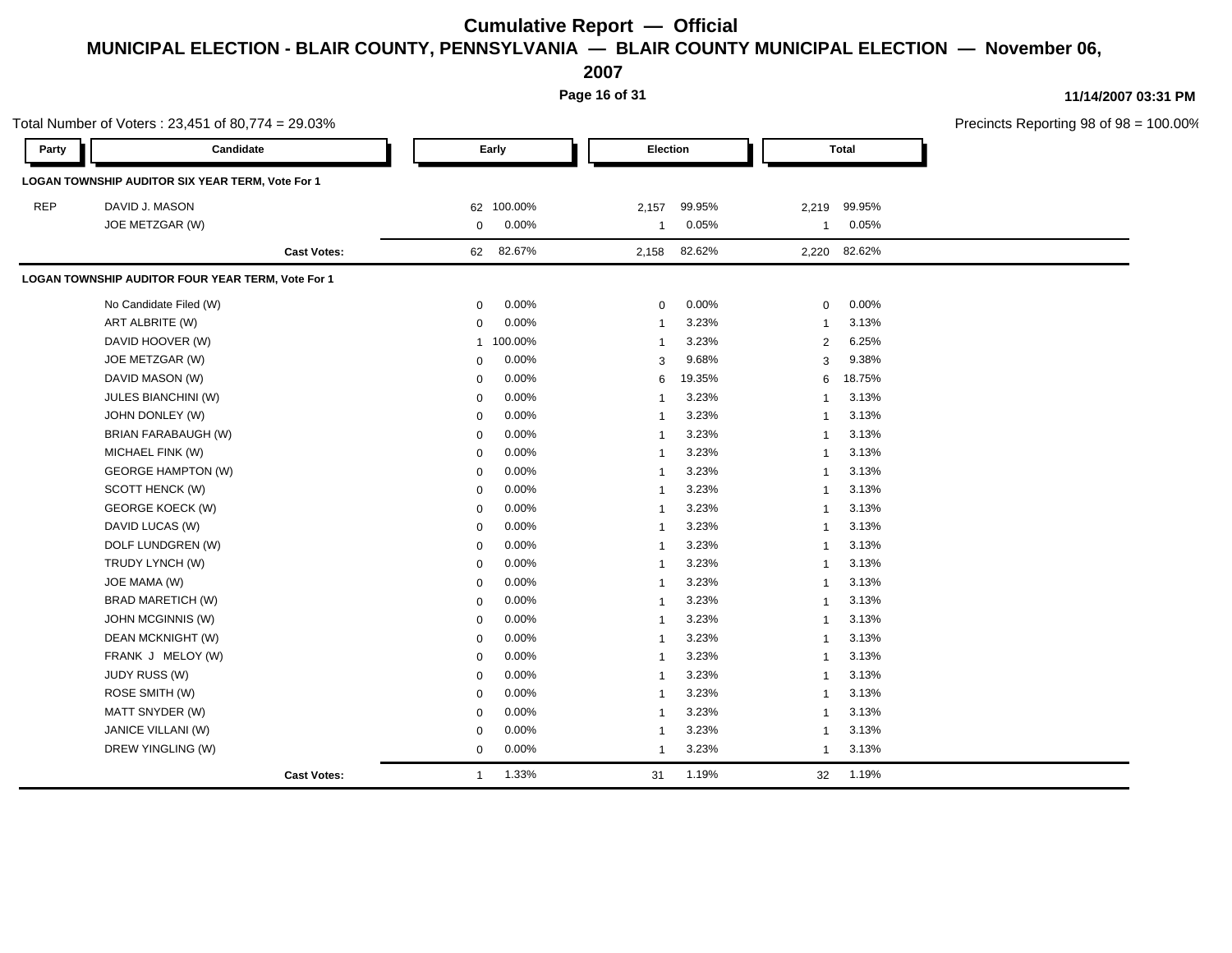**2007**

**Page 16 of 31**

|            | Total Number of Voters: 23,451 of 80,774 = 29.03% |  |                |            |                |          |  |                |              | Precincts Reporting 98 of 98 = 100.00% |
|------------|---------------------------------------------------|--|----------------|------------|----------------|----------|--|----------------|--------------|----------------------------------------|
| Party      | Candidate                                         |  | Early          |            |                | Election |  | <b>Total</b>   |              |                                        |
|            | LOGAN TOWNSHIP AUDITOR SIX YEAR TERM, Vote For 1  |  |                |            |                |          |  |                |              |                                        |
| <b>REP</b> | DAVID J. MASON                                    |  |                | 62 100.00% | 2,157          | 99.95%   |  |                | 2,219 99.95% |                                        |
|            | JOE METZGAR (W)                                   |  | $\mathbf{0}$   | $0.00\%$   | $\overline{1}$ | 0.05%    |  |                | 1 0.05%      |                                        |
|            | <b>Cast Votes:</b>                                |  |                | 62 82.67%  | 2,158 82.62%   |          |  |                | 2,220 82.62% |                                        |
|            | LOGAN TOWNSHIP AUDITOR FOUR YEAR TERM, Vote For 1 |  |                |            |                |          |  |                |              |                                        |
|            | No Candidate Filed (W)                            |  | $\mathbf 0$    | 0.00%      | $\mathbf 0$    | 0.00%    |  | $\mathbf 0$    | 0.00%        |                                        |
|            | ART ALBRITE (W)                                   |  | $\Omega$       | 0.00%      |                | 3.23%    |  |                | 3.13%        |                                        |
|            | DAVID HOOVER (W)                                  |  |                | 1 100.00%  |                | 3.23%    |  | 2              | 6.25%        |                                        |
|            | JOE METZGAR (W)                                   |  | $\mathbf 0$    | 0.00%      | 3              | 9.68%    |  | 3              | 9.38%        |                                        |
|            | DAVID MASON (W)                                   |  | $\mathbf 0$    | 0.00%      | 6              | 19.35%   |  |                | 6 18.75%     |                                        |
|            | JULES BIANCHINI (W)                               |  | $\Omega$       | 0.00%      | -1             | 3.23%    |  | $\mathbf{1}$   | 3.13%        |                                        |
|            | JOHN DONLEY (W)                                   |  | $\Omega$       | $0.00\%$   | 1              | 3.23%    |  | $\mathbf{1}$   | 3.13%        |                                        |
|            | BRIAN FARABAUGH (W)                               |  | $\Omega$       | 0.00%      | 1              | 3.23%    |  | $\overline{1}$ | 3.13%        |                                        |
|            | MICHAEL FINK (W)                                  |  | $\Omega$       | 0.00%      | -1             | 3.23%    |  | $\overline{1}$ | 3.13%        |                                        |
|            | <b>GEORGE HAMPTON (W)</b>                         |  | 0              | 0.00%      |                | 3.23%    |  | $\overline{1}$ | 3.13%        |                                        |
|            | SCOTT HENCK (W)                                   |  | $\mathbf 0$    | 0.00%      | -1             | 3.23%    |  | $\overline{1}$ | 3.13%        |                                        |
|            | <b>GEORGE KOECK (W)</b>                           |  | 0              | 0.00%      | -1             | 3.23%    |  | $\overline{1}$ | 3.13%        |                                        |
|            | DAVID LUCAS (W)                                   |  | $\mathbf 0$    | 0.00%      |                | 3.23%    |  | $\overline{1}$ | 3.13%        |                                        |
|            | DOLF LUNDGREN (W)                                 |  | $\Omega$       | 0.00%      | -1             | 3.23%    |  | $\overline{1}$ | 3.13%        |                                        |
|            | TRUDY LYNCH (W)                                   |  | 0              | 0.00%      | -1             | 3.23%    |  | -1             | 3.13%        |                                        |
|            | JOE MAMA (W)                                      |  | 0              | 0.00%      | -1             | 3.23%    |  | $\overline{1}$ | 3.13%        |                                        |
|            | <b>BRAD MARETICH (W)</b>                          |  | $\mathbf 0$    | 0.00%      |                | 3.23%    |  |                | 3.13%        |                                        |
|            | JOHN MCGINNIS (W)                                 |  | 0              | 0.00%      |                | 3.23%    |  | -1             | 3.13%        |                                        |
|            | DEAN MCKNIGHT (W)                                 |  | 0              | 0.00%      | -1             | 3.23%    |  | $\mathbf{1}$   | 3.13%        |                                        |
|            | FRANK J MELOY (W)                                 |  | $\mathbf 0$    | 0.00%      | 1              | 3.23%    |  | $\mathbf{1}$   | 3.13%        |                                        |
|            | JUDY RUSS (W)                                     |  | $\Omega$       | 0.00%      | -1             | 3.23%    |  | $\mathbf{1}$   | 3.13%        |                                        |
|            | ROSE SMITH (W)                                    |  | $\Omega$       | 0.00%      | $\mathbf{1}$   | 3.23%    |  | $\mathbf{1}$   | 3.13%        |                                        |
|            | MATT SNYDER (W)                                   |  | $\mathbf 0$    | 0.00%      | 1              | 3.23%    |  | $\overline{1}$ | 3.13%        |                                        |
|            | JANICE VILLANI (W)                                |  | $\mathbf 0$    | 0.00%      | -1             | 3.23%    |  | $\overline{1}$ | 3.13%        |                                        |
|            | DREW YINGLING (W)                                 |  | $\overline{0}$ | 0.00%      | $\mathbf{1}$   | 3.23%    |  | $\overline{1}$ | 3.13%        |                                        |
|            | <b>Cast Votes:</b>                                |  | $\overline{1}$ | 1.33%      | 31             | 1.19%    |  |                | 32 1.19%     |                                        |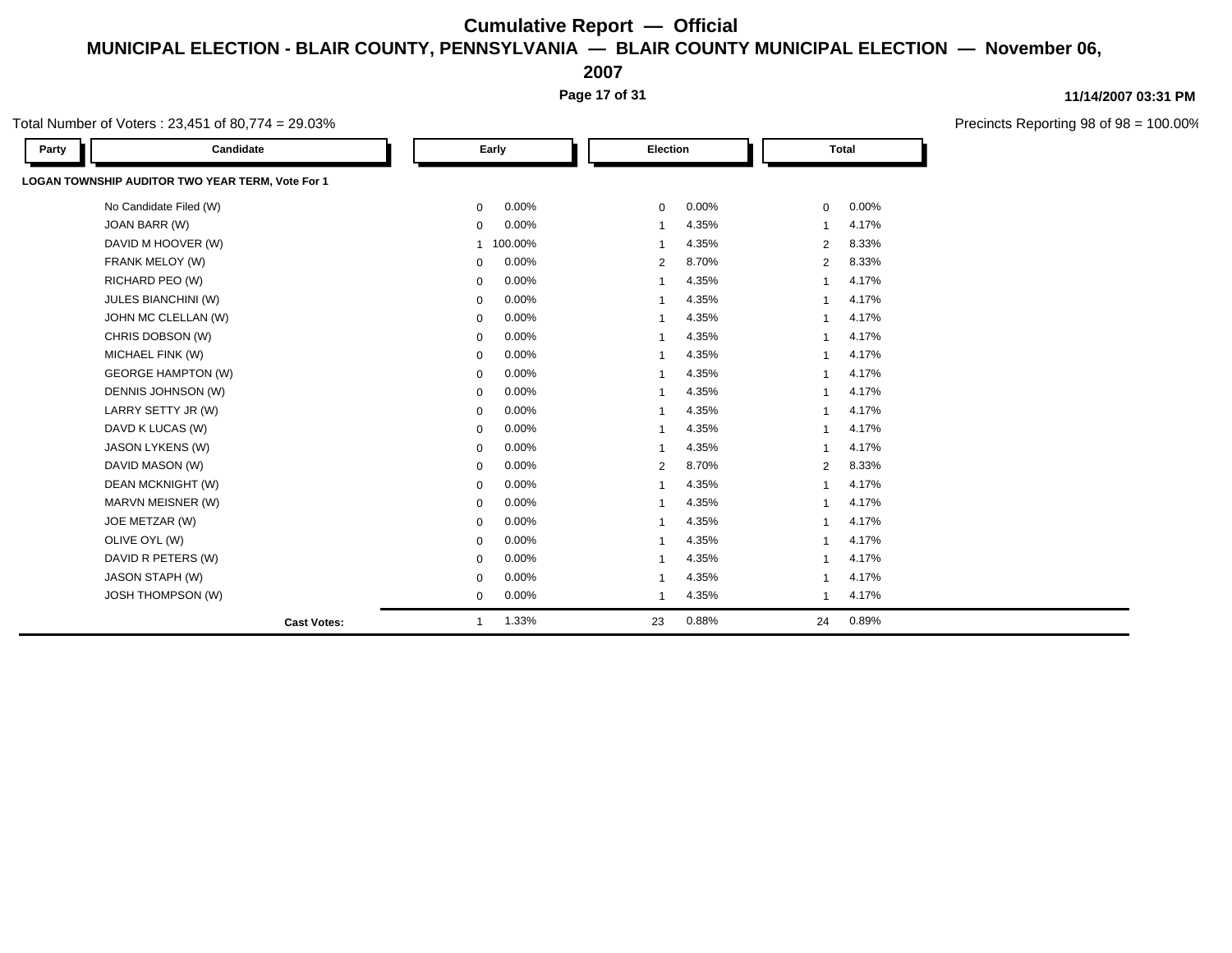**2007**

**Page 17 of 31**

**11/14/2007 03:31 PM**

Precincts Reporting 98 of 98 = 100.00%

| Party | Candidate                                        |                | Early   | Election       |       |                         | <b>Total</b> |  |
|-------|--------------------------------------------------|----------------|---------|----------------|-------|-------------------------|--------------|--|
|       | LOGAN TOWNSHIP AUDITOR TWO YEAR TERM, Vote For 1 |                |         |                |       |                         |              |  |
|       | No Candidate Filed (W)                           | $\mathbf{0}$   | 0.00%   | $\mathbf 0$    | 0.00% | $\mathbf 0$             | $0.00\%$     |  |
|       | JOAN BARR (W)                                    | 0              | 0.00%   | 1              | 4.35% | $\overline{1}$          | 4.17%        |  |
|       | DAVID M HOOVER (W)                               | $\overline{1}$ | 100.00% | $\mathbf{1}$   | 4.35% | 2                       | 8.33%        |  |
|       | FRANK MELOY (W)                                  | $\mathbf 0$    | 0.00%   | $\overline{2}$ | 8.70% | 2                       | 8.33%        |  |
|       | RICHARD PEO (W)                                  | $\mathbf 0$    | 0.00%   | 1              | 4.35% | -1                      | 4.17%        |  |
|       | JULES BIANCHINI (W)                              | $\mathbf 0$    | 0.00%   | -1             | 4.35% | -1                      | 4.17%        |  |
|       | JOHN MC CLELLAN (W)                              | $\mathbf 0$    | 0.00%   | 1              | 4.35% | 1                       | 4.17%        |  |
|       | CHRIS DOBSON (W)                                 | $\mathbf 0$    | 0.00%   | $\overline{1}$ | 4.35% | $\overline{\mathbf{1}}$ | 4.17%        |  |
|       | MICHAEL FINK (W)                                 | $\mathbf 0$    | 0.00%   | 1              | 4.35% | -1                      | 4.17%        |  |
|       | <b>GEORGE HAMPTON (W)</b>                        | $\mathbf 0$    | 0.00%   | 1              | 4.35% | -1                      | 4.17%        |  |
|       | DENNIS JOHNSON (W)                               | $\mathbf 0$    | 0.00%   | 1              | 4.35% | $\overline{\mathbf{1}}$ | 4.17%        |  |
|       | LARRY SETTY JR (W)                               | 0              | 0.00%   | 1              | 4.35% | -1                      | 4.17%        |  |
|       | DAVD K LUCAS (W)                                 | $\mathbf 0$    | 0.00%   | 1              | 4.35% | -1                      | 4.17%        |  |
|       | JASON LYKENS (W)                                 | $\mathbf 0$    | 0.00%   | $\overline{1}$ | 4.35% | $\overline{1}$          | 4.17%        |  |
|       | DAVID MASON (W)                                  | $\mathbf 0$    | 0.00%   | 2              | 8.70% | 2                       | 8.33%        |  |
|       | DEAN MCKNIGHT (W)                                | $\mathbf 0$    | 0.00%   | $\overline{1}$ | 4.35% | $\overline{1}$          | 4.17%        |  |
|       | MARVN MEISNER (W)                                | $\mathbf 0$    | 0.00%   | 1              | 4.35% | -1                      | 4.17%        |  |
|       | JOE METZAR (W)                                   | $\mathbf 0$    | 0.00%   | $\mathbf{1}$   | 4.35% | $\overline{1}$          | 4.17%        |  |
|       | OLIVE OYL (W)                                    | $\mathbf 0$    | 0.00%   | 1              | 4.35% | -1                      | 4.17%        |  |
|       | DAVID R PETERS (W)                               | $\mathbf 0$    | 0.00%   | $\mathbf{1}$   | 4.35% | $\overline{1}$          | 4.17%        |  |
|       | <b>JASON STAPH (W)</b>                           | $\mathbf 0$    | 0.00%   | 1              | 4.35% | -1                      | 4.17%        |  |
|       | <b>JOSH THOMPSON (W)</b>                         | $\mathbf 0$    | 0.00%   | 1              | 4.35% | $\overline{1}$          | 4.17%        |  |
|       | <b>Cast Votes:</b>                               | -1             | 1.33%   | 23             | 0.88% | 24                      | 0.89%        |  |

Total Number of Voters : 23,451 of 80,774 = 29.03%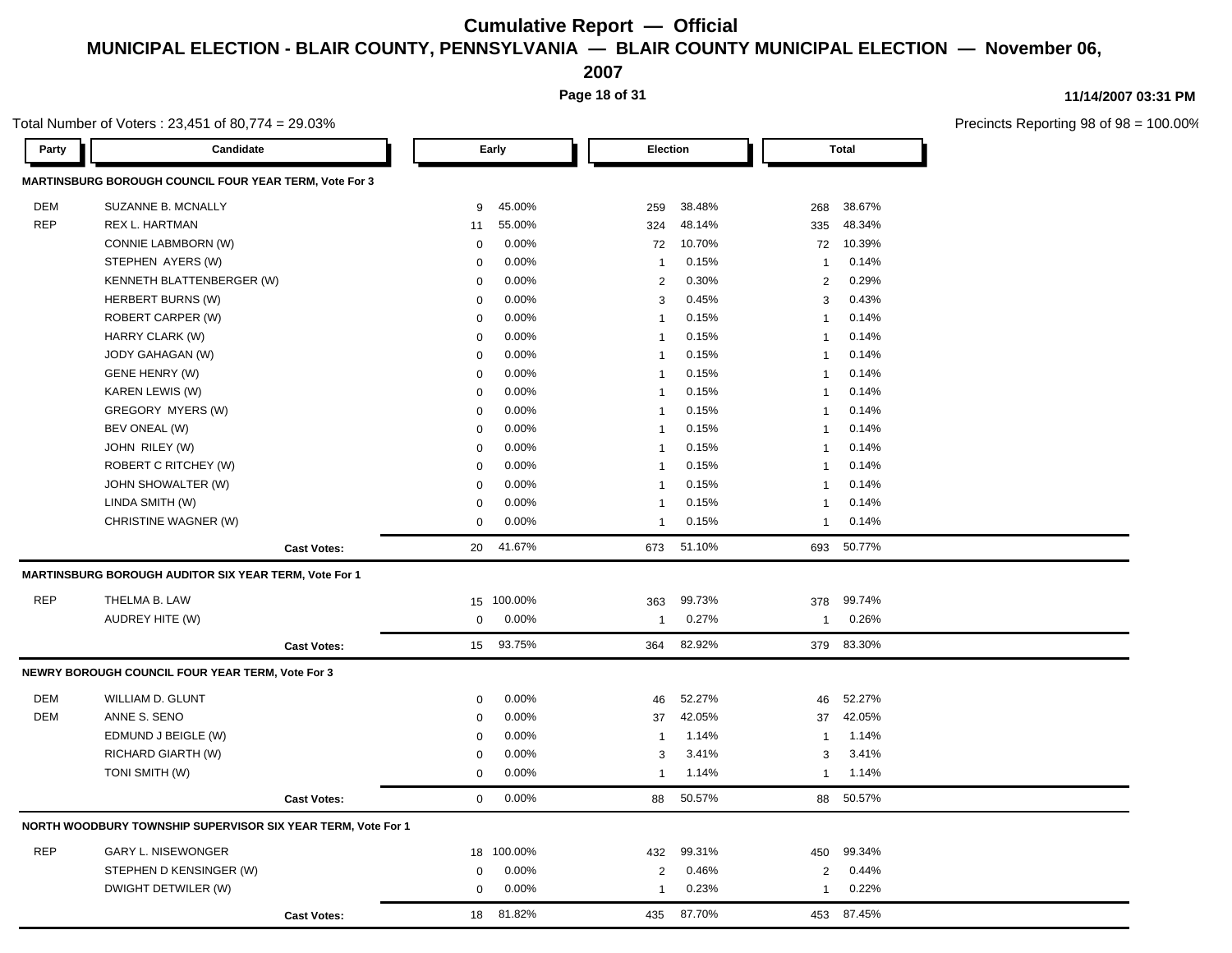**2007**

**Page 18 of 31**

### **11/14/2007 03:31 PM**

 $98 = 100.00\%$ 

|            | Total Number of Voters: 23,451 of 80,774 = 29.03%            |                    |             |         |                 |        |              |              | Precincts Reporting 98 of |
|------------|--------------------------------------------------------------|--------------------|-------------|---------|-----------------|--------|--------------|--------------|---------------------------|
| Party      | Candidate                                                    |                    |             | Early   | <b>Election</b> |        |              | <b>Total</b> |                           |
|            | MARTINSBURG BOROUGH COUNCIL FOUR YEAR TERM, Vote For 3       |                    |             |         |                 |        |              |              |                           |
| DEM        | SUZANNE B. MCNALLY                                           |                    | 9           | 45.00%  | 259             | 38.48% | 268          | 38.67%       |                           |
| <b>REP</b> | REX L. HARTMAN                                               |                    | 11          | 55.00%  | 324             | 48.14% | 335          | 48.34%       |                           |
|            | CONNIE LABMBORN (W)                                          |                    | $\Omega$    | 0.00%   | 72              | 10.70% | 72           | 10.39%       |                           |
|            | STEPHEN AYERS (W)                                            |                    | $\mathbf 0$ | 0.00%   | $\overline{1}$  | 0.15%  | $\mathbf{1}$ | 0.14%        |                           |
|            | KENNETH BLATTENBERGER (W)                                    |                    | $\mathbf 0$ | 0.00%   | $\overline{2}$  | 0.30%  | 2            | 0.29%        |                           |
|            | HERBERT BURNS (W)                                            |                    | 0           | 0.00%   | 3               | 0.45%  | 3            | 0.43%        |                           |
|            | ROBERT CARPER (W)                                            |                    | $\Omega$    | 0.00%   | $\overline{1}$  | 0.15%  | $\mathbf{1}$ | 0.14%        |                           |
|            | HARRY CLARK (W)                                              |                    | $\mathbf 0$ | 0.00%   | $\overline{1}$  | 0.15%  | $\mathbf{1}$ | 0.14%        |                           |
|            | JODY GAHAGAN (W)                                             |                    | $\mathbf 0$ | 0.00%   | $\overline{1}$  | 0.15%  | $\mathbf{1}$ | 0.14%        |                           |
|            | <b>GENE HENRY (W)</b>                                        |                    | $\Omega$    | 0.00%   | $\mathbf{1}$    | 0.15%  | $\mathbf{1}$ | 0.14%        |                           |
|            | KAREN LEWIS (W)                                              |                    | $\mathbf 0$ | 0.00%   | $\overline{1}$  | 0.15%  | $\mathbf{1}$ | 0.14%        |                           |
|            | GREGORY MYERS (W)                                            |                    | $\mathbf 0$ | 0.00%   | $\mathbf{1}$    | 0.15%  | $\mathbf{1}$ | 0.14%        |                           |
|            | BEV ONEAL (W)                                                |                    | $\mathbf 0$ | 0.00%   | $\overline{1}$  | 0.15%  | $\mathbf{1}$ | 0.14%        |                           |
|            | JOHN RILEY (W)                                               |                    | $\mathbf 0$ | 0.00%   | $\overline{1}$  | 0.15%  | $\mathbf{1}$ | 0.14%        |                           |
|            | ROBERT C RITCHEY (W)                                         |                    | $\mathbf 0$ | 0.00%   | $\mathbf{1}$    | 0.15%  | $\mathbf{1}$ | 0.14%        |                           |
|            | JOHN SHOWALTER (W)                                           |                    | $\mathbf 0$ | 0.00%   | $\mathbf{1}$    | 0.15%  | $\mathbf{1}$ | 0.14%        |                           |
|            | LINDA SMITH (W)                                              |                    | $\mathbf 0$ | 0.00%   | $\mathbf{1}$    | 0.15%  | $\mathbf{1}$ | 0.14%        |                           |
|            | CHRISTINE WAGNER (W)                                         |                    | $\mathbf 0$ | 0.00%   | $\overline{1}$  | 0.15%  | $\mathbf{1}$ | 0.14%        |                           |
|            |                                                              | <b>Cast Votes:</b> | 20          | 41.67%  | 673             | 51.10% |              | 693 50.77%   |                           |
|            | <b>MARTINSBURG BOROUGH AUDITOR SIX YEAR TERM, Vote For 1</b> |                    |             |         |                 |        |              |              |                           |
| <b>REP</b> | THELMA B. LAW                                                |                    | 15          | 100.00% | 363             | 99.73% | 378          | 99.74%       |                           |
|            | <b>AUDREY HITE (W)</b>                                       |                    | $\mathbf 0$ | 0.00%   | $\overline{1}$  | 0.27%  | $\mathbf{1}$ | 0.26%        |                           |
|            |                                                              | <b>Cast Votes:</b> | 15          | 93.75%  | 364             | 82.92% |              | 379 83.30%   |                           |
|            | NEWRY BOROUGH COUNCIL FOUR YEAR TERM, Vote For 3             |                    |             |         |                 |        |              |              |                           |
| DEM        | WILLIAM D. GLUNT                                             |                    | 0           | 0.00%   | 46              | 52.27% | 46           | 52.27%       |                           |
| DEM        | ANNE S. SENO                                                 |                    | $\mathbf 0$ | 0.00%   | 37              | 42.05% | 37           | 42.05%       |                           |
|            | EDMUND J BEIGLE (W)                                          |                    | $\mathbf 0$ | 0.00%   | $\overline{1}$  | 1.14%  | $\mathbf{1}$ | 1.14%        |                           |
|            | RICHARD GIARTH (W)                                           |                    | $\mathbf 0$ | 0.00%   | 3               | 3.41%  | 3            | 3.41%        |                           |
|            | TONI SMITH (W)                                               |                    | $\mathbf 0$ | 0.00%   | $\mathbf{1}$    | 1.14%  | $\mathbf{1}$ | 1.14%        |                           |
|            |                                                              |                    |             |         |                 |        |              |              |                           |
|            |                                                              | <b>Cast Votes:</b> | $\mathbf 0$ | 0.00%   | 88              | 50.57% |              | 88 50.57%    |                           |
|            | NORTH WOODBURY TOWNSHIP SUPERVISOR SIX YEAR TERM, Vote For 1 |                    |             |         |                 |        |              |              |                           |
| <b>REP</b> | <b>GARY L. NISEWONGER</b>                                    |                    | 18          | 100.00% | 432             | 99.31% | 450          | 99.34%       |                           |
|            | STEPHEN D KENSINGER (W)                                      |                    | $\mathbf 0$ | 0.00%   | $\overline{2}$  | 0.46%  | 2            | 0.44%        |                           |
|            | DWIGHT DETWILER (W)                                          |                    | $\mathbf 0$ | 0.00%   | 1               | 0.23%  | $\mathbf{1}$ | 0.22%        |                           |
|            |                                                              | <b>Cast Votes:</b> | 18          | 81.82%  | 435             | 87.70% | 453          | 87.45%       |                           |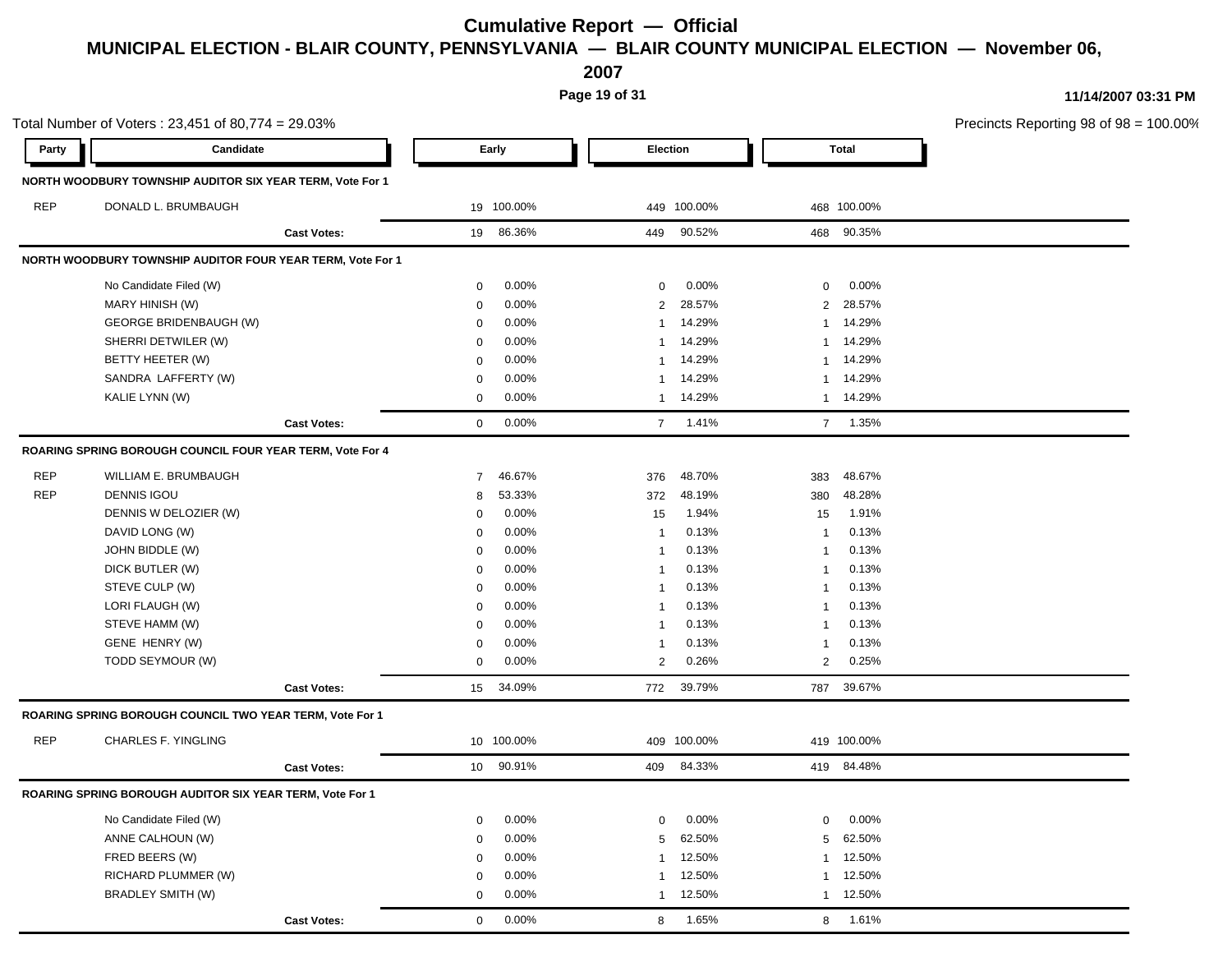**2007**

**Page 19 of 31**

Total Number of Voters : 23,451 of 80,774 = 29.03% Precincts Reporting 98 of 98 = 100.00% **Party Candidate Early Election Total NORTH WOODBURY TOWNSHIP AUDITOR SIX YEAR TERM, Vote For 1** REP DONALD L. BRUMBAUGH 19 100.00% 449 100.00% 468 100.00% **Cast Votes:** 19 86.36% 449 90.52% 468 90.35% **NORTH WOODBURY TOWNSHIP AUDITOR FOUR YEAR TERM, Vote For 1** No Candidate Filed (W) 0 0.00% 0 0.00% 0 0.00% MARY HINISH (W) 0 0.00% 2 28.57% 2 28.57% GEORGE BRIDENBAUGH (W)  $0.00\%$   $1.4.29\%$  14.29% 1 14.29% SHERRI DETWILER (W) 0 0.00% 1 14.29% 1 14.29% BETTY HEETER (W) 0 0.00% 1 14.29% 1 14.29% SANDRA LAFFERTY (W) 0 0.00% 1 14.29% 1 14.29% KALIE LYNN (W) 0 0.00% 1 14.29% 1 14.29% **Cast Votes:** 0 0.00% 7 1.41% 7 1.35% **ROARING SPRING BOROUGH COUNCIL FOUR YEAR TERM, Vote For 4** REP WILLIAM E. BRUMBAUGH 7 46.67% 376 48.70% 383 48.67% REP DENNIS IGOU 8 53.33% 372 48.19% 380 48.28% DENNIS W DELOZIER (W) 0 0.00% 15 1.94% 15 1.91% DAVID LONG (W) 0 0.00% 1 0.13% 1 0.13% JOHN BIDDLE (W) 0 0.00% 1 0.13% 1 0.13% DICK BUTLER (W) 0 0.00% 1 0.13% 1 0.13% STEVE CULP (W) 0 0.00% 1 0.13% 1 0.13% LORI FLAUGH (W) 0 0.00% 1 0.13% 1 0.13% STEVE HAMM (W) 0 0.00% 1 0.13% 1 0.13% GENE HENRY (W) 0 0.00% 1 0.13% 1 0.13% TODD SEYMOUR (W) 0 0.00% 2 0.26% 2 0.25% **Cast Votes:** 15 34.09% 772 39.79% 787 39.67% **ROARING SPRING BOROUGH COUNCIL TWO YEAR TERM, Vote For 1** REP CHARLES F. YINGLING 10 100.00% 409 100.00% 419 100.00% **Cast Votes:** 10 90.91% 409 84.33% 419 84.48% **ROARING SPRING BOROUGH AUDITOR SIX YEAR TERM, Vote For 1** No Candidate Filed (W)  $0.00\%$  0.00% 0 0.00% 0 0.00% 0 0.00% ANNE CALHOUN (W) 0 0.00% 5 62.50% 5 62.50% FRED BEERS (W) 0 0.00% 1 12.50% 1 12.50% RICHARD PLUMMER (W) 0 0.00% 1 12.50% 1 12.50% BRADLEY SMITH (W) 0 0.00% 1 12.50% 1 12.50% **Cast Votes:** 0 0.00% 8 1.65% 8 1.61%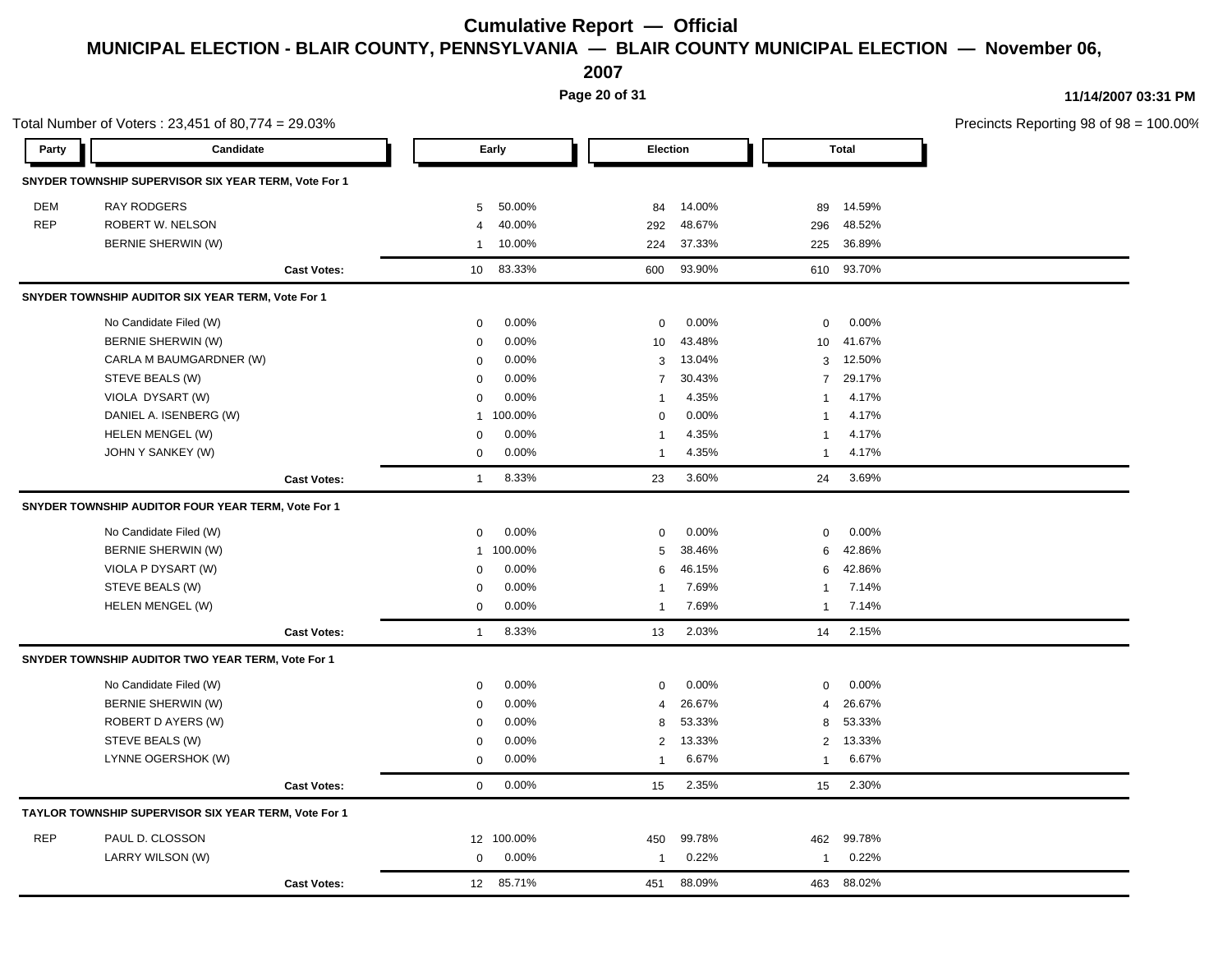**2007**

**Page 20 of 31**

Total Number of Voters : 23,451 of 80,774 = 29.03% Precincts Reporting 98 of 98 = 100.00% **Party Candidate Early Election Total SNYDER TOWNSHIP SUPERVISOR SIX YEAR TERM, Vote For 1** DEM RAY RODGERS 5 50.00% 84 14.00% 89 14.59% REP ROBERT W. NELSON 4 40.00% 292 48.67% 296 48.52% BERNIE SHERWIN (W) 1 10.00% 224 37.33% 225 36.89% **Cast Votes:** 10 83.33% 600 93.90% 610 93.70% **SNYDER TOWNSHIP AUDITOR SIX YEAR TERM, Vote For 1** No Candidate Filed (W)  $0.00\%$  0.00% 0 0.00% 0 0.00% 0 0.00% BERNIE SHERWIN (W) 0 0.00% 10 43.48% 10 41.67% CARLA M BAUMGARDNER (W) 0 0.00% 3 13.04% 3 12.50% STEVE BEALS (W) 0 0.00% 7 30.43% 7 29.17% VIOLA DYSART (W) 0 0.00% 1 4.35% 1 4.17% DANIEL A. ISENBERG (W) 1 100.00% 1 100.00% 0 0.00% 1 4.17% HELEN MENGEL (W) 0 0.00% 1 4.35% 1 4.17% JOHN Y SANKEY (W) 0 0.00% 1 4.35% 1 4.17% **Cast Votes:** 1 8.33% 23 3.60% 24 3.69% **SNYDER TOWNSHIP AUDITOR FOUR YEAR TERM, Vote For 1** No Candidate Filed (W) **0 0.00% 0 0.00%** 0 0.00% 0 0.00% 0 0.00% 0 0.00% 0 0.00% 0 0.00% 0 0.00% 0 0.00% 0 0.00% 0 0.00% 0 0.00% 0 0.00% 0 0.00% 0 0.00% 0 0.00% 0 0.00% 0 0.00% 0 0.00% 0 0.00% 0 0.00% 0 0.00% 0 0.00% 0 0.0 BERNIE SHERWIN (W) 1 100.00% 5 38.46% 6 42.86% VIOLA P DYSART (W) 0 0.00% 6 46.15% 6 42.86% STEVE BEALS (W) 0 0.00% 1 7.69% 1 7.14% HELEN MENGEL (W) 0 0.00% 1 7.69% 1 7.14% **Cast Votes:** 1 8.33% 13 2.03% 14 2.15% **SNYDER TOWNSHIP AUDITOR TWO YEAR TERM, Vote For 1** No Candidate Filed (W)  $0.00\%$  0.00% 0 0.00% 0 0.00% 0 0.00% BERNIE SHERWIN (W) 0 0.00% 4 26.67% 4 26.67% ROBERT D AYERS (W) 8 53.33% 8 53.33% 8 53.33% 8 53.33% 8 53.33% STEVE BEALS (W) 0 0.00% 2 13.33% 2 13.33% LYNNE OGERSHOK (W) 0 0.00% 1 6.67% 1 6.67% **Cast Votes:** 0 0.00% 15 2.35% 15 2.30% **TAYLOR TOWNSHIP SUPERVISOR SIX YEAR TERM, Vote For 1** REP PAUL D. CLOSSON 12 100.00% 450 99.78% 462 99.78% LARRY WILSON (W) 0 0.00% 1 0.22% 1 0.22% **Cast Votes:** 12 85.71% 451 88.09% 463 88.02%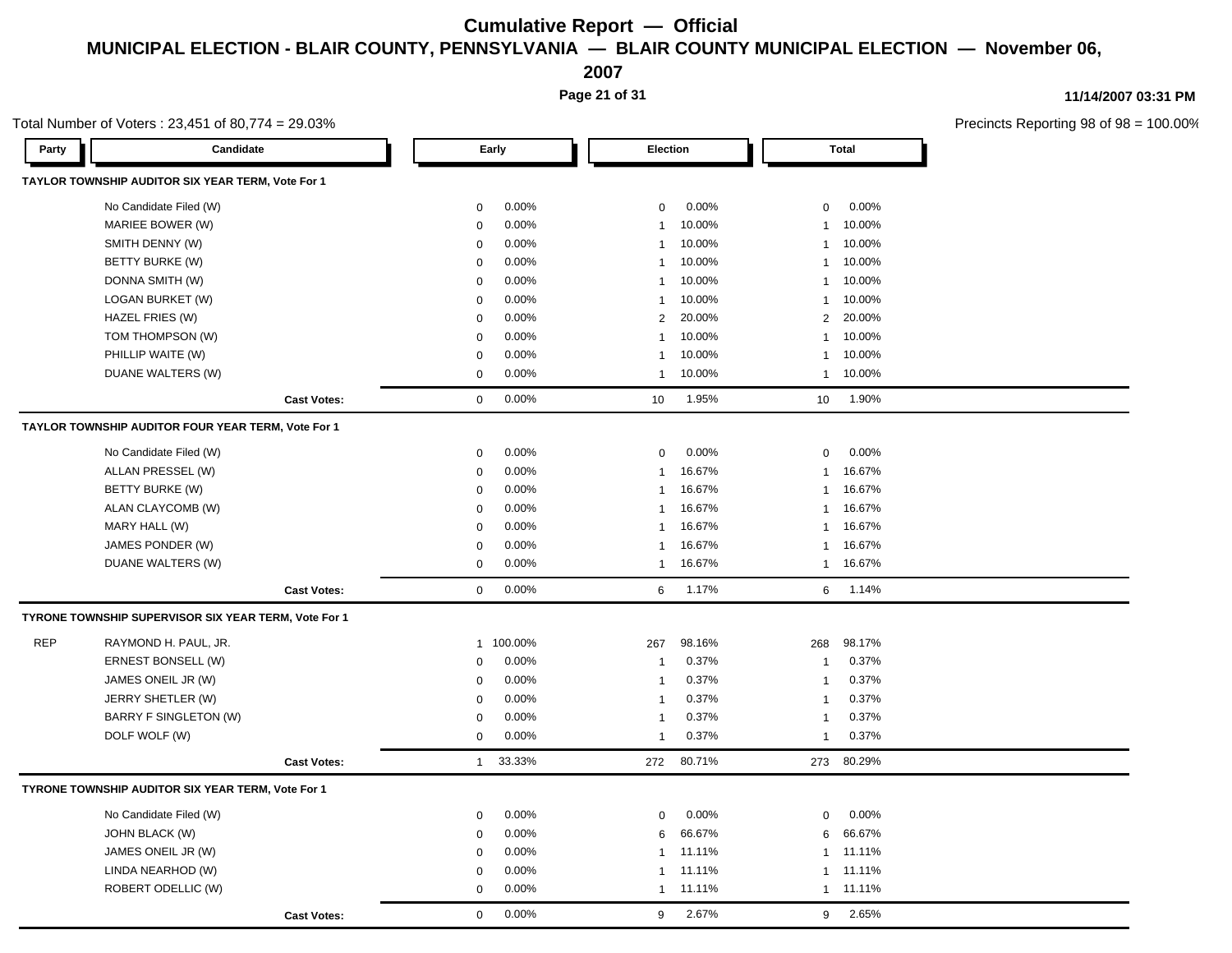**2007**

**Page 21 of 31**

**11/14/2007 03:31 PM**

|            | Total Number of Voters: $23,451$ of 80,774 = 29.03%  |                    |              |           |              |        |                |              | Precincts Reporting 98 of 98 |
|------------|------------------------------------------------------|--------------------|--------------|-----------|--------------|--------|----------------|--------------|------------------------------|
| Party      | Candidate                                            |                    |              | Early     | Election     |        |                | <b>Total</b> |                              |
|            | TAYLOR TOWNSHIP AUDITOR SIX YEAR TERM, Vote For 1    |                    |              |           |              |        |                |              |                              |
|            | No Candidate Filed (W)                               |                    | $\mathbf 0$  | 0.00%     | $\mathbf 0$  | 0.00%  | $\mathbf 0$    | 0.00%        |                              |
|            | MARIEE BOWER (W)                                     |                    | $\mathbf 0$  | 0.00%     | $\mathbf{1}$ | 10.00% | $\mathbf{1}$   | 10.00%       |                              |
|            | SMITH DENNY (W)                                      |                    | $\mathbf 0$  | 0.00%     | $\mathbf{1}$ | 10.00% | $\overline{1}$ | 10.00%       |                              |
|            | BETTY BURKE (W)                                      |                    | 0            | 0.00%     | -1           | 10.00% | $\overline{1}$ | 10.00%       |                              |
|            | DONNA SMITH (W)                                      |                    | $\mathbf 0$  | 0.00%     | -1           | 10.00% | $\mathbf{1}$   | 10.00%       |                              |
|            | LOGAN BURKET (W)                                     |                    | $\mathbf 0$  | 0.00%     | $\mathbf{1}$ | 10.00% | $\mathbf{1}$   | 10.00%       |                              |
|            | HAZEL FRIES (W)                                      |                    | $\mathbf 0$  | 0.00%     | 2            | 20.00% | $\overline{2}$ | 20.00%       |                              |
|            | TOM THOMPSON (W)                                     |                    | 0            | 0.00%     | $\mathbf{1}$ | 10.00% | $\mathbf{1}$   | 10.00%       |                              |
|            | PHILLIP WAITE (W)                                    |                    | 0            | 0.00%     | -1           | 10.00% | $\mathbf{1}$   | 10.00%       |                              |
|            | DUANE WALTERS (W)                                    |                    | $\mathbf 0$  | 0.00%     | 1            | 10.00% | $\mathbf{1}$   | 10.00%       |                              |
|            |                                                      | <b>Cast Votes:</b> | $\mathbf 0$  | 0.00%     | 10           | 1.95%  | 10             | 1.90%        |                              |
|            | TAYLOR TOWNSHIP AUDITOR FOUR YEAR TERM, Vote For 1   |                    |              |           |              |        |                |              |                              |
|            | No Candidate Filed (W)                               |                    | $\mathbf 0$  | 0.00%     | $\mathbf 0$  | 0.00%  | 0              | 0.00%        |                              |
|            | ALLAN PRESSEL (W)                                    |                    | $\mathbf 0$  | 0.00%     | -1           | 16.67% | -1             | 16.67%       |                              |
|            | <b>BETTY BURKE (W)</b>                               |                    | 0            | 0.00%     | -1           | 16.67% | $\mathbf 1$    | 16.67%       |                              |
|            | ALAN CLAYCOMB (W)                                    |                    | 0            | 0.00%     | -1           | 16.67% | $\mathbf{1}$   | 16.67%       |                              |
|            | MARY HALL (W)                                        |                    | $\mathbf 0$  | 0.00%     | $\mathbf{1}$ | 16.67% | $\mathbf{1}$   | 16.67%       |                              |
|            | JAMES PONDER (W)                                     |                    | $\mathbf 0$  | 0.00%     | -1           | 16.67% | -1             | 16.67%       |                              |
|            | DUANE WALTERS (W)                                    |                    | 0            | 0.00%     | 1            | 16.67% | $\mathbf{1}$   | 16.67%       |                              |
|            |                                                      | <b>Cast Votes:</b> | $\mathbf 0$  | 0.00%     | 6            | 1.17%  | 6              | 1.14%        |                              |
|            | TYRONE TOWNSHIP SUPERVISOR SIX YEAR TERM, Vote For 1 |                    |              |           |              |        |                |              |                              |
| <b>REP</b> | RAYMOND H. PAUL, JR.                                 |                    |              | 1 100.00% | 267          | 98.16% | 268            | 98.17%       |                              |
|            | ERNEST BONSELL (W)                                   |                    | 0            | 0.00%     | $\mathbf{1}$ | 0.37%  | $\overline{1}$ | 0.37%        |                              |
|            | JAMES ONEIL JR (W)                                   |                    | $\mathbf 0$  | 0.00%     | $\mathbf{1}$ | 0.37%  | $\overline{1}$ | 0.37%        |                              |
|            | JERRY SHETLER (W)                                    |                    | 0            | 0.00%     | $\mathbf{1}$ | 0.37%  | -1             | 0.37%        |                              |
|            | BARRY F SINGLETON (W)                                |                    | 0            | 0.00%     | -1           | 0.37%  | $\overline{1}$ | 0.37%        |                              |
|            | DOLF WOLF (W)                                        |                    | $\mathbf 0$  | 0.00%     | $\mathbf{1}$ | 0.37%  | $\overline{1}$ | 0.37%        |                              |
|            |                                                      | <b>Cast Votes:</b> | $\mathbf{1}$ | 33.33%    | 272          | 80.71% |                | 273 80.29%   |                              |
|            | TYRONE TOWNSHIP AUDITOR SIX YEAR TERM, Vote For 1    |                    |              |           |              |        |                |              |                              |
|            | No Candidate Filed (W)                               |                    | $\mathbf 0$  | 0.00%     | $\mathbf 0$  | 0.00%  | $\mathbf 0$    | 0.00%        |                              |
|            | <b>JOHN BLACK (W)</b>                                |                    | $\mathbf 0$  | 0.00%     | 6            | 66.67% | 6              | 66.67%       |                              |
|            | JAMES ONEIL JR (W)                                   |                    | 0            | 0.00%     | 1            | 11.11% | $\mathbf{1}$   | 11.11%       |                              |
|            | LINDA NEARHOD (W)                                    |                    | 0            | 0.00%     | 1            | 11.11% | $\mathbf{1}$   | 11.11%       |                              |
|            | ROBERT ODELLIC (W)                                   |                    | $\mathbf 0$  | 0.00%     | $\mathbf{1}$ | 11.11% | $\mathbf{1}$   | 11.11%       |                              |
|            |                                                      | <b>Cast Votes:</b> | $\mathbf{0}$ | 0.00%     | 9            | 2.67%  | 9              | 2.65%        |                              |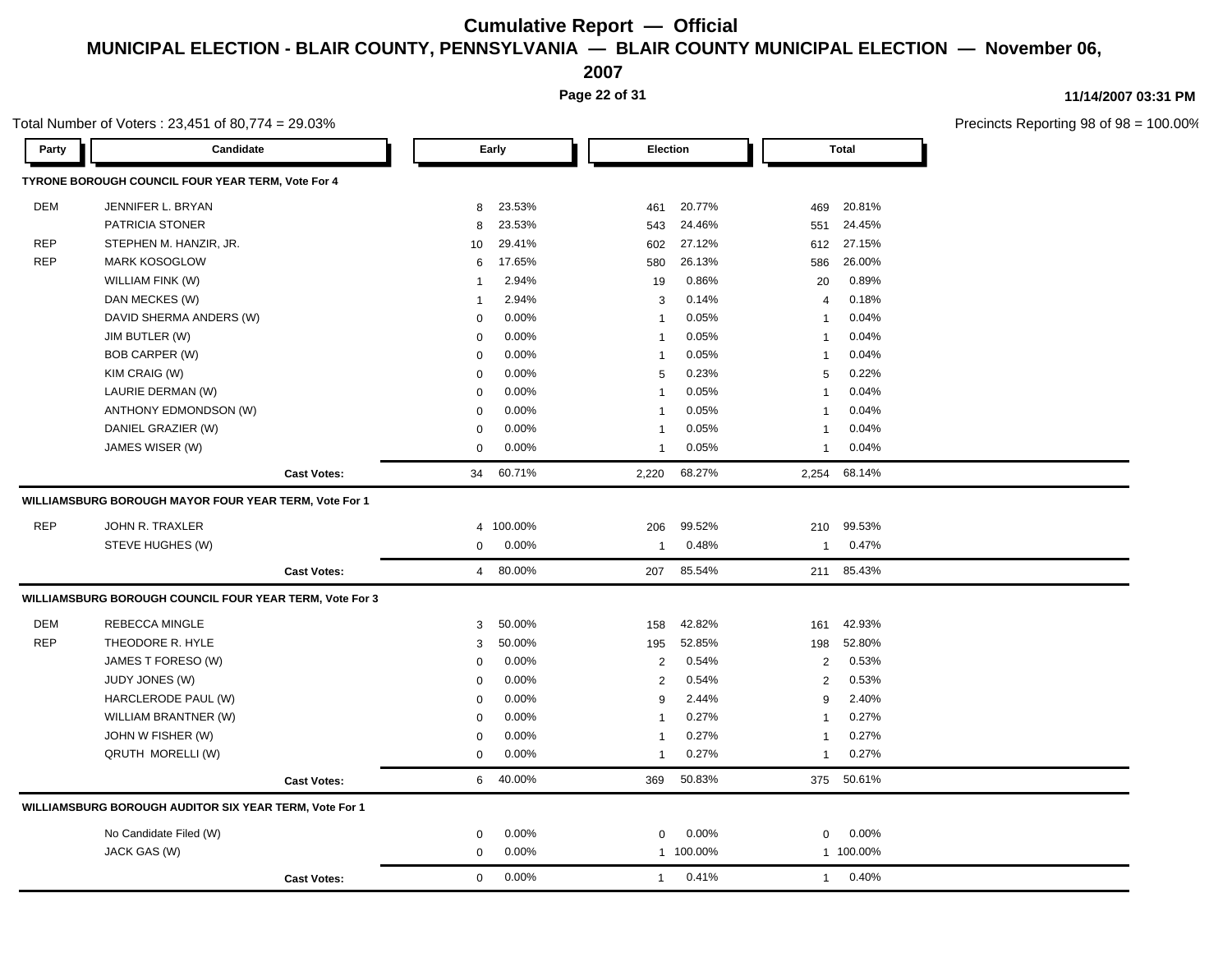**2007**

**Page 22 of 31**

### **11/14/2007 03:31 PM**

|            | Total Number of Voters: 23,451 of 80,774 = 29.03%       |                    |                |         |                |                 |                |              | Precincts Reporting 98 of 98 |
|------------|---------------------------------------------------------|--------------------|----------------|---------|----------------|-----------------|----------------|--------------|------------------------------|
| Party      | Candidate                                               |                    |                | Early   |                | <b>Election</b> |                | <b>Total</b> |                              |
|            | TYRONE BOROUGH COUNCIL FOUR YEAR TERM, Vote For 4       |                    |                |         |                |                 |                |              |                              |
| DEM        | JENNIFER L. BRYAN                                       |                    | 8              | 23.53%  | 461            | 20.77%          | 469            | 20.81%       |                              |
|            | PATRICIA STONER                                         |                    | 8              | 23.53%  | 543            | 24.46%          | 551            | 24.45%       |                              |
| <b>REP</b> | STEPHEN M. HANZIR, JR.                                  |                    | 10             | 29.41%  | 602            | 27.12%          | 612            | 27.15%       |                              |
| <b>REP</b> | <b>MARK KOSOGLOW</b>                                    |                    | 6              | 17.65%  | 580            | 26.13%          | 586            | 26.00%       |                              |
|            | WILLIAM FINK (W)                                        |                    | -1             | 2.94%   | 19             | 0.86%           | 20             | 0.89%        |                              |
|            | DAN MECKES (W)                                          |                    | -1             | 2.94%   | 3              | 0.14%           | $\overline{4}$ | 0.18%        |                              |
|            | DAVID SHERMA ANDERS (W)                                 |                    | $\Omega$       | 0.00%   | $\mathbf{1}$   | 0.05%           | $\mathbf{1}$   | 0.04%        |                              |
|            | JIM BUTLER (W)                                          |                    | $\mathbf 0$    | 0.00%   | $\mathbf{1}$   | 0.05%           | $\mathbf{1}$   | 0.04%        |                              |
|            | BOB CARPER (W)                                          |                    | $\mathbf 0$    | 0.00%   | $\mathbf{1}$   | 0.05%           | -1             | 0.04%        |                              |
|            | KIM CRAIG (W)                                           |                    | $\mathbf 0$    | 0.00%   | 5              | 0.23%           | 5              | 0.22%        |                              |
|            | LAURIE DERMAN (W)                                       |                    | $\Omega$       | 0.00%   | $\overline{1}$ | 0.05%           | 1              | 0.04%        |                              |
|            | ANTHONY EDMONDSON (W)                                   |                    | $\Omega$       | 0.00%   | $\overline{1}$ | 0.05%           | $\mathbf{1}$   | 0.04%        |                              |
|            | DANIEL GRAZIER (W)                                      |                    | $\mathbf 0$    | 0.00%   | $\mathbf{1}$   | 0.05%           | $\mathbf{1}$   | 0.04%        |                              |
|            | JAMES WISER (W)                                         |                    | $\mathbf 0$    | 0.00%   | 1              | 0.05%           | 1              | 0.04%        |                              |
|            |                                                         | <b>Cast Votes:</b> | 34             | 60.71%  | 2,220          | 68.27%          | 2,254          | 68.14%       |                              |
|            | WILLIAMSBURG BOROUGH MAYOR FOUR YEAR TERM, Vote For 1   |                    |                |         |                |                 |                |              |                              |
| <b>REP</b> | JOHN R. TRAXLER                                         |                    | 4              | 100.00% | 206            | 99.52%          | 210            | 99.53%       |                              |
|            | STEVE HUGHES (W)                                        |                    | $\mathbf 0$    | 0.00%   | $\mathbf{1}$   | 0.48%           | $\mathbf{1}$   | 0.47%        |                              |
|            |                                                         | <b>Cast Votes:</b> | $\overline{4}$ | 80.00%  | 207            | 85.54%          |                | 211 85.43%   |                              |
|            | WILLIAMSBURG BOROUGH COUNCIL FOUR YEAR TERM, Vote For 3 |                    |                |         |                |                 |                |              |                              |
| DEM        | REBECCA MINGLE                                          |                    | 3              | 50.00%  | 158            | 42.82%          | 161            | 42.93%       |                              |
| <b>REP</b> | THEODORE R. HYLE                                        |                    | 3              | 50.00%  | 195            | 52.85%          | 198            | 52.80%       |                              |
|            | JAMES T FORESO (W)                                      |                    | $\mathbf 0$    | 0.00%   | $\overline{c}$ | 0.54%           | 2              | 0.53%        |                              |
|            | <b>JUDY JONES (W)</b>                                   |                    | $\Omega$       | 0.00%   | $\overline{c}$ | 0.54%           | $\overline{2}$ | 0.53%        |                              |
|            | HARCLERODE PAUL (W)                                     |                    | $\mathbf 0$    | 0.00%   | 9              | 2.44%           | 9              | 2.40%        |                              |
|            | WILLIAM BRANTNER (W)                                    |                    | $\mathbf 0$    | 0.00%   | $\mathbf{1}$   | 0.27%           | $\mathbf{1}$   | 0.27%        |                              |
|            | JOHN W FISHER (W)                                       |                    | $\mathbf 0$    | 0.00%   | $\mathbf{1}$   | 0.27%           | $\mathbf{1}$   | 0.27%        |                              |
|            | QRUTH MORELLI (W)                                       |                    | $\mathbf 0$    | 0.00%   | $\mathbf{1}$   | 0.27%           | 1              | 0.27%        |                              |
|            |                                                         | <b>Cast Votes:</b> | 6              | 40.00%  | 369            | 50.83%          |                | 375 50.61%   |                              |
|            | WILLIAMSBURG BOROUGH AUDITOR SIX YEAR TERM, Vote For 1  |                    |                |         |                |                 |                |              |                              |
|            | No Candidate Filed (W)                                  |                    | 0              | 0.00%   | 0              | 0.00%           | 0              | 0.00%        |                              |
|            | JACK GAS (W)                                            |                    | $\mathbf 0$    | 0.00%   |                | 1 100.00%       |                | 1 100.00%    |                              |
|            |                                                         | <b>Cast Votes:</b> | $\mathbf 0$    | 0.00%   | $\mathbf{1}$   | 0.41%           | $\mathbf{1}$   | 0.40%        |                              |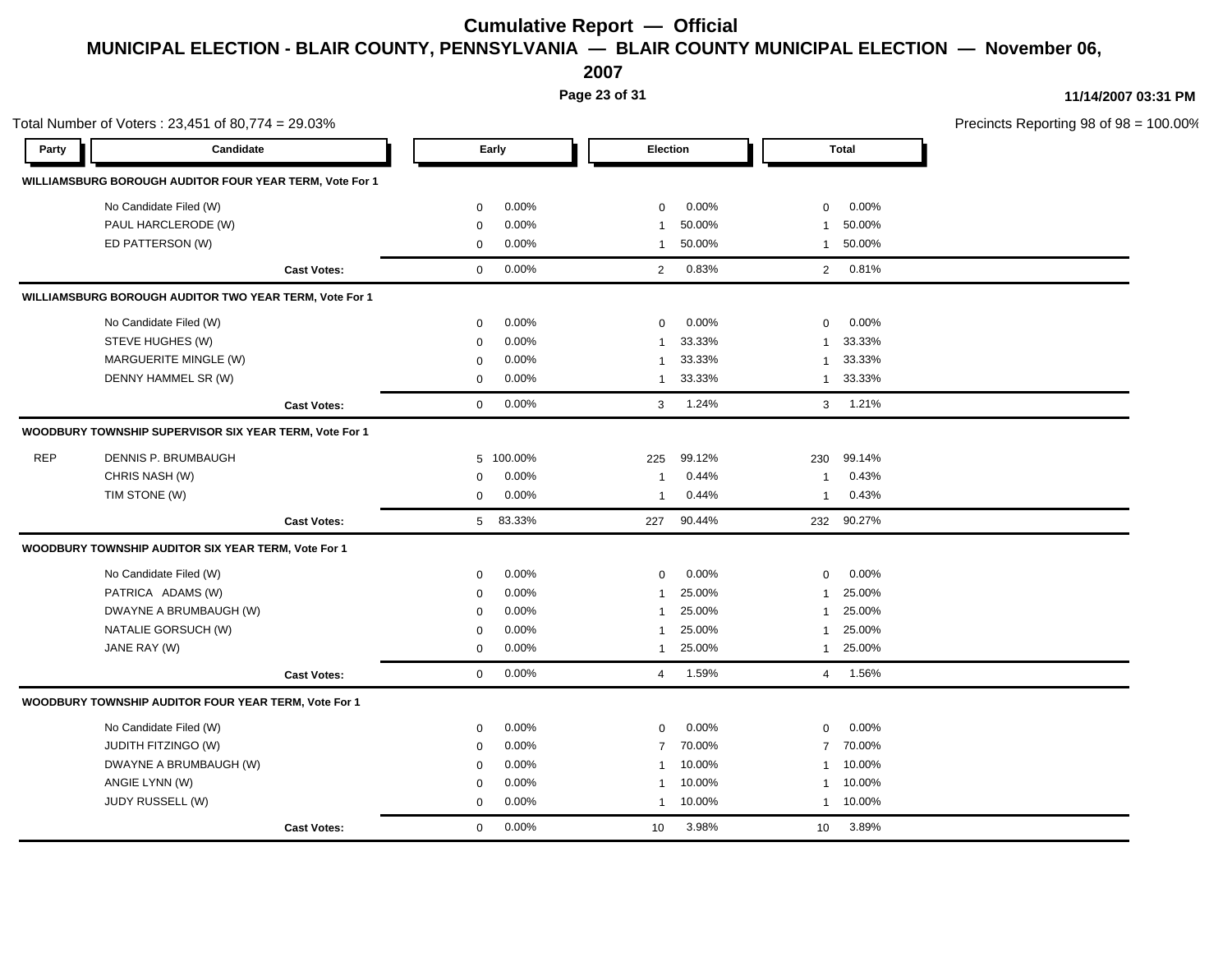**2007**

**Page 23 of 31**

|            | Total Number of Voters: 23,451 of 80,774 = 29.03%       |                    |                          |                          |                            | Precincts Reporting 98 of 98 = 100.00% |
|------------|---------------------------------------------------------|--------------------|--------------------------|--------------------------|----------------------------|----------------------------------------|
| Party      | Candidate                                               |                    | Early                    | Election                 | Total                      |                                        |
|            | WILLIAMSBURG BOROUGH AUDITOR FOUR YEAR TERM, Vote For 1 |                    |                          |                          |                            |                                        |
|            | No Candidate Filed (W)                                  |                    | $0.00\%$<br>$\mathbf 0$  | $0.00\%$<br>$\mathbf 0$  | $0$ 0.00%                  |                                        |
|            | PAUL HARCLERODE (W)                                     |                    | 0.00%<br>0               | 50.00%<br>1              | 1 50.00%                   |                                        |
|            | ED PATTERSON (W)                                        |                    | 0.00%<br>$\mathbf 0$     | 50.00%<br>$\mathbf{1}$   | 1 50.00%                   |                                        |
|            |                                                         | <b>Cast Votes:</b> | $0.00\%$<br>$\mathbf{0}$ | 2 0.83%                  | 2 0.81%                    |                                        |
|            | WILLIAMSBURG BOROUGH AUDITOR TWO YEAR TERM, Vote For 1  |                    |                          |                          |                            |                                        |
|            | No Candidate Filed (W)                                  |                    | $0.00\%$<br>$\Omega$     | $0.00\%$<br>$\mathbf 0$  | $0$ 0.00%                  |                                        |
|            | STEVE HUGHES (W)                                        |                    | 0.00%<br>$\Omega$        | 33.33%<br>1              | 1 33.33%                   |                                        |
|            | MARGUERITE MINGLE (W)                                   |                    | 0.00%<br>$\mathbf 0$     | 33.33%<br>1              | 1 33.33%                   |                                        |
|            | DENNY HAMMEL SR (W)                                     |                    | $0.00\%$<br>$\mathbf 0$  | 1 33.33%                 | 1 33.33%                   |                                        |
|            |                                                         | <b>Cast Votes:</b> | 0.00%<br>$\overline{0}$  | 3 1.24%                  | $3$ 1.21%                  |                                        |
|            | WOODBURY TOWNSHIP SUPERVISOR SIX YEAR TERM, Vote For 1  |                    |                          |                          |                            |                                        |
| <b>REP</b> | DENNIS P. BRUMBAUGH                                     |                    | 5 100.00%                | 99.12%<br>225            | 230 99.14%                 |                                        |
|            | CHRIS NASH (W)                                          |                    | $0.00\%$<br>$\Omega$     | 0.44%<br>$\mathbf{1}$    | 0.43%<br>$\mathbf{1}$      |                                        |
|            | TIM STONE (W)                                           |                    | 0.00%<br>$\mathbf 0$     | 0.44%<br>$\mathbf{1}$    | 1 0.43%                    |                                        |
|            |                                                         | <b>Cast Votes:</b> | 5 83.33%                 | 227 90.44%               | 232 90.27%                 |                                        |
|            | WOODBURY TOWNSHIP AUDITOR SIX YEAR TERM, Vote For 1     |                    |                          |                          |                            |                                        |
|            | No Candidate Filed (W)                                  |                    | $0.00\%$<br>$\mathbf{0}$ | 0.00%<br>$\mathbf{0}$    | $0.00\%$<br>$\overline{0}$ |                                        |
|            | PATRICA ADAMS (W)                                       |                    | $0.00\%$<br>$\mathbf 0$  | 25.00%<br>$\mathbf 1$    | 1 25.00%                   |                                        |
|            | DWAYNE A BRUMBAUGH (W)                                  |                    | $0.00\%$<br>$\Omega$     | 25.00%<br>$\mathbf{1}$   | 1 25.00%                   |                                        |
|            | NATALIE GORSUCH (W)                                     |                    | 0.00%<br>$\mathbf 0$     | 25.00%<br>1              | 1 25.00%                   |                                        |
|            | JANE RAY (W)                                            |                    | 0.00%<br>$\mathbf{0}$    | 1 25.00%                 | 1 25.00%                   |                                        |
|            |                                                         | <b>Cast Votes:</b> | 0.00%<br>$\overline{0}$  | 4 1.59%                  | 4 1.56%                    |                                        |
|            | WOODBURY TOWNSHIP AUDITOR FOUR YEAR TERM, Vote For 1    |                    |                          |                          |                            |                                        |
|            | No Candidate Filed (W)                                  |                    | $0.00\%$<br>$\mathbf 0$  | $0.00\%$<br>$\mathbf{0}$ | $0.00\%$<br>$\overline{0}$ |                                        |
|            | <b>JUDITH FITZINGO (W)</b>                              |                    | $0.00\%$<br>$\Omega$     | 7 70.00%                 | 7 70.00%                   |                                        |
|            | DWAYNE A BRUMBAUGH (W)                                  |                    | $0.00\%$<br>$\Omega$     | 1 10.00%                 | 1 10.00%                   |                                        |
|            | ANGIE LYNN (W)                                          |                    | 0.00%<br>$\mathbf 0$     | 1 10.00%                 | 1 10.00%                   |                                        |
|            | JUDY RUSSELL (W)                                        |                    | $0.00\%$<br>$\mathbf 0$  | 1 10.00%                 | 1 10.00%                   |                                        |
|            |                                                         | <b>Cast Votes:</b> | 0.00%<br>$\overline{0}$  | 3.98%<br>10              | 10 3.89%                   |                                        |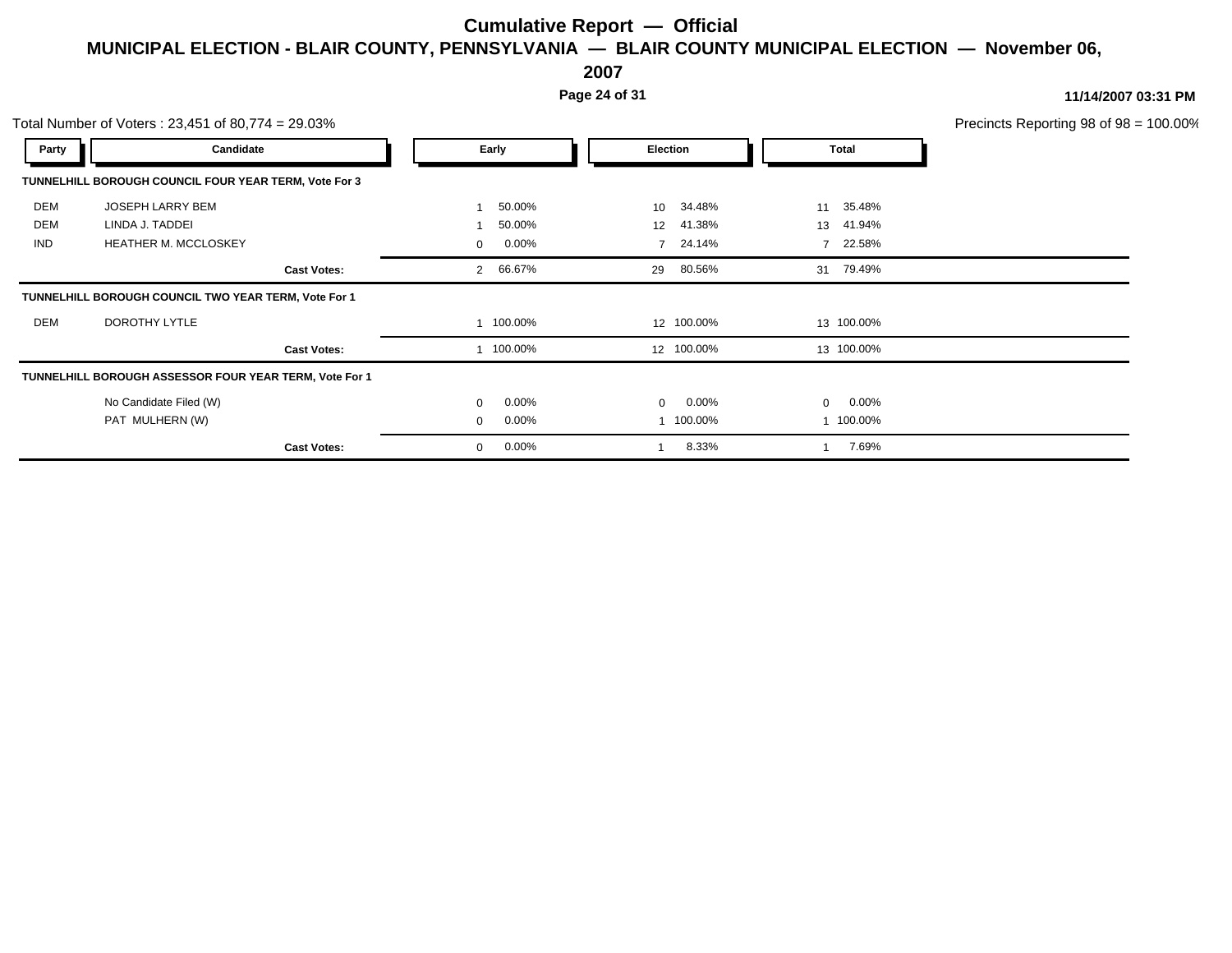**2007**

**Page 24 of 31**

|            | Total Number of Voters: 23,451 of 80,774 = 29.03%      |                          |                            |                 | Precincts Reporting 98 of 98 = 100.00% |
|------------|--------------------------------------------------------|--------------------------|----------------------------|-----------------|----------------------------------------|
| Party      | Candidate                                              | Early                    | Election                   | Total           |                                        |
|            | TUNNELHILL BOROUGH COUNCIL FOUR YEAR TERM, Vote For 3  |                          |                            |                 |                                        |
| DEM        | JOSEPH LARRY BEM                                       | 50.00%                   | 34.48%<br>10 <sup>1</sup>  | 11 35.48%       |                                        |
| DEM        | LINDA J. TADDEI                                        | 50.00%                   | 41.38%<br>12               | 13 41.94%       |                                        |
| <b>IND</b> | <b>HEATHER M. MCCLOSKEY</b>                            | $0.00\%$<br>$\Omega$     | 24.14%<br>$\overline{7}$   | 22.58%          |                                        |
|            | <b>Cast Votes:</b>                                     | 66.67%<br>$\overline{2}$ | 29 80.56%                  | 31 79.49%       |                                        |
|            | TUNNELHILL BOROUGH COUNCIL TWO YEAR TERM, Vote For 1   |                          |                            |                 |                                        |
| DEM        | DOROTHY LYTLE                                          | 100.00%                  | 12 100.00%                 | 13 100.00%      |                                        |
|            | <b>Cast Votes:</b>                                     | 100.00%                  | 12 100.00%                 | 13 100.00%      |                                        |
|            | TUNNELHILL BOROUGH ASSESSOR FOUR YEAR TERM, Vote For 1 |                          |                            |                 |                                        |
|            | No Candidate Filed (W)                                 | $0.00\%$<br>$\Omega$     | $0.00\%$<br>$\overline{0}$ | $0\quad 0.00\%$ |                                        |
|            | PAT MULHERN (W)                                        | $0.00\%$<br>$\mathbf 0$  | 100.00%                    | 1 100.00%       |                                        |
|            | <b>Cast Votes:</b>                                     | $0.00\%$<br>0            | 8.33%                      | 7.69%           |                                        |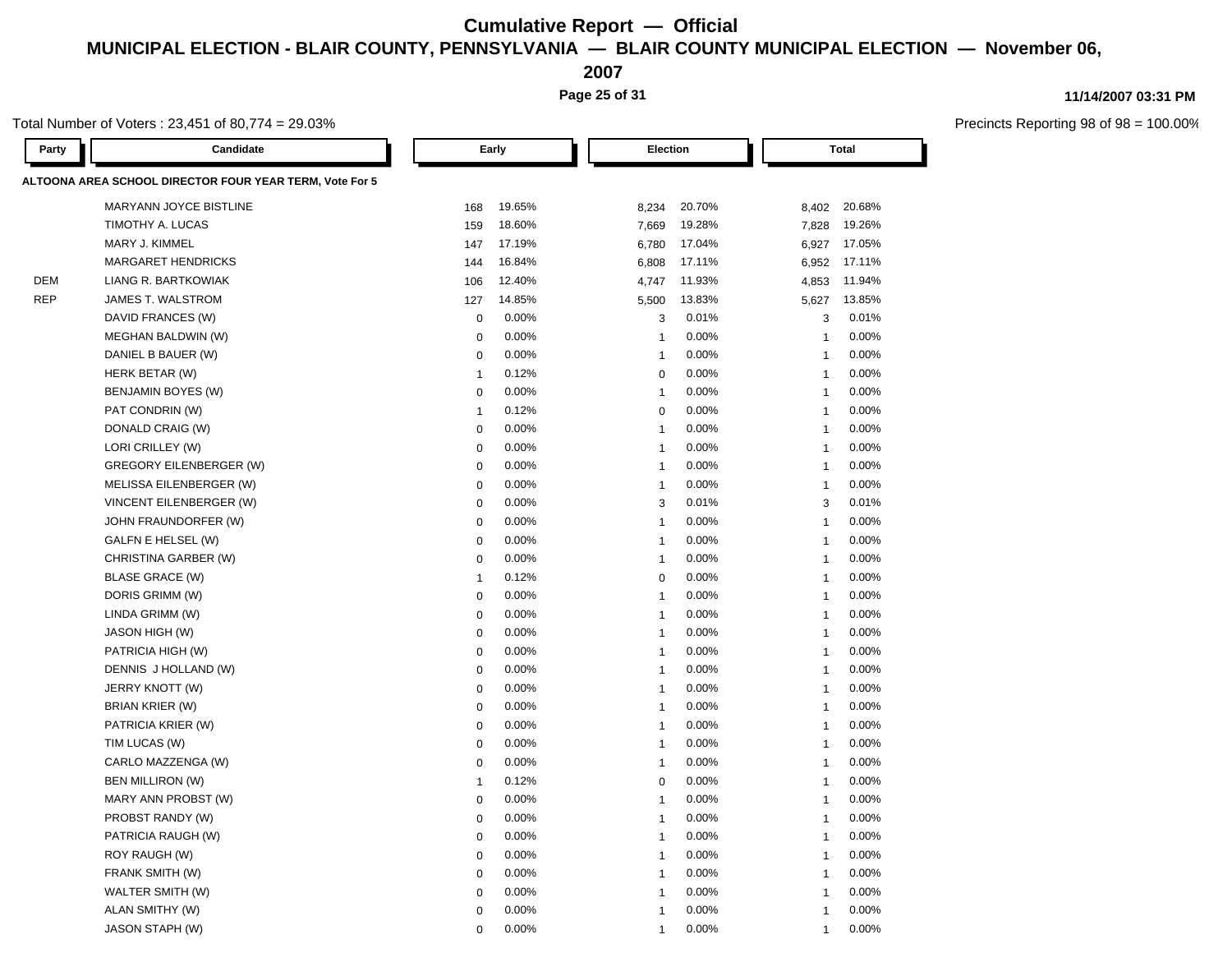**2007**

**Page 25 of 31**

### **11/14/2007 03:31 PM**

Precincts Reporting 98 of 98 = 100.00%

Total Number of Voters : 23,451 of 80,774 = 29.03%

| Party      | Candidate                                               | Early          |        | Election                |        | <b>Total</b>   |        |  |
|------------|---------------------------------------------------------|----------------|--------|-------------------------|--------|----------------|--------|--|
|            | ALTOONA AREA SCHOOL DIRECTOR FOUR YEAR TERM, Vote For 5 |                |        |                         |        |                |        |  |
|            | <b>MARYANN JOYCE BISTLINE</b>                           | 168            | 19.65% | 8,234                   | 20.70% | 8,402          | 20.68% |  |
|            | TIMOTHY A. LUCAS                                        | 159            | 18.60% | 7,669                   | 19.28% | 7,828          | 19.26% |  |
|            | MARY J. KIMMEL                                          | 147            | 17.19% | 6,780                   | 17.04% | 6,927          | 17.05% |  |
|            | <b>MARGARET HENDRICKS</b>                               | 144            | 16.84% | 6,808                   | 17.11% | 6,952          | 17.11% |  |
| DEM        | LIANG R. BARTKOWIAK                                     | 106            | 12.40% | 4,747                   | 11.93% | 4,853          | 11.94% |  |
| <b>REP</b> | JAMES T. WALSTROM                                       | 127            | 14.85% | 5,500                   | 13.83% | 5,627          | 13.85% |  |
|            | DAVID FRANCES (W)                                       | $\mathsf 0$    | 0.00%  | 3                       | 0.01%  | 3              | 0.01%  |  |
|            | MEGHAN BALDWIN (W)                                      | $\mathbf 0$    | 0.00%  | $\mathbf{1}$            | 0.00%  | $\overline{1}$ | 0.00%  |  |
|            | DANIEL B BAUER (W)                                      | $\mathbf 0$    | 0.00%  | $\mathbf{1}$            | 0.00%  | $\overline{1}$ | 0.00%  |  |
|            | HERK BETAR (W)                                          | $\overline{1}$ | 0.12%  | $\mathbf 0$             | 0.00%  | $\overline{1}$ | 0.00%  |  |
|            | BENJAMIN BOYES (W)                                      | $\mathbf 0$    | 0.00%  | $\mathbf{1}$            | 0.00%  | $\overline{1}$ | 0.00%  |  |
|            | PAT CONDRIN (W)                                         | $\overline{1}$ | 0.12%  | $\mathbf 0$             | 0.00%  | $\mathbf 1$    | 0.00%  |  |
|            | DONALD CRAIG (W)                                        | $\mathbf 0$    | 0.00%  | $\overline{1}$          | 0.00%  | $\mathbf 1$    | 0.00%  |  |
|            | LORI CRILLEY (W)                                        | $\mathbf 0$    | 0.00%  | $\overline{1}$          | 0.00%  | $\mathbf 1$    | 0.00%  |  |
|            | <b>GREGORY EILENBERGER (W)</b>                          | $\mathbf 0$    | 0.00%  | $\overline{1}$          | 0.00%  | 1              | 0.00%  |  |
|            | MELISSA EILENBERGER (W)                                 | 0              | 0.00%  | $\overline{1}$          | 0.00%  | $\overline{1}$ | 0.00%  |  |
|            | VINCENT EILENBERGER (W)                                 | 0              | 0.00%  | 3                       | 0.01%  | 3              | 0.01%  |  |
|            | JOHN FRAUNDORFER (W)                                    | 0              | 0.00%  | $\overline{1}$          | 0.00%  | $\overline{1}$ | 0.00%  |  |
|            | GALFN E HELSEL (W)                                      | $\mathbf 0$    | 0.00%  | $\overline{1}$          | 0.00%  | 1              | 0.00%  |  |
|            | CHRISTINA GARBER (W)                                    | $\mathbf 0$    | 0.00%  | $\overline{1}$          | 0.00%  | $\overline{1}$ | 0.00%  |  |
|            | <b>BLASE GRACE (W)</b>                                  | $\overline{1}$ | 0.12%  | $\mathbf 0$             | 0.00%  | $\overline{1}$ | 0.00%  |  |
|            | DORIS GRIMM (W)                                         | $\mathbf 0$    | 0.00%  | $\overline{\mathbf{1}}$ | 0.00%  | $\overline{1}$ | 0.00%  |  |
|            | LINDA GRIMM (W)                                         | $\mathbf 0$    | 0.00%  | $\overline{1}$          | 0.00%  | 1              | 0.00%  |  |
|            | <b>JASON HIGH (W)</b>                                   | $\mathbf 0$    | 0.00%  | $\mathbf{1}$            | 0.00%  | $\overline{1}$ | 0.00%  |  |
|            | PATRICIA HIGH (W)                                       | $\mathbf 0$    | 0.00%  | $\mathbf{1}$            | 0.00%  | $\overline{1}$ | 0.00%  |  |
|            | DENNIS J HOLLAND (W)                                    | $\mathbf 0$    | 0.00%  | $\overline{1}$          | 0.00%  | $\overline{1}$ | 0.00%  |  |
|            | JERRY KNOTT (W)                                         | $\mathbf 0$    | 0.00%  | $\mathbf{1}$            | 0.00%  | $\overline{1}$ | 0.00%  |  |
|            | BRIAN KRIER (W)                                         | $\mathbf 0$    | 0.00%  | $\mathbf{1}$            | 0.00%  | $\overline{1}$ | 0.00%  |  |
|            | PATRICIA KRIER (W)                                      | $\mathbf 0$    | 0.00%  | $\overline{1}$          | 0.00%  | $\overline{1}$ | 0.00%  |  |
|            | TIM LUCAS (W)                                           | $\mathbf 0$    | 0.00%  | $\mathbf{1}$            | 0.00%  | $\overline{1}$ | 0.00%  |  |
|            | CARLO MAZZENGA (W)                                      | $\mathbf 0$    | 0.00%  | $\mathbf{1}$            | 0.00%  | $\overline{1}$ | 0.00%  |  |
|            | <b>BEN MILLIRON (W)</b>                                 | $\overline{1}$ | 0.12%  | $\mathbf 0$             | 0.00%  | $\overline{1}$ | 0.00%  |  |
|            | MARY ANN PROBST (W)                                     | $\mathbf 0$    | 0.00%  | $\overline{1}$          | 0.00%  | $\overline{1}$ | 0.00%  |  |
|            | PROBST RANDY (W)                                        | $\mathbf 0$    | 0.00%  | $\mathbf{1}$            | 0.00%  | $\overline{1}$ | 0.00%  |  |
|            | PATRICIA RAUGH (W)                                      | $\mathbf 0$    | 0.00%  | $\mathbf{1}$            | 0.00%  | $\overline{1}$ | 0.00%  |  |
|            | ROY RAUGH (W)                                           | $\mathbf 0$    | 0.00%  | -1                      | 0.00%  | $\overline{1}$ | 0.00%  |  |
|            | FRANK SMITH (W)                                         | $\mathbf 0$    | 0.00%  | $\mathbf{1}$            | 0.00%  | $\overline{1}$ | 0.00%  |  |
|            | WALTER SMITH (W)                                        | $\Omega$       | 0.00%  | 1                       | 0.00%  | $\overline{1}$ | 0.00%  |  |
|            | ALAN SMITHY (W)                                         | $\mathbf 0$    | 0.00%  | $\mathbf{1}$            | 0.00%  | $\overline{1}$ | 0.00%  |  |
|            | <b>JASON STAPH (W)</b>                                  | $\Omega$       | 0.00%  | 1                       | 0.00%  | $\overline{1}$ | 0.00%  |  |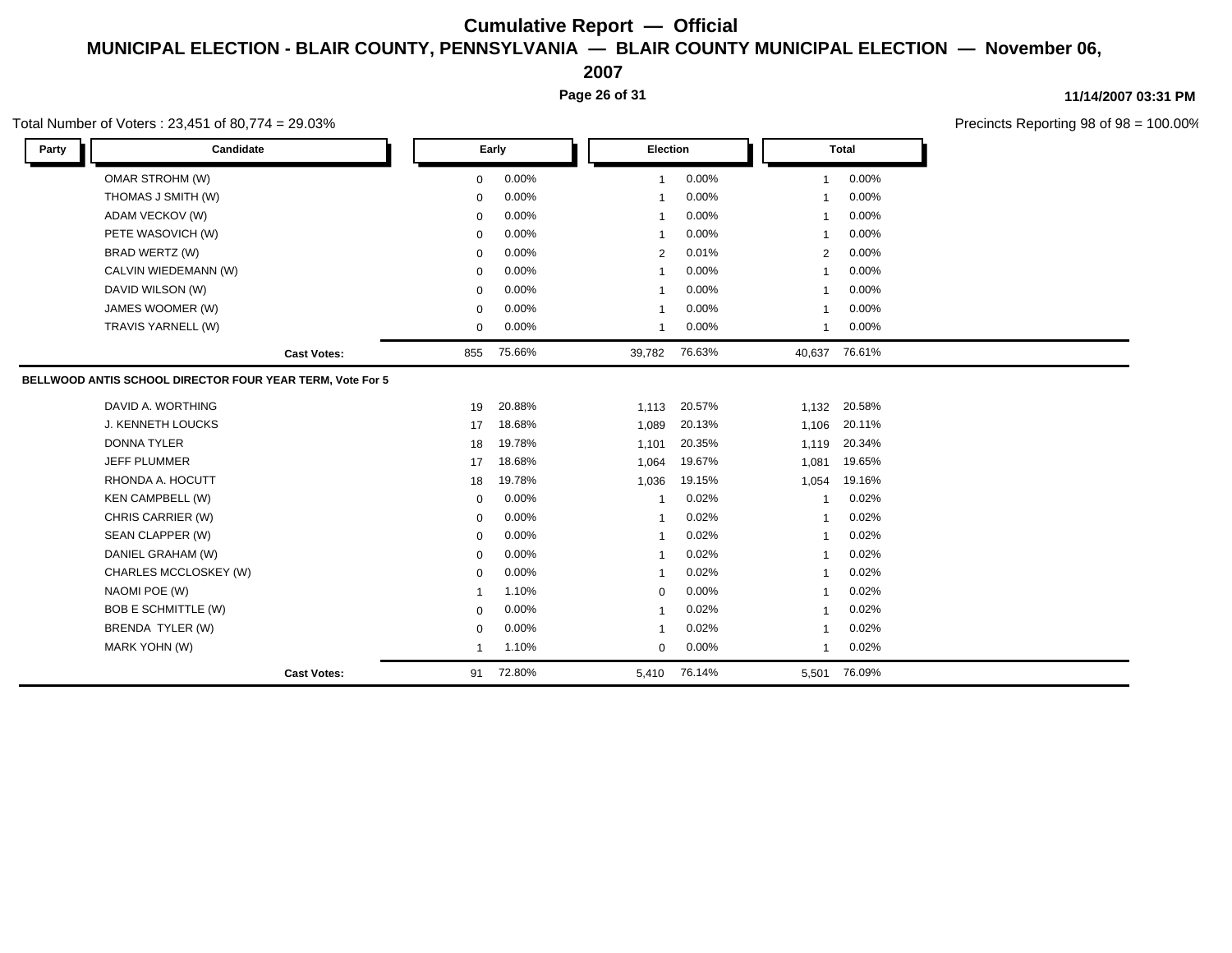**2007**

**Page 26 of 31**

**11/14/2007 03:31 PM**

Precincts Reporting 98 of 98 = 100.00%

### Total Number of Voters : 23,451 of 80,774 = 29.03%

| Party | Candidate                                                 |                    |             | Early  |                | <b>Election</b> |                | <b>Total</b> |  |
|-------|-----------------------------------------------------------|--------------------|-------------|--------|----------------|-----------------|----------------|--------------|--|
|       | <b>OMAR STROHM (W)</b>                                    |                    | $\mathbf 0$ | 0.00%  | $\mathbf{1}$   | 0.00%           | $\mathbf{1}$   | 0.00%        |  |
|       | THOMAS J SMITH (W)                                        |                    | $\Omega$    | 0.00%  | $\mathbf{1}$   | 0.00%           | $\mathbf{1}$   | 0.00%        |  |
|       | ADAM VECKOV (W)                                           |                    | $\Omega$    | 0.00%  | $\mathbf{1}$   | 0.00%           |                | 0.00%        |  |
|       | PETE WASOVICH (W)                                         |                    | $\Omega$    | 0.00%  | $\mathbf{1}$   | 0.00%           | -1             | 0.00%        |  |
|       | BRAD WERTZ (W)                                            |                    | $\Omega$    | 0.00%  | $\overline{2}$ | 0.01%           | $\overline{2}$ | 0.00%        |  |
|       | CALVIN WIEDEMANN (W)                                      |                    | $\Omega$    | 0.00%  | $\mathbf{1}$   | 0.00%           | -1             | 0.00%        |  |
|       | DAVID WILSON (W)                                          |                    | $\Omega$    | 0.00%  | -1             | 0.00%           |                | 0.00%        |  |
|       | JAMES WOOMER (W)                                          |                    | $\Omega$    | 0.00%  | $\mathbf{1}$   | 0.00%           | -1             | 0.00%        |  |
|       | TRAVIS YARNELL (W)                                        |                    | $\mathbf 0$ | 0.00%  | $\mathbf{1}$   | 0.00%           | $\mathbf{1}$   | 0.00%        |  |
|       |                                                           | <b>Cast Votes:</b> | 855         | 75.66% | 39,782         | 76.63%          | 40,637         | 76.61%       |  |
|       | BELLWOOD ANTIS SCHOOL DIRECTOR FOUR YEAR TERM, Vote For 5 |                    |             |        |                |                 |                |              |  |
|       | DAVID A. WORTHING                                         |                    | 19          | 20.88% | 1,113          | 20.57%          | 1,132          | 20.58%       |  |
|       | <b>J. KENNETH LOUCKS</b>                                  |                    | 17          | 18.68% | 1,089          | 20.13%          | 1,106          | 20.11%       |  |
|       | <b>DONNA TYLER</b>                                        |                    | 18          | 19.78% | 1,101          | 20.35%          | 1,119          | 20.34%       |  |
|       | <b>JEFF PLUMMER</b>                                       |                    | 17          | 18.68% | 1,064          | 19.67%          | 1,081          | 19.65%       |  |
|       | RHONDA A. HOCUTT                                          |                    | 18          | 19.78% | 1,036          | 19.15%          | 1,054          | 19.16%       |  |
|       | <b>KEN CAMPBELL (W)</b>                                   |                    | $\mathbf 0$ | 0.00%  | -1             | 0.02%           | -1             | 0.02%        |  |
|       | CHRIS CARRIER (W)                                         |                    | $\Omega$    | 0.00%  | 1              | 0.02%           | -1             | 0.02%        |  |
|       | SEAN CLAPPER (W)                                          |                    | $\Omega$    | 0.00%  | 1              | 0.02%           | -1             | 0.02%        |  |
|       | DANIEL GRAHAM (W)                                         |                    | $\Omega$    | 0.00%  | 1              | 0.02%           | $\mathbf{1}$   | 0.02%        |  |
|       | CHARLES MCCLOSKEY (W)                                     |                    | $\Omega$    | 0.00%  | $\mathbf{1}$   | 0.02%           | -1             | 0.02%        |  |
|       | NAOMI POE (W)                                             |                    |             | 1.10%  | $\mathbf 0$    | 0.00%           | -1             | 0.02%        |  |
|       | <b>BOB E SCHMITTLE (W)</b>                                |                    | $\Omega$    | 0.00%  | 1              | 0.02%           | -1             | 0.02%        |  |
|       | BRENDA TYLER (W)                                          |                    | $\Omega$    | 0.00%  | $\mathbf{1}$   | 0.02%           | -1             | 0.02%        |  |
|       | MARK YOHN (W)                                             |                    | -1          | 1.10%  | $\Omega$       | 0.00%           | $\mathbf{1}$   | 0.02%        |  |
|       |                                                           | <b>Cast Votes:</b> | 91          | 72.80% | 5,410          | 76.14%          | 5,501          | 76.09%       |  |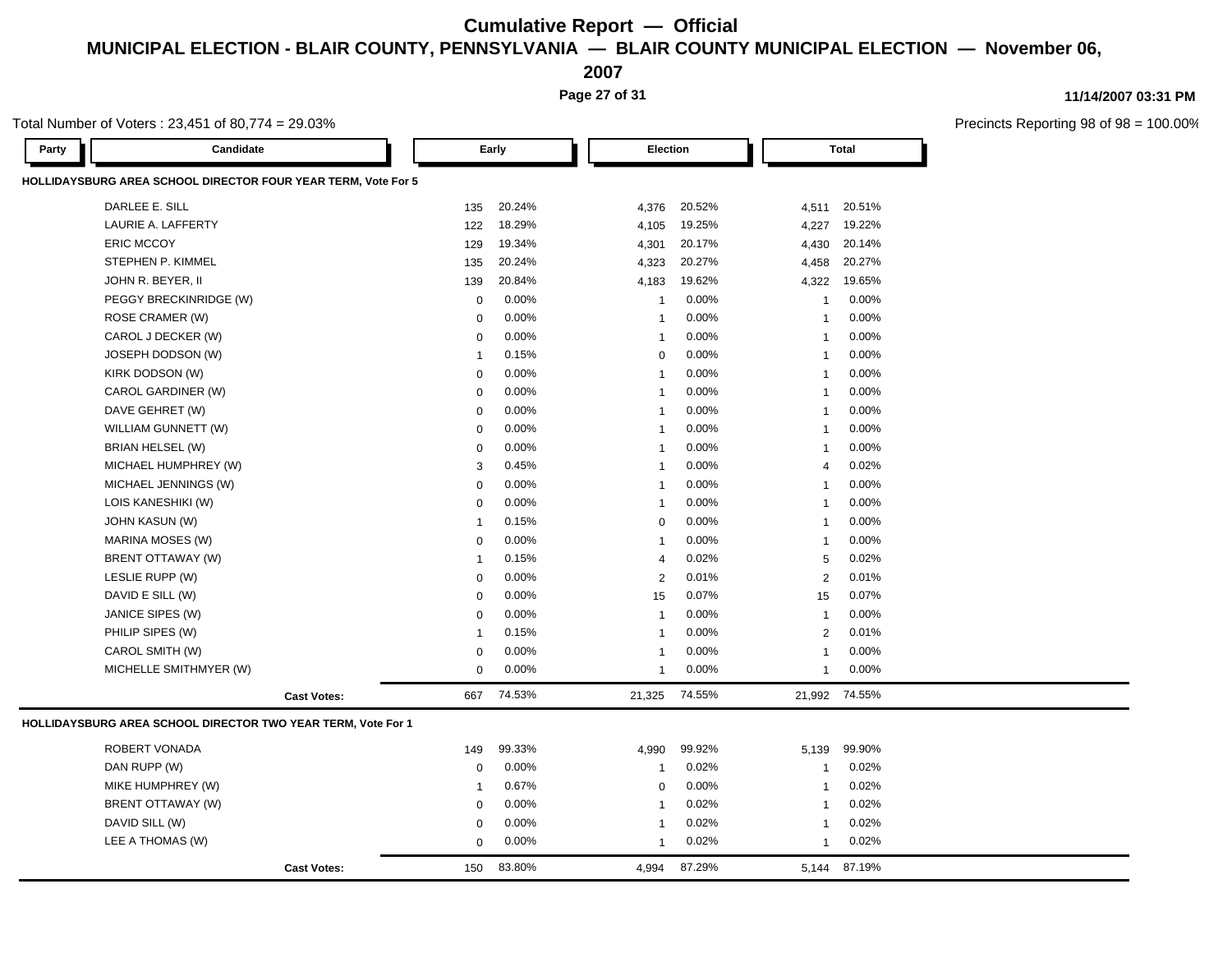**2007**

**Page 27 of 31**

### **11/14/2007 03:31 PM**

|       | Total Number of Voters: 23,451 of 80,774 = 29.03%             |                    |              |        |                 |        |                |              | Precincts Reporting 98 o |
|-------|---------------------------------------------------------------|--------------------|--------------|--------|-----------------|--------|----------------|--------------|--------------------------|
| Party | Candidate                                                     |                    |              | Early  | <b>Election</b> |        |                | <b>Total</b> |                          |
|       | HOLLIDAYSBURG AREA SCHOOL DIRECTOR FOUR YEAR TERM, Vote For 5 |                    |              |        |                 |        |                |              |                          |
|       | DARLEE E. SILL                                                |                    | 135          | 20.24% | 4,376           | 20.52% | 4,511          | 20.51%       |                          |
|       | LAURIE A. LAFFERTY                                            |                    | 122          | 18.29% | 4,105           | 19.25% | 4,227          | 19.22%       |                          |
|       | <b>ERIC MCCOY</b>                                             |                    | 129          | 19.34% | 4,301           | 20.17% | 4,430          | 20.14%       |                          |
|       | STEPHEN P. KIMMEL                                             |                    | 135          | 20.24% | 4,323           | 20.27% | 4,458          | 20.27%       |                          |
|       | JOHN R. BEYER, II                                             |                    | 139          | 20.84% | 4,183           | 19.62% | 4,322          | 19.65%       |                          |
|       | PEGGY BRECKINRIDGE (W)                                        |                    | 0            | 0.00%  | -1              | 0.00%  | $\mathbf{1}$   | 0.00%        |                          |
|       | ROSE CRAMER (W)                                               |                    | 0            | 0.00%  | 1               | 0.00%  | $\mathbf{1}$   | 0.00%        |                          |
|       | CAROL J DECKER (W)                                            |                    | $\mathbf 0$  | 0.00%  | $\mathbf{1}$    | 0.00%  | $\overline{1}$ | 0.00%        |                          |
|       | JOSEPH DODSON (W)                                             |                    | $\mathbf{1}$ | 0.15%  | $\mathbf 0$     | 0.00%  | -1             | 0.00%        |                          |
|       | KIRK DODSON (W)                                               |                    | $\mathbf 0$  | 0.00%  | $\overline{1}$  | 0.00%  | -1             | 0.00%        |                          |
|       | CAROL GARDINER (W)                                            |                    | $\mathbf 0$  | 0.00%  | $\overline{1}$  | 0.00%  | $\mathbf{1}$   | 0.00%        |                          |
|       | DAVE GEHRET (W)                                               |                    | 0            | 0.00%  | $\overline{1}$  | 0.00%  | $\mathbf{1}$   | 0.00%        |                          |
|       | WILLIAM GUNNETT (W)                                           |                    | $\mathbf 0$  | 0.00%  | -1              | 0.00%  | $\mathbf{1}$   | 0.00%        |                          |
|       | BRIAN HELSEL (W)                                              |                    | 0            | 0.00%  | $\overline{1}$  | 0.00%  | $\overline{1}$ | 0.00%        |                          |
|       | MICHAEL HUMPHREY (W)                                          |                    | 3            | 0.45%  | $\overline{1}$  | 0.00%  | $\overline{4}$ | 0.02%        |                          |
|       | MICHAEL JENNINGS (W)                                          |                    | $\mathbf 0$  | 0.00%  | $\overline{1}$  | 0.00%  | $\overline{1}$ | 0.00%        |                          |
|       | LOIS KANESHIKI (W)                                            |                    | 0            | 0.00%  | $\mathbf{1}$    | 0.00%  | $\mathbf{1}$   | 0.00%        |                          |
|       | JOHN KASUN (W)                                                |                    | $\mathbf{1}$ | 0.15%  | 0               | 0.00%  | -1             | 0.00%        |                          |
|       | MARINA MOSES (W)                                              |                    | $\mathbf 0$  | 0.00%  | $\overline{1}$  | 0.00%  | $\mathbf{1}$   | 0.00%        |                          |
|       | BRENT OTTAWAY (W)                                             |                    | $\mathbf{1}$ | 0.15%  | $\overline{4}$  | 0.02%  | 5              | 0.02%        |                          |
|       | LESLIE RUPP (W)                                               |                    | $\mathbf 0$  | 0.00%  | 2               | 0.01%  | $\overline{2}$ | 0.01%        |                          |
|       | DAVID E SILL (W)                                              |                    | 0            | 0.00%  | 15              | 0.07%  | 15             | 0.07%        |                          |
|       | JANICE SIPES (W)                                              |                    | 0            | 0.00%  | $\overline{1}$  | 0.00%  | $\overline{1}$ | 0.00%        |                          |
|       | PHILIP SIPES (W)                                              |                    | $\mathbf{1}$ | 0.15%  | $\overline{1}$  | 0.00%  | $\overline{2}$ | 0.01%        |                          |
|       | CAROL SMITH (W)                                               |                    | $\mathbf 0$  | 0.00%  | $\mathbf{1}$    | 0.00%  | $\overline{1}$ | 0.00%        |                          |
|       | MICHELLE SMITHMYER (W)                                        |                    | $\mathbf 0$  | 0.00%  | $\mathbf 1$     | 0.00%  | $\mathbf{1}$   | 0.00%        |                          |
|       |                                                               | <b>Cast Votes:</b> | 667          | 74.53% | 21,325          | 74.55% | 21,992         | 74.55%       |                          |
|       | HOLLIDAYSBURG AREA SCHOOL DIRECTOR TWO YEAR TERM, Vote For 1  |                    |              |        |                 |        |                |              |                          |
|       | ROBERT VONADA                                                 |                    | 149          | 99.33% | 4,990           | 99.92% | 5,139          | 99.90%       |                          |
|       | DAN RUPP (W)                                                  |                    | 0            | 0.00%  | 1               | 0.02%  | $\mathbf{1}$   | 0.02%        |                          |
|       | MIKE HUMPHREY (W)                                             |                    | $\mathbf{1}$ | 0.67%  | $\mathbf 0$     | 0.00%  | $\mathbf{1}$   | 0.02%        |                          |
|       | BRENT OTTAWAY (W)                                             |                    | $\mathbf 0$  | 0.00%  | $\mathbf{1}$    | 0.02%  | -1             | 0.02%        |                          |
|       | DAVID SILL (W)                                                |                    | 0            | 0.00%  | $\mathbf 1$     | 0.02%  | -1             | 0.02%        |                          |
|       | LEE A THOMAS (W)                                              |                    | 0            | 0.00%  | $\mathbf{1}$    | 0.02%  | $\mathbf{1}$   | 0.02%        |                          |
|       |                                                               | <b>Cast Votes:</b> | 150          | 83.80% | 4,994           | 87.29% |                | 5,144 87.19% |                          |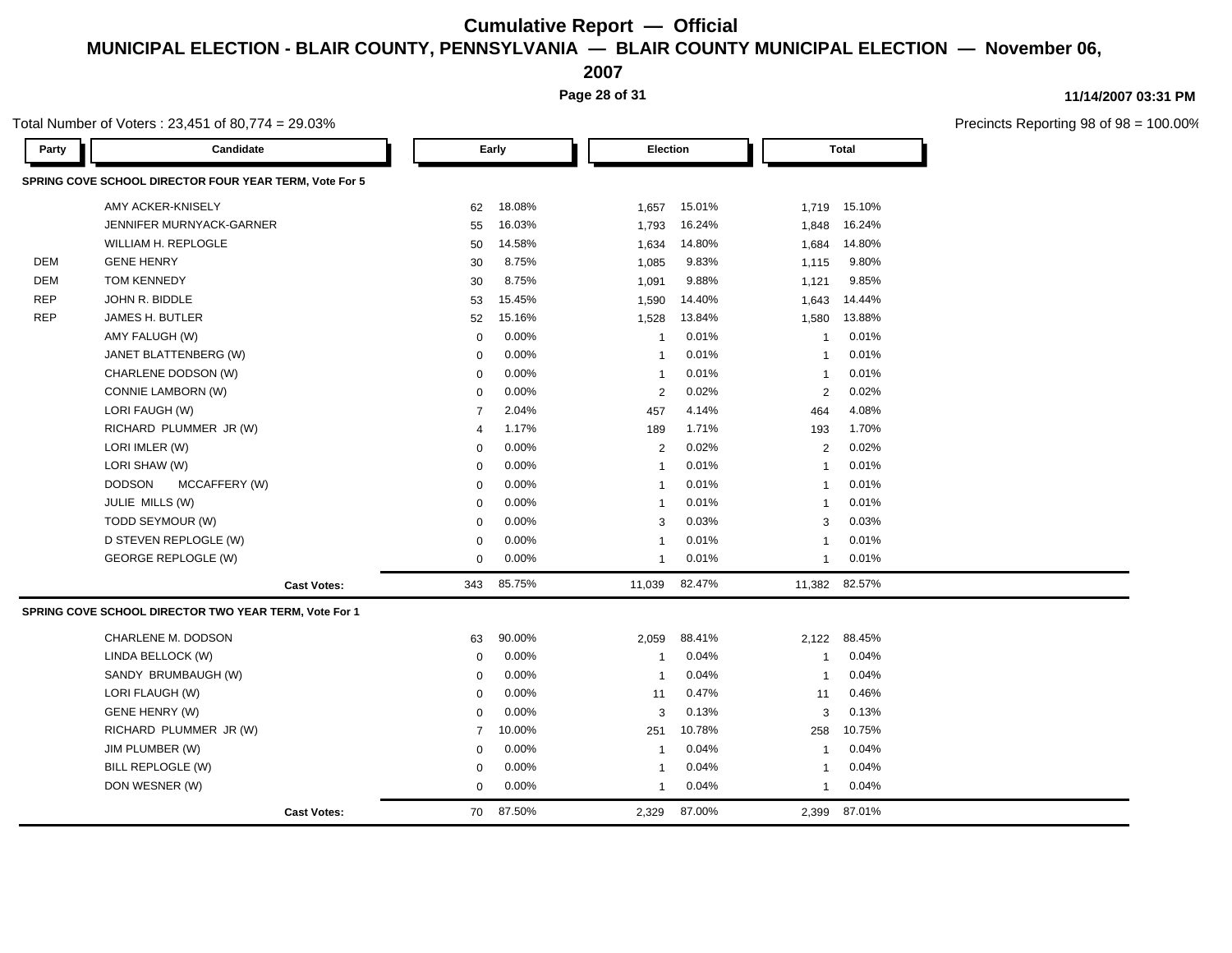**2007**

**Page 28 of 31**

### **11/14/2007 03:31 PM**

 $8 \text{ of } 98 = 100.00\%$ 

|            | Total Number of Voters: 23,451 of 80,774 = 29.03%      |                |        |              |        |                         |               | Precincts Reporting 98 |
|------------|--------------------------------------------------------|----------------|--------|--------------|--------|-------------------------|---------------|------------------------|
| Party      | Candidate                                              |                | Early  | Election     |        |                         | <b>Total</b>  |                        |
|            | SPRING COVE SCHOOL DIRECTOR FOUR YEAR TERM, Vote For 5 |                |        |              |        |                         |               |                        |
|            | AMY ACKER-KNISELY                                      | 62             | 18.08% | 1,657        | 15.01% | 1,719                   | 15.10%        |                        |
|            | JENNIFER MURNYACK-GARNER                               | 55             | 16.03% | 1,793        | 16.24% | 1,848                   | 16.24%        |                        |
|            | WILLIAM H. REPLOGLE                                    | 50             | 14.58% | 1,634        | 14.80% | 1,684                   | 14.80%        |                        |
| DEM        | <b>GENE HENRY</b>                                      | 30             | 8.75%  | 1,085        | 9.83%  | 1,115                   | 9.80%         |                        |
| DEM        | <b>TOM KENNEDY</b>                                     | 30             | 8.75%  | 1,091        | 9.88%  | 1,121                   | 9.85%         |                        |
| <b>REP</b> | JOHN R. BIDDLE                                         | 53             | 15.45% | 1,590        | 14.40% | 1,643                   | 14.44%        |                        |
| <b>REP</b> | JAMES H. BUTLER                                        | 52             | 15.16% | 1,528        | 13.84% | 1,580                   | 13.88%        |                        |
|            | AMY FALUGH (W)                                         | $\mathbf 0$    | 0.00%  | -1           | 0.01%  | $\overline{\mathbf{1}}$ | 0.01%         |                        |
|            | JANET BLATTENBERG (W)                                  | $\mathbf 0$    | 0.00%  | -1           | 0.01%  | $\overline{1}$          | 0.01%         |                        |
|            | CHARLENE DODSON (W)                                    | $\mathbf 0$    | 0.00%  | -1           | 0.01%  | $\overline{1}$          | 0.01%         |                        |
|            | CONNIE LAMBORN (W)                                     | 0              | 0.00%  | 2            | 0.02%  | 2                       | 0.02%         |                        |
|            | LORI FAUGH (W)                                         | $\overline{7}$ | 2.04%  | 457          | 4.14%  | 464                     | 4.08%         |                        |
|            | RICHARD PLUMMER JR (W)                                 | 4              | 1.17%  | 189          | 1.71%  | 193                     | 1.70%         |                        |
|            | LORI IMLER (W)                                         | $\mathbf 0$    | 0.00%  | 2            | 0.02%  | $\overline{2}$          | 0.02%         |                        |
|            | LORI SHAW (W)                                          | $\mathbf 0$    | 0.00%  |              | 0.01%  | $\overline{1}$          | 0.01%         |                        |
|            | <b>DODSON</b><br>MCCAFFERY (W)                         | $\mathbf 0$    | 0.00%  | -1           | 0.01%  | $\overline{1}$          | 0.01%         |                        |
|            | JULIE MILLS (W)                                        | $\mathbf 0$    | 0.00%  | -1           | 0.01%  | $\overline{1}$          | 0.01%         |                        |
|            | TODD SEYMOUR (W)                                       | $\mathbf 0$    | 0.00%  | 3            | 0.03%  | 3                       | 0.03%         |                        |
|            | D STEVEN REPLOGLE (W)                                  | 0              | 0.00%  |              | 0.01%  | $\overline{1}$          | 0.01%         |                        |
|            | GEORGE REPLOGLE (W)                                    | 0              | 0.00%  | $\mathbf{1}$ | 0.01%  | $\mathbf{1}$            | 0.01%         |                        |
|            | <b>Cast Votes:</b>                                     | 343            | 85.75% | 11,039       | 82.47% |                         | 11,382 82.57% |                        |
|            | SPRING COVE SCHOOL DIRECTOR TWO YEAR TERM, Vote For 1  |                |        |              |        |                         |               |                        |
|            | CHARLENE M. DODSON                                     | 63             | 90.00% | 2,059        | 88.41% | 2,122                   | 88.45%        |                        |
|            | LINDA BELLOCK (W)                                      | $\mathbf 0$    | 0.00%  | -1           | 0.04%  | $\overline{1}$          | 0.04%         |                        |
|            | SANDY BRUMBAUGH (W)                                    | $\mathbf 0$    | 0.00%  | -1           | 0.04%  | $\overline{1}$          | 0.04%         |                        |
|            | LORI FLAUGH (W)                                        | 0              | 0.00%  | 11           | 0.47%  | 11                      | 0.46%         |                        |
|            | GENE HENRY (W)                                         | 0              | 0.00%  | 3            | 0.13%  | 3                       | 0.13%         |                        |
|            | RICHARD PLUMMER JR (W)                                 | $\overline{7}$ | 10.00% | 251          | 10.78% | 258                     | 10.75%        |                        |
|            | JIM PLUMBER (W)                                        | $\mathbf 0$    | 0.00%  | -1           | 0.04%  | $\overline{\mathbf{1}}$ | 0.04%         |                        |
|            | BILL REPLOGLE (W)                                      | 0              | 0.00%  | -1           | 0.04%  | $\overline{1}$          | 0.04%         |                        |
|            | DON WESNER (W)                                         | $\mathbf 0$    | 0.00%  | $\mathbf{1}$ | 0.04%  | $\overline{1}$          | 0.04%         |                        |
|            | <b>Cast Votes:</b>                                     | 70             | 87.50% | 2.329        | 87.00% | 2.399                   | 87.01%        |                        |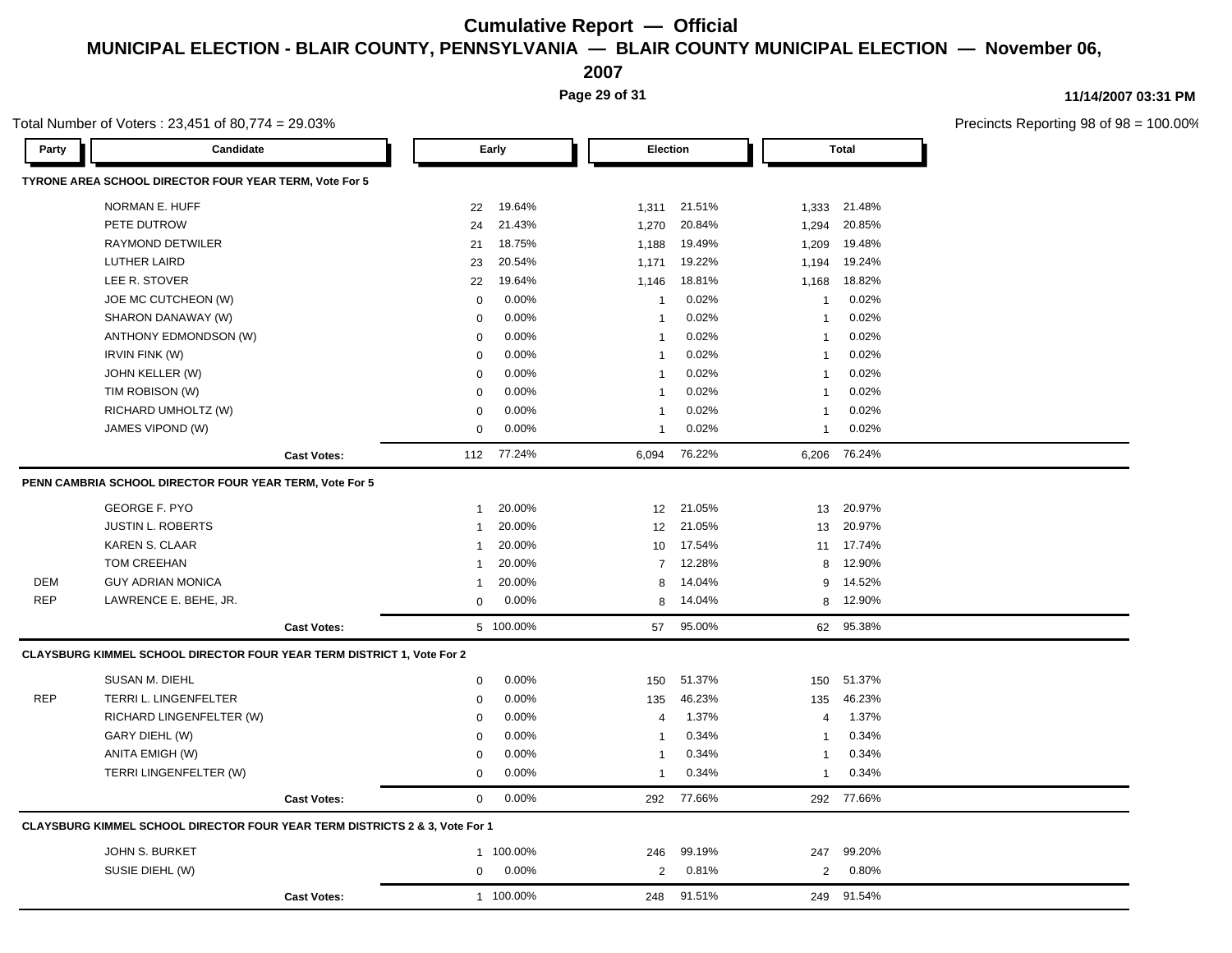**2007**

**Page 29 of 31**

### **11/14/2007 03:31 PM**

|            | Total Number of Voters: 23,451 of 80,774 = 29.03%                                      |                    |                |           |                |           |                |              | Precincts Reporting 98 of 98 |
|------------|----------------------------------------------------------------------------------------|--------------------|----------------|-----------|----------------|-----------|----------------|--------------|------------------------------|
| Party      | Candidate                                                                              |                    |                | Early     | Election       |           |                | <b>Total</b> |                              |
|            | TYRONE AREA SCHOOL DIRECTOR FOUR YEAR TERM, Vote For 5                                 |                    |                |           |                |           |                |              |                              |
|            | NORMAN E. HUFF                                                                         |                    | 22             | 19.64%    | 1,311          | 21.51%    | 1,333          | 21.48%       |                              |
|            | PETE DUTROW                                                                            |                    | 24             | 21.43%    | 1,270          | 20.84%    | 1,294          | 20.85%       |                              |
|            | RAYMOND DETWILER                                                                       |                    | 21             | 18.75%    | 1,188          | 19.49%    | 1,209          | 19.48%       |                              |
|            | <b>LUTHER LAIRD</b>                                                                    |                    | 23             | 20.54%    | 1,171          | 19.22%    | 1,194          | 19.24%       |                              |
|            | LEE R. STOVER                                                                          |                    | 22             | 19.64%    | 1,146          | 18.81%    | 1,168          | 18.82%       |                              |
|            | JOE MC CUTCHEON (W)                                                                    |                    | 0              | 0.00%     | $\overline{1}$ | 0.02%     | $\mathbf{1}$   | 0.02%        |                              |
|            | SHARON DANAWAY (W)                                                                     |                    | 0              | 0.00%     | $\overline{1}$ | 0.02%     | -1             | 0.02%        |                              |
|            | ANTHONY EDMONDSON (W)                                                                  |                    | 0              | 0.00%     | $\overline{1}$ | 0.02%     | -1             | 0.02%        |                              |
|            | IRVIN FINK (W)                                                                         |                    | 0              | 0.00%     | $\overline{1}$ | 0.02%     | $\mathbf{1}$   | 0.02%        |                              |
|            | JOHN KELLER (W)                                                                        |                    | 0              | 0.00%     | -1             | 0.02%     | -1             | 0.02%        |                              |
|            | TIM ROBISON (W)                                                                        |                    | $\Omega$       | 0.00%     | $\overline{1}$ | 0.02%     | $\overline{1}$ | 0.02%        |                              |
|            | RICHARD UMHOLTZ (W)                                                                    |                    | $\mathbf 0$    | 0.00%     | $\overline{1}$ | 0.02%     | -1             | 0.02%        |                              |
|            | JAMES VIPOND (W)                                                                       |                    | $\mathbf 0$    | 0.00%     | $\mathbf{1}$   | 0.02%     | $\mathbf{1}$   | 0.02%        |                              |
|            |                                                                                        | <b>Cast Votes:</b> | 112            | 77.24%    | 6,094          | 76.22%    | 6,206          | 76.24%       |                              |
|            | PENN CAMBRIA SCHOOL DIRECTOR FOUR YEAR TERM, Vote For 5                                |                    |                |           |                |           |                |              |                              |
|            | <b>GEORGE F. PYO</b>                                                                   |                    | $\mathbf{1}$   | 20.00%    |                | 12 21.05% | 13             | 20.97%       |                              |
|            | <b>JUSTIN L. ROBERTS</b>                                                               |                    | $\overline{1}$ | 20.00%    | 12             | 21.05%    | 13             | 20.97%       |                              |
|            | <b>KAREN S. CLAAR</b>                                                                  |                    | $\overline{1}$ | 20.00%    | 10             | 17.54%    | 11             | 17.74%       |                              |
|            | TOM CREEHAN                                                                            |                    | $\mathbf{1}$   | 20.00%    | $\overline{7}$ | 12.28%    | 8              | 12.90%       |                              |
| <b>DEM</b> | <b>GUY ADRIAN MONICA</b>                                                               |                    | $\mathbf{1}$   | 20.00%    | 8              | 14.04%    | 9              | 14.52%       |                              |
| <b>REP</b> | LAWRENCE E. BEHE, JR.                                                                  |                    | $\mathbf 0$    | 0.00%     | 8              | 14.04%    | 8              | 12.90%       |                              |
|            |                                                                                        | <b>Cast Votes:</b> |                | 5 100.00% | 57             | 95.00%    | 62             | 95.38%       |                              |
|            | CLAYSBURG KIMMEL SCHOOL DIRECTOR FOUR YEAR TERM DISTRICT 1, Vote For 2                 |                    |                |           |                |           |                |              |                              |
|            | SUSAN M. DIEHL                                                                         |                    | $\mathbf 0$    | 0.00%     | 150            | 51.37%    | 150            | 51.37%       |                              |
| <b>REP</b> | TERRI L. LINGENFELTER                                                                  |                    | 0              | 0.00%     | 135            | 46.23%    | 135            | 46.23%       |                              |
|            | RICHARD LINGENFELTER (W)                                                               |                    | 0              | 0.00%     | $\overline{4}$ | 1.37%     | $\overline{4}$ | 1.37%        |                              |
|            | GARY DIEHL (W)                                                                         |                    | $\mathbf 0$    | 0.00%     | -1             | 0.34%     | -1             | 0.34%        |                              |
|            | ANITA EMIGH (W)                                                                        |                    | $\mathbf 0$    | 0.00%     | $\overline{1}$ | 0.34%     | $\overline{1}$ | 0.34%        |                              |
|            | TERRI LINGENFELTER (W)                                                                 |                    | 0              | 0.00%     | -1             | 0.34%     | -1             | 0.34%        |                              |
|            |                                                                                        | <b>Cast Votes:</b> | $\mathbf 0$    | 0.00%     | 292            | 77.66%    |                | 292 77.66%   |                              |
|            | <b>CLAYSBURG KIMMEL SCHOOL DIRECTOR FOUR YEAR TERM DISTRICTS 2 &amp; 3, Vote For 1</b> |                    |                |           |                |           |                |              |                              |
|            | JOHN S. BURKET                                                                         |                    |                | 1 100.00% | 246            | 99.19%    | 247            | 99.20%       |                              |
|            | SUSIE DIEHL (W)                                                                        |                    | 0              | 0.00%     | $\overline{2}$ | 0.81%     | $\overline{2}$ | 0.80%        |                              |
|            |                                                                                        | <b>Cast Votes:</b> |                | 1 100.00% | 248            | 91.51%    |                | 249 91.54%   |                              |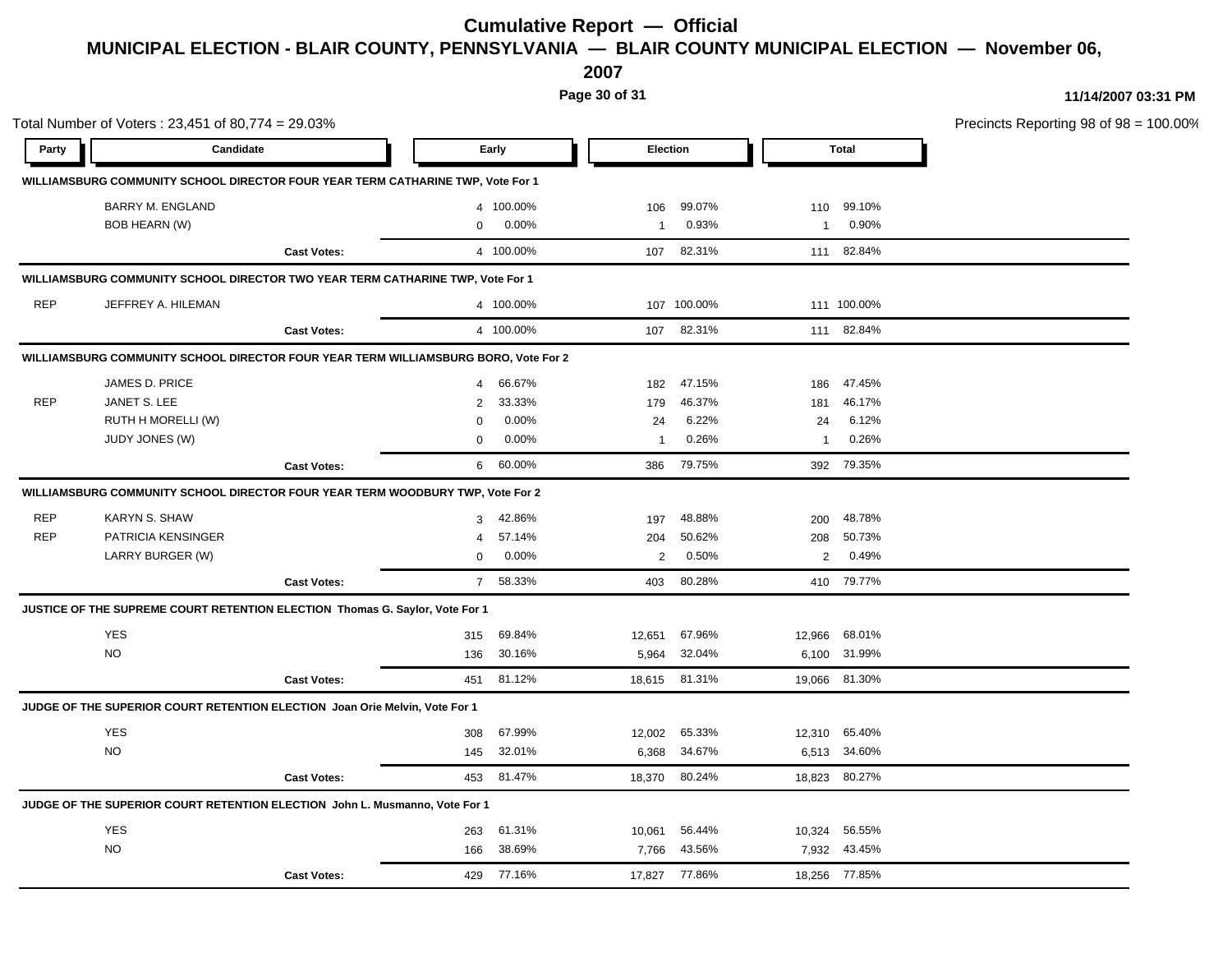**2007**

**Page 30 of 31**

|            | Total Number of Voters: 23,451 of 80,774 = 29.03% |                                                                                     |                |            |                |               |                |               | Precincts Reporting 98 of 98 = 100.00% |
|------------|---------------------------------------------------|-------------------------------------------------------------------------------------|----------------|------------|----------------|---------------|----------------|---------------|----------------------------------------|
| Party      | Candidate                                         |                                                                                     |                | Early      |                | Election      |                | Total         |                                        |
|            |                                                   | WILLIAMSBURG COMMUNITY SCHOOL DIRECTOR FOUR YEAR TERM CATHARINE TWP, Vote For 1     |                |            |                |               |                |               |                                        |
|            | <b>BARRY M. ENGLAND</b>                           |                                                                                     |                | 4 100.00%  | 106            | 99.07%        |                | 110 99.10%    |                                        |
|            | BOB HEARN (W)                                     |                                                                                     | $\mathbf{0}$   | 0.00%      | 1              | 0.93%         |                | 1 0.90%       |                                        |
|            |                                                   | <b>Cast Votes:</b>                                                                  |                | 4 100.00%  |                | 107 82.31%    |                | 111 82.84%    |                                        |
|            |                                                   | WILLIAMSBURG COMMUNITY SCHOOL DIRECTOR TWO YEAR TERM CATHARINE TWP, Vote For 1      |                |            |                |               |                |               |                                        |
| REP        | JEFFREY A. HILEMAN                                |                                                                                     |                | 4 100.00%  |                | 107 100.00%   |                | 111 100.00%   |                                        |
|            |                                                   | <b>Cast Votes:</b>                                                                  |                | 4 100.00%  |                | 107 82.31%    |                | 111 82.84%    |                                        |
|            |                                                   | WILLIAMSBURG COMMUNITY SCHOOL DIRECTOR FOUR YEAR TERM WILLIAMSBURG BORO, Vote For 2 |                |            |                |               |                |               |                                        |
|            | JAMES D. PRICE                                    |                                                                                     | $\overline{4}$ | 66.67%     | 182            | 47.15%        | 186            | 47.45%        |                                        |
| REP        | JANET S. LEE                                      |                                                                                     | $\overline{2}$ | 33.33%     | 179            | 46.37%        | 181            | 46.17%        |                                        |
|            | RUTH H MORELLI (W)                                |                                                                                     | $\Omega$       | 0.00%      | 24             | 6.22%         | 24             | 6.12%         |                                        |
|            | JUDY JONES (W)                                    |                                                                                     | $\mathbf{0}$   | 0.00%      | 1              | 0.26%         | $\mathbf{1}$   | 0.26%         |                                        |
|            |                                                   | <b>Cast Votes:</b>                                                                  |                | 6 60.00%   |                | 386 79.75%    |                | 392 79.35%    |                                        |
|            |                                                   | WILLIAMSBURG COMMUNITY SCHOOL DIRECTOR FOUR YEAR TERM WOODBURY TWP, Vote For 2      |                |            |                |               |                |               |                                        |
| <b>REP</b> | KARYN S. SHAW                                     |                                                                                     |                | 3 42.86%   | 197            | 48.88%        | 200            | 48.78%        |                                        |
| <b>REP</b> | PATRICIA KENSINGER                                |                                                                                     | 4              | 57.14%     | 204            | 50.62%        |                | 208 50.73%    |                                        |
|            | LARRY BURGER (W)                                  |                                                                                     | $\mathbf{0}$   | 0.00%      | $\overline{2}$ | 0.50%         | $\overline{2}$ | 0.49%         |                                        |
|            |                                                   | <b>Cast Votes:</b>                                                                  |                | 7 58.33%   |                | 403 80.28%    |                | 410 79.77%    |                                        |
|            |                                                   | JUSTICE OF THE SUPREME COURT RETENTION ELECTION Thomas G. Saylor, Vote For 1        |                |            |                |               |                |               |                                        |
|            | <b>YES</b>                                        |                                                                                     | 315            | 69.84%     | 12,651         | 67.96%        |                | 12,966 68.01% |                                        |
|            | <b>NO</b>                                         |                                                                                     | 136            | 30.16%     | 5,964          | 32.04%        |                | 6,100 31.99%  |                                        |
|            |                                                   | <b>Cast Votes:</b>                                                                  | 451            | 81.12%     |                | 18,615 81.31% |                | 19,066 81.30% |                                        |
|            |                                                   | JUDGE OF THE SUPERIOR COURT RETENTION ELECTION Joan Orie Melvin, Vote For 1         |                |            |                |               |                |               |                                        |
|            | <b>YES</b>                                        |                                                                                     | 308            | 67.99%     | 12,002         | 65.33%        |                | 12,310 65.40% |                                        |
|            | <b>NO</b>                                         |                                                                                     | 145            | 32.01%     | 6,368          | 34.67%        |                | 6,513 34.60%  |                                        |
|            |                                                   | <b>Cast Votes:</b>                                                                  |                | 453 81.47% |                | 18,370 80.24% |                | 18,823 80.27% |                                        |
|            |                                                   | JUDGE OF THE SUPERIOR COURT RETENTION ELECTION John L. Musmanno, Vote For 1         |                |            |                |               |                |               |                                        |
|            | <b>YES</b>                                        |                                                                                     | 263            | 61.31%     |                | 10,061 56.44% |                | 10,324 56.55% |                                        |
|            | $NO$                                              |                                                                                     | 166            | 38.69%     | 7,766          | 43.56%        |                | 7,932 43.45%  |                                        |
|            |                                                   | <b>Cast Votes:</b>                                                                  |                | 429 77.16% |                | 17,827 77.86% |                | 18,256 77.85% |                                        |
|            |                                                   |                                                                                     |                |            |                |               |                |               |                                        |